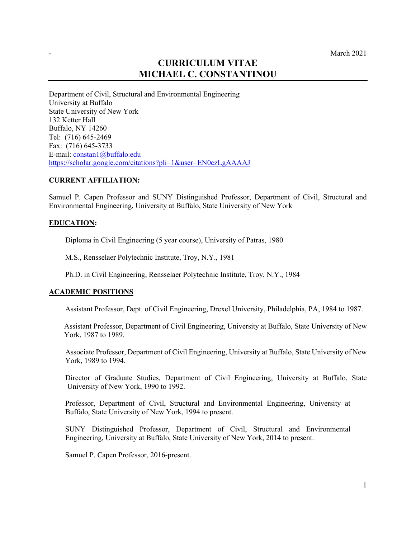# **CURRICULUM VITAE MICHAEL C. CONSTANTINOU**

Department of Civil, Structural and Environmental Engineering University at Buffalo State University of New York 132 Ketter Hall Buffalo, NY 14260 Tel: (716) 645-2469 Fax: (716) 645-3733 E-mail: constan1@buffalo.edu https://scholar.google.com/citations?pli=1&user=EN0czLgAAAAJ

### **CURRENT AFFILIATION:**

Samuel P. Capen Professor and SUNY Distinguished Professor, Department of Civil, Structural and Environmental Engineering, University at Buffalo, State University of New York

### **EDUCATION:**

Diploma in Civil Engineering (5 year course), University of Patras, 1980

M.S., Rensselaer Polytechnic Institute, Troy, N.Y., 1981

Ph.D. in Civil Engineering, Rensselaer Polytechnic Institute, Troy, N.Y., 1984

### **ACADEMIC POSITIONS**

Assistant Professor, Dept. of Civil Engineering, Drexel University, Philadelphia, PA, 1984 to 1987.

Assistant Professor, Department of Civil Engineering, University at Buffalo, State University of New York, 1987 to 1989.

Associate Professor, Department of Civil Engineering, University at Buffalo, State University of New York, 1989 to 1994.

Director of Graduate Studies, Department of Civil Engineering, University at Buffalo, State University of New York, 1990 to 1992.

Professor, Department of Civil, Structural and Environmental Engineering, University at Buffalo, State University of New York, 1994 to present.

SUNY Distinguished Professor, Department of Civil, Structural and Environmental Engineering, University at Buffalo, State University of New York, 2014 to present.

Samuel P. Capen Professor, 2016-present.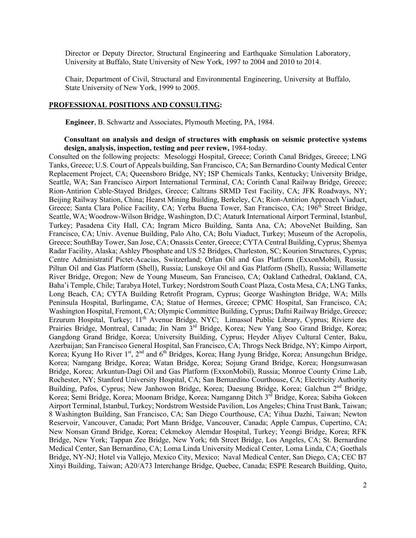Director or Deputy Director, Structural Engineering and Earthquake Simulation Laboratory, University at Buffalo, State University of New York, 1997 to 2004 and 2010 to 2014.

Chair, Department of Civil, Structural and Environmental Engineering, University at Buffalo, State University of New York, 1999 to 2005.

### **PROFESSIONAL POSITIONS AND CONSULTING:**

**Engineer**, B. Schwartz and Associates, Plymouth Meeting, PA, 1984.

### **Consultant on analysis and design of structures with emphasis on seismic protective systems design, analysis, inspection, testing and peer review,** 1984-today.

Consulted on the following projects: Mesologgi Hospital, Greece; Corinth Canal Bridges, Greece; LNG Tanks, Greece; U.S. Court of Appeals building, San Francisco, CA; San Bernardino County Medical Center Replacement Project, CA; Queensboro Bridge, NY; ISP Chemicals Tanks, Kentucky; University Bridge, Seattle, WA; San Francisco Airport International Terminal, CA; Corinth Canal Railway Bridge, Greece; Rion-Antirion Cable-Stayed Bridges, Greece; Caltrans SRMD Test Facility, CA; JFK Roadways, NY; Beijing Railway Station, China; Hearst Mining Building, Berkeley, CA; Rion-Antirion Approach Viaduct, Greece; Santa Clara Police Facility, CA; Yerba Buena Tower, San Francisco, CA; 196<sup>th</sup> Street Bridge, Seattle, WA; Woodrow-Wilson Bridge, Washington, D.C; Ataturk International Airport Terminal, Istanbul, Turkey; Pasadena City Hall, CA; Ingram Micro Building, Santa Ana, CA; AboveNet Building, San Francisco, CA; Univ. Avenue Building, Palo Alto, CA; Bolu Viaduct, Turkey; Museum of the Acropolis, Greece; SouthBay Tower, San Jose, CA; Onassis Center, Greece; CYTA Central Building, Cyprus; Shemya Radar Facility, Alaska; Ashley Phosphate and US 52 Bridges, Charleston, SC; Kourion Structures, Cyprus; Centre Administratif Pictet-Acacias, Switzerland; Orlan Oil and Gas Platform (ExxonMobil), Russia; Piltun Oil and Gas Platform (Shell), Russia; Lunskoye Oil and Gas Platform (Shell), Russia; Willamette River Bridge, Oregon; New de Young Museum, San Francisco, CA; Oakland Cathedral, Oakland, CA, Baha'i Temple, Chile; Tarabya Hotel, Turkey; Nordstrom South Coast Plaza, Costa Mesa, CA; LNG Tanks, Long Beach, CA; CYTA Building Retrofit Program, Cyprus; George Washington Bridge, WA; Mills Peninsula Hospital, Burlingame, CA; Statue of Hermes, Greece; CPMC Hospital, San Francisco, CA; Washington Hospital, Fremont, CA; Olympic Committee Building, Cyprus; Dafni Railway Bridge, Greece; Erzurum Hospital, Turkey; 11<sup>th</sup> Avenue Bridge, NYC; Limassol Public Library, Cyprus; Riviere des Prairies Bridge, Montreal, Canada; Jin Nam 3<sup>rd</sup> Bridge, Korea; New Yang Soo Grand Bridge, Korea; Gangdong Grand Bridge, Korea; University Building, Cyprus; Heyder Aliyev Cultural Center, Baku, Azerbaijan; San Francisco General Hospital, San Francisco, CA; Throgs Neck Bridge, NY; Kimpo Airport, Korea; Kyung Ho River 1<sup>st</sup>, 2<sup>nd</sup> and 6<sup>th</sup> Bridges, Korea; Hang Jyung Bridge, Korea; Ansungchun Bridge, Korea; Namgang Bridge, Korea; Watan Bridge, Korea; Sojung Grand Bridge, Korea; Hongsunwasan Bridge, Korea; Arkuntun-Dagi Oil and Gas Platform (ExxonMobil), Russia; Monroe County Crime Lab, Rochester, NY; Stanford University Hospital, CA; San Bernardino Courthouse, CA; Electricity Authority Building, Pafos, Cyprus; New Janhowon Bridge, Korea; Daesung Bridge, Korea; Galchun 2<sup>nd</sup> Bridge, Korea; Semi Bridge, Korea; Moonam Bridge, Korea; Namganng Ditch 3<sup>rd</sup> Bridge, Korea; Sabiha Gokcen Airport Terminal, Istanbul, Turkey; Nordstrom Westside Pavilion, Los Angeles; China Trust Bank, Taiwan; 8 Washington Building, San Francisco, CA; San Diego Courthouse, CA; Yihua Dazhi, Taiwan; Newton Reservoir, Vancouver, Canada; Port Mann Bridge, Vancouver, Canada; Apple Campus, Cupertino, CA; New Nonsan Grand Bridge, Korea; Cekmekoy Alemdar Hospital, Turkey; Yeongi Bridge, Korea; RFK Bridge, New York; Tappan Zee Bridge, New York; 6th Street Bridge, Los Angeles, CA; St. Bernardine Medical Center, San Bernardino, CA; Loma Linda University Medical Center, Loma Linda, CA; Goethals Bridge, NY-NJ; Hotel via Vallejo, Mexico City, Mexico; Naval Medical Center, San Diego, CA; CEC B7 Xinyi Building, Taiwan; A20/A73 Interchange Bridge, Quebec, Canada; ESPE Research Building, Quito,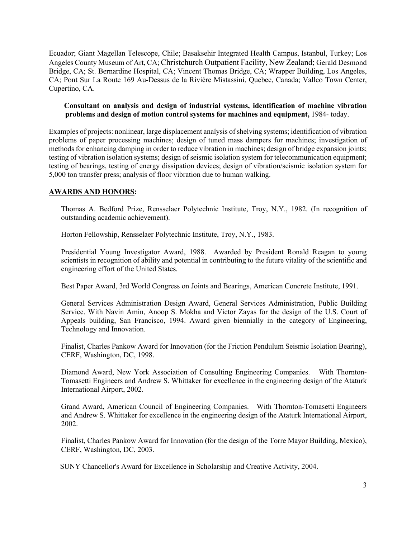Ecuador; Giant Magellan Telescope, Chile; Basaksehir Integrated Health Campus, Istanbul, Turkey; Los Angeles County Museum of Art, CA; Christchurch Outpatient Facility, New Zealand; Gerald Desmond Bridge, CA; St. Bernardine Hospital, CA; Vincent Thomas Bridge, CA; Wrapper Building, Los Angeles, CA; Pont Sur La Route 169 Au-Dessus de la Rivière Mistassini, Quebec, Canada; Vallco Town Center, Cupertino, CA.

# **Consultant on analysis and design of industrial systems, identification of machine vibration problems and design of motion control systems for machines and equipment,** 1984- today.

Examples of projects: nonlinear, large displacement analysis of shelving systems; identification of vibration problems of paper processing machines; design of tuned mass dampers for machines; investigation of methods for enhancing damping in order to reduce vibration in machines; design of bridge expansion joints; testing of vibration isolation systems; design of seismic isolation system for telecommunication equipment; testing of bearings, testing of energy dissipation devices; design of vibration/seismic isolation system for 5,000 ton transfer press; analysis of floor vibration due to human walking.

# **AWARDS AND HONORS:**

Thomas A. Bedford Prize, Rensselaer Polytechnic Institute, Troy, N.Y., 1982. (In recognition of outstanding academic achievement).

Horton Fellowship, Rensselaer Polytechnic Institute, Troy, N.Y., 1983.

Presidential Young Investigator Award, 1988. Awarded by President Ronald Reagan to young scientists in recognition of ability and potential in contributing to the future vitality of the scientific and engineering effort of the United States.

Best Paper Award, 3rd World Congress on Joints and Bearings, American Concrete Institute, 1991.

General Services Administration Design Award, General Services Administration, Public Building Service. With Navin Amin, Anoop S. Mokha and Victor Zayas for the design of the U.S. Court of Appeals building, San Francisco, 1994. Award given biennially in the category of Engineering, Technology and Innovation.

Finalist, Charles Pankow Award for Innovation (for the Friction Pendulum Seismic Isolation Bearing), CERF, Washington, DC, 1998.

Diamond Award, New York Association of Consulting Engineering Companies. With Thornton-Tomasetti Engineers and Andrew S. Whittaker for excellence in the engineering design of the Ataturk International Airport, 2002.

Grand Award, American Council of Engineering Companies. With Thornton-Tomasetti Engineers and Andrew S. Whittaker for excellence in the engineering design of the Ataturk International Airport, 2002.

Finalist, Charles Pankow Award for Innovation (for the design of the Torre Mayor Building, Mexico), CERF, Washington, DC, 2003.

SUNY Chancellor's Award for Excellence in Scholarship and Creative Activity, 2004.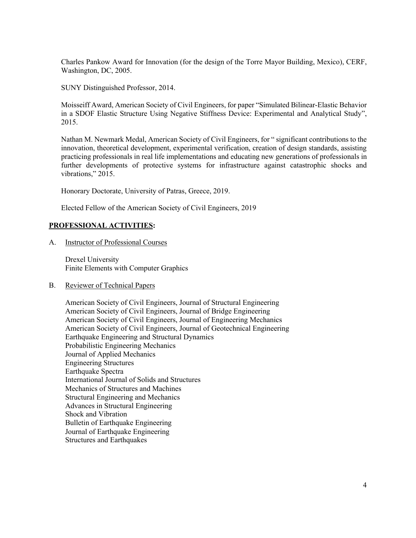Charles Pankow Award for Innovation (for the design of the Torre Mayor Building, Mexico), CERF, Washington, DC, 2005.

SUNY Distinguished Professor, 2014.

Moisseiff Award, American Society of Civil Engineers, for paper "Simulated Bilinear-Elastic Behavior in a SDOF Elastic Structure Using Negative Stiffness Device: Experimental and Analytical Study", 2015.

Nathan M. Newmark Medal, American Society of Civil Engineers, for " significant contributions to the innovation, theoretical development, experimental verification, creation of design standards, assisting practicing professionals in real life implementations and educating new generations of professionals in further developments of protective systems for infrastructure against catastrophic shocks and vibrations," 2015.

Honorary Doctorate, University of Patras, Greece, 2019.

Elected Fellow of the American Society of Civil Engineers, 2019

# **PROFESSIONAL ACTIVITIES:**

A. Instructor of Professional Courses

Drexel University Finite Elements with Computer Graphics

B. Reviewer of Technical Papers

American Society of Civil Engineers, Journal of Structural Engineering American Society of Civil Engineers, Journal of Bridge Engineering American Society of Civil Engineers, Journal of Engineering Mechanics American Society of Civil Engineers, Journal of Geotechnical Engineering Earthquake Engineering and Structural Dynamics Probabilistic Engineering Mechanics Journal of Applied Mechanics Engineering Structures Earthquake Spectra International Journal of Solids and Structures Mechanics of Structures and Machines Structural Engineering and Mechanics Advances in Structural Engineering Shock and Vibration Bulletin of Earthquake Engineering Journal of Earthquake Engineering Structures and Earthquakes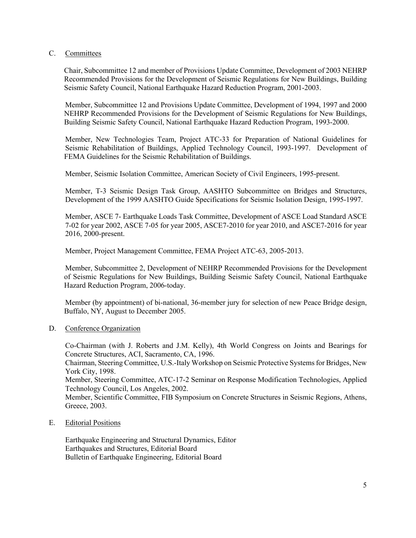### C. Committees

Chair, Subcommittee 12 and member of Provisions Update Committee, Development of 2003 NEHRP Recommended Provisions for the Development of Seismic Regulations for New Buildings, Building Seismic Safety Council, National Earthquake Hazard Reduction Program, 2001-2003.

Member, Subcommittee 12 and Provisions Update Committee, Development of 1994, 1997 and 2000 NEHRP Recommended Provisions for the Development of Seismic Regulations for New Buildings, Building Seismic Safety Council, National Earthquake Hazard Reduction Program, 1993-2000.

Member, New Technologies Team, Project ATC-33 for Preparation of National Guidelines for Seismic Rehabilitation of Buildings, Applied Technology Council, 1993-1997. Development of FEMA Guidelines for the Seismic Rehabilitation of Buildings.

Member, Seismic Isolation Committee, American Society of Civil Engineers, 1995-present.

Member, T-3 Seismic Design Task Group, AASHTO Subcommittee on Bridges and Structures, Development of the 1999 AASHTO Guide Specifications for Seismic Isolation Design, 1995-1997.

Member, ASCE 7- Earthquake Loads Task Committee, Development of ASCE Load Standard ASCE 7-02 for year 2002, ASCE 7-05 for year 2005, ASCE7-2010 for year 2010, and ASCE7-2016 for year 2016, 2000-present.

Member, Project Management Committee, FEMA Project ATC-63, 2005-2013.

Member, Subcommittee 2, Development of NEHRP Recommended Provisions for the Development of Seismic Regulations for New Buildings, Building Seismic Safety Council, National Earthquake Hazard Reduction Program, 2006-today.

Member (by appointment) of bi-national, 36-member jury for selection of new Peace Bridge design, Buffalo, NY, August to December 2005.

D. Conference Organization

Co-Chairman (with J. Roberts and J.M. Kelly), 4th World Congress on Joints and Bearings for Concrete Structures, ACI, Sacramento, CA, 1996.

Chairman, Steering Committee, U.S.-Italy Workshop on Seismic Protective Systems for Bridges, New York City, 1998.

Member, Steering Committee, ATC-17-2 Seminar on Response Modification Technologies, Applied Technology Council, Los Angeles, 2002.

Member, Scientific Committee, FIB Symposium on Concrete Structures in Seismic Regions, Athens, Greece, 2003.

E. Editorial Positions

Earthquake Engineering and Structural Dynamics, Editor Earthquakes and Structures, Editorial Board Bulletin of Earthquake Engineering, Editorial Board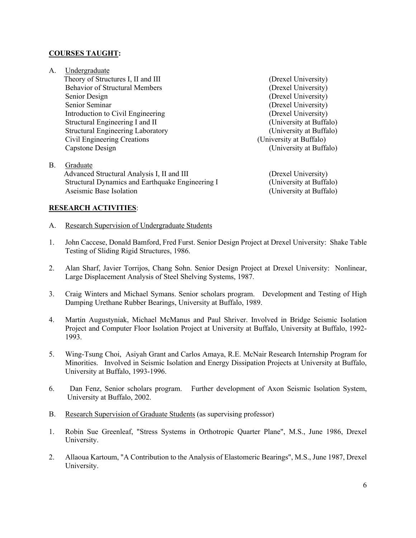### **COURSES TAUGHT:**

- A. Undergraduate Theory of Structures I, II and III (Drexel University) Behavior of Structural Members (Drexel University) Senior Design (Drexel University) Senior Seminar (Drexel University) Introduction to Civil Engineering (Drexel University) Structural Engineering I and II (University at Buffalo) Structural Engineering Laboratory (University at Buffalo)<br>
Civil Engineering Creations (University at Buffalo) Civil Engineering Creations Capstone Design (University at Buffalo)
- B. Graduate Advanced Structural Analysis I, II and III (Drexel University) Structural Dynamics and Earthquake Engineering I (University at Buffalo) Aseismic Base Isolation (University at Buffalo)

# **RESEARCH ACTIVITIES**:

- A. Research Supervision of Undergraduate Students
- 1. John Caccese, Donald Bamford, Fred Furst. Senior Design Project at Drexel University: Shake Table Testing of Sliding Rigid Structures, 1986.
- 2. Alan Sharf, Javier Torrijos, Chang Sohn. Senior Design Project at Drexel University: Nonlinear, Large Displacement Analysis of Steel Shelving Systems, 1987.
- 3. Craig Winters and Michael Symans. Senior scholars program. Development and Testing of High Damping Urethane Rubber Bearings, University at Buffalo, 1989.
- 4. Martin Augustyniak, Michael McManus and Paul Shriver. Involved in Bridge Seismic Isolation Project and Computer Floor Isolation Project at University at Buffalo, University at Buffalo, 1992- 1993.
- 5. Wing-Tsung Choi, Asiyah Grant and Carlos Amaya, R.E. McNair Research Internship Program for Minorities. Involved in Seismic Isolation and Energy Dissipation Projects at University at Buffalo, University at Buffalo, 1993-1996.
- 6. Dan Fenz, Senior scholars program. Further development of Axon Seismic Isolation System, University at Buffalo, 2002.
- B. Research Supervision of Graduate Students (as supervising professor)
- 1. Robin Sue Greenleaf, "Stress Systems in Orthotropic Quarter Plane", M.S., June 1986, Drexel University.
- 2. Allaoua Kartoum, "A Contribution to the Analysis of Elastomeric Bearings", M.S., June 1987, Drexel University.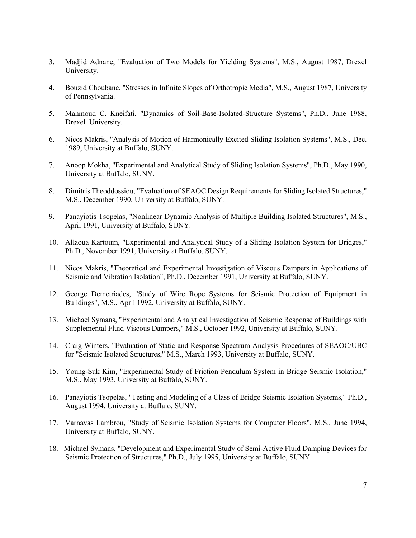- 3. Madjid Adnane, "Evaluation of Two Models for Yielding Systems", M.S., August 1987, Drexel University.
- 4. Bouzid Choubane, "Stresses in Infinite Slopes of Orthotropic Media", M.S., August 1987, University of Pennsylvania.
- 5. Mahmoud C. Kneifati, "Dynamics of Soil-Base-Isolated-Structure Systems", Ph.D., June 1988, Drexel University.
- 6. Nicos Makris, "Analysis of Motion of Harmonically Excited Sliding Isolation Systems", M.S., Dec. 1989, University at Buffalo, SUNY.
- 7. Anoop Mokha, "Experimental and Analytical Study of Sliding Isolation Systems", Ph.D., May 1990, University at Buffalo, SUNY.
- 8. Dimitris Theoddossiou, "Evaluation of SEAOC Design Requirements for Sliding Isolated Structures," M.S., December 1990, University at Buffalo, SUNY.
- 9. Panayiotis Tsopelas, "Nonlinear Dynamic Analysis of Multiple Building Isolated Structures", M.S., April 1991, University at Buffalo, SUNY.
- 10. Allaoua Kartoum, "Experimental and Analytical Study of a Sliding Isolation System for Bridges," Ph.D., November 1991, University at Buffalo, SUNY.
- 11. Nicos Makris, "Theoretical and Experimental Investigation of Viscous Dampers in Applications of Seismic and Vibration Isolation", Ph.D., December 1991, University at Buffalo, SUNY.
- 12. George Demetriades, "Study of Wire Rope Systems for Seismic Protection of Equipment in Buildings", M.S., April 1992, University at Buffalo, SUNY.
- 13. Michael Symans, "Experimental and Analytical Investigation of Seismic Response of Buildings with Supplemental Fluid Viscous Dampers," M.S., October 1992, University at Buffalo, SUNY.
- 14. Craig Winters, "Evaluation of Static and Response Spectrum Analysis Procedures of SEAOC/UBC for "Seismic Isolated Structures," M.S., March 1993, University at Buffalo, SUNY.
- 15. Young-Suk Kim, "Experimental Study of Friction Pendulum System in Bridge Seismic Isolation," M.S., May 1993, University at Buffalo, SUNY.
- 16. Panayiotis Tsopelas, "Testing and Modeling of a Class of Bridge Seismic Isolation Systems," Ph.D., August 1994, University at Buffalo, SUNY.
- 17. Varnavas Lambrou, "Study of Seismic Isolation Systems for Computer Floors", M.S., June 1994, University at Buffalo, SUNY.
- 18. Michael Symans, "Development and Experimental Study of Semi-Active Fluid Damping Devices for Seismic Protection of Structures," Ph.D., July 1995, University at Buffalo, SUNY.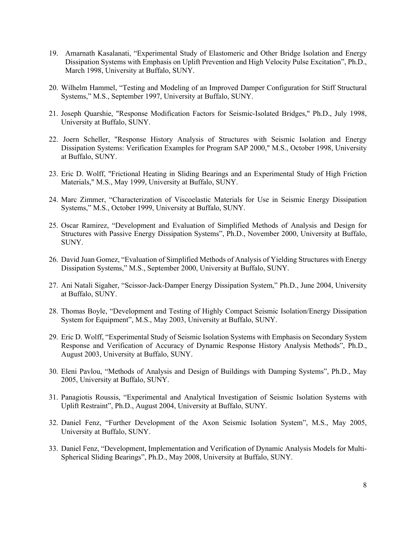- 19. Amarnath Kasalanati, "Experimental Study of Elastomeric and Other Bridge Isolation and Energy Dissipation Systems with Emphasis on Uplift Prevention and High Velocity Pulse Excitation", Ph.D., March 1998, University at Buffalo, SUNY.
- 20. Wilhelm Hammel, "Testing and Modeling of an Improved Damper Configuration for Stiff Structural Systems," M.S., September 1997, University at Buffalo, SUNY.
- 21. Joseph Quarshie, "Response Modification Factors for Seismic-Isolated Bridges," Ph.D., July 1998, University at Buffalo, SUNY.
- 22. Joern Scheller, "Response History Analysis of Structures with Seismic Isolation and Energy Dissipation Systems: Verification Examples for Program SAP 2000," M.S., October 1998, University at Buffalo, SUNY.
- 23. Eric D. Wolff, "Frictional Heating in Sliding Bearings and an Experimental Study of High Friction Materials," M.S., May 1999, University at Buffalo, SUNY.
- 24. Marc Zimmer, "Characterization of Viscoelastic Materials for Use in Seismic Energy Dissipation Systems," M.S., October 1999, University at Buffalo, SUNY.
- 25. Oscar Ramirez, "Development and Evaluation of Simplified Methods of Analysis and Design for Structures with Passive Energy Dissipation Systems", Ph.D., November 2000, University at Buffalo, SUNY.
- 26. David Juan Gomez, "Evaluation of Simplified Methods of Analysis of Yielding Structures with Energy Dissipation Systems," M.S., September 2000, University at Buffalo, SUNY.
- 27. Ani Natali Sigaher, "Scissor-Jack-Damper Energy Dissipation System," Ph.D., June 2004, University at Buffalo, SUNY.
- 28. Thomas Boyle, "Development and Testing of Highly Compact Seismic Isolation/Energy Dissipation System for Equipment", M.S., May 2003, University at Buffalo, SUNY.
- 29. Eric D. Wolff, "Experimental Study of Seismic Isolation Systems with Emphasis on Secondary System Response and Verification of Accuracy of Dynamic Response History Analysis Methods", Ph.D., August 2003, University at Buffalo, SUNY.
- 30. Eleni Pavlou, "Methods of Analysis and Design of Buildings with Damping Systems", Ph.D., May 2005, University at Buffalo, SUNY.
- 31. Panagiotis Roussis, "Experimental and Analytical Investigation of Seismic Isolation Systems with Uplift Restraint", Ph.D., August 2004, University at Buffalo, SUNY.
- 32. Daniel Fenz, "Further Development of the Axon Seismic Isolation System", M.S., May 2005, University at Buffalo, SUNY.
- 33. Daniel Fenz, "Development, Implementation and Verification of Dynamic Analysis Models for Multi-Spherical Sliding Bearings", Ph.D., May 2008, University at Buffalo, SUNY.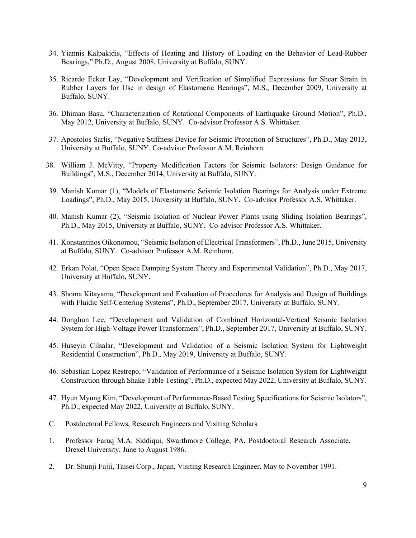- 34. Yiannis Kalpakidis, "Effects of Heating and History of Loading on the Behavior of Lead-Rubber Bearings," Ph.D., August 2008, University at Buffalo, SUNY.
- 35. Ricardo Ecker Lay, "Development and Verification of Simplified Expressions for Shear Strain in Rubber Layers for Use in design of Elastomeric Bearings", M.S., December 2009, University at Buffalo, SUNY.
- 36. Dhiman Basu, "Characterization of Rotational Components of Earthquake Ground Motion", Ph.D., May 2012, University at Buffalo, SUNY. Co-advisor Professor A.S. Whittaker.
- 37. Apostolos Sarlis, "Negative Stiffness Device for Seismic Protection of Structures", Ph.D., May 2013, University at Buffalo, SUNY. Co-advisor Professor A.M. Reinhorn.
- 38. William J. McVitty, "Property Modification Factors for Seismic Isolators: Design Guidance for Buildings", M.S., December 2014, University at Buffalo, SUNY.
- 39. Manish Kumar (1), "Models of Elastomeric Seismic Isolation Bearings for Analysis under Extreme Loadings", Ph.D., May 2015, University at Buffalo, SUNY. Co-advisor Professor A.S. Whittaker.
- 40. Manish Kumar (2), "Seismic Isolation of Nuclear Power Plants using Sliding Isolation Bearings", Ph.D., May 2015, University at Buffalo, SUNY. Co-advisor Professor A.S. Whittaker.
- 41. Konstantinos Oikonomou, "Seismic Isolation of Electrical Transformers", Ph.D., June 2015, University at Buffalo, SUNY. Co-advisor Professor A.M. Reinhorn.
- 42. Erkan Polat, "Open Space Damping System Theory and Experimental Validation", Ph.D., May 2017, University at Buffalo, SUNY.
- 43. Shoma Kitayama, "Development and Evaluation of Procedures for Analysis and Design of Buildings with Fluidic Self-Centering Systems", Ph.D., September 2017, University at Buffalo, SUNY.
- 44. Donghun Lee, "Development and Validation of Combined Horizontal-Vertical Seismic Isolation System for High-Voltage Power Transformers", Ph.D., September 2017, University at Buffalo, SUNY.
- 45. Huseyin Cilsalar, "Development and Validation of a Seismic Isolation System for Lightweight Residential Construction", Ph.D., May 2019, University at Buffalo, SUNY.
- 46. Sebastian Lopez Restrepo, "Validation of Performance of a Seismic Isolation System for Lightweight Construction through Shake Table Testing", Ph.D., expected May 2022, University at Buffalo, SUNY.
- 47. Hyun Myung Kim, "Development of Performance-Based Testing Specifications for Seismic Isolators", Ph.D., expected May 2022, University at Buffalo, SUNY.
- C. Postdoctoral Fellows, Research Engineers and Visiting Scholars
- 1. Professor Faruq M.A. Siddiqui, Swarthmore College, PA, Postdoctoral Research Associate, Drexel University, June to August 1986.
- 2. Dr. Shunji Fujii, Taisei Corp., Japan, Visiting Research Engineer, May to November 1991.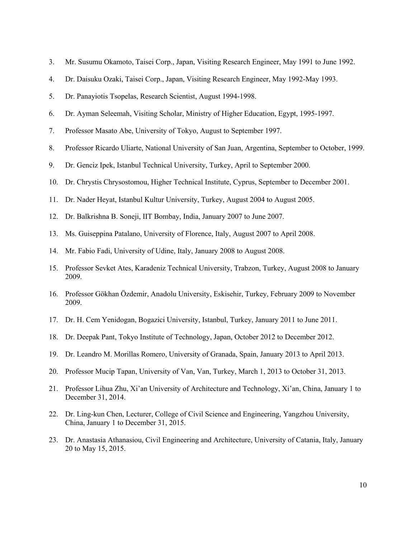| Mr. Susumu Okamoto, Taisei Corp., Japan, Visiting Research Engineer, May 1991 to June 1992. |  |  |  |  |  |
|---------------------------------------------------------------------------------------------|--|--|--|--|--|
|                                                                                             |  |  |  |  |  |

- 4. Dr. Daisuku Ozaki, Taisei Corp., Japan, Visiting Research Engineer, May 1992-May 1993.
- 5. Dr. Panayiotis Tsopelas, Research Scientist, August 1994-1998.
- 6. Dr. Ayman Seleemah, Visiting Scholar, Ministry of Higher Education, Egypt, 1995-1997.
- 7. Professor Masato Abe, University of Tokyo, August to September 1997.
- 8. Professor Ricardo Uliarte, National University of San Juan, Argentina, September to October, 1999.
- 9. Dr. Genciz Ipek, Istanbul Technical University, Turkey, April to September 2000.
- 10. Dr. Chrystis Chrysostomou, Higher Technical Institute, Cyprus, September to December 2001.
- 11. Dr. Nader Heyat, Istanbul Kultur University, Turkey, August 2004 to August 2005.
- 12. Dr. Balkrishna B. Soneji, IIT Bombay, India, January 2007 to June 2007.
- 13. Ms. Guiseppina Patalano, University of Florence, Italy, August 2007 to April 2008.
- 14. Mr. Fabio Fadi, University of Udine, Italy, January 2008 to August 2008.
- 15. Professor Sevket Ates, Karadeniz Technical University, Trabzon, Turkey, August 2008 to January 2009.
- 16. Professor Gökhan Özdemir, Anadolu University, Eskisehir, Turkey, February 2009 to November 2009.
- 17. Dr. H. Cem Yenidogan, Bogazici University, Istanbul, Turkey, January 2011 to June 2011.
- 18. Dr. Deepak Pant, Tokyo Institute of Technology, Japan, October 2012 to December 2012.
- 19. Dr. Leandro M. Morillas Romero, University of Granada, Spain, January 2013 to April 2013.
- 20. Professor Mucip Tapan, University of Van, Van, Turkey, March 1, 2013 to October 31, 2013.
- 21. Professor Lihua Zhu, Xi'an University of Architecture and Technology, Xi'an, China, January 1 to December 31, 2014.
- 22. Dr. Ling-kun Chen, Lecturer, College of Civil Science and Engineering, Yangzhou University, China, January 1 to December 31, 2015.
- 23. Dr. Anastasia Athanasiou, Civil Engineering and Architecture, University of Catania, Italy, January 20 to May 15, 2015.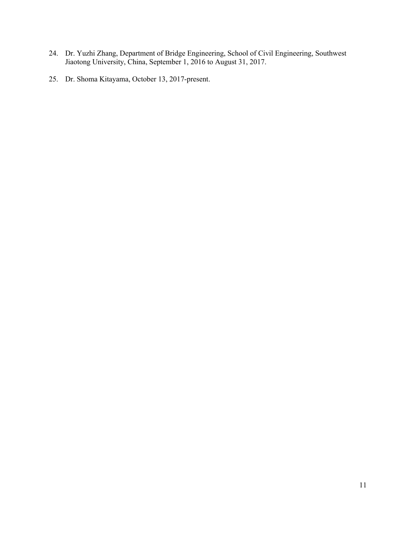- 24. Dr. Yuzhi Zhang, Department of Bridge Engineering, School of Civil Engineering, Southwest Jiaotong University, China, September 1, 2016 to August 31, 2017.
- 25. Dr. Shoma Kitayama, October 13, 2017-present.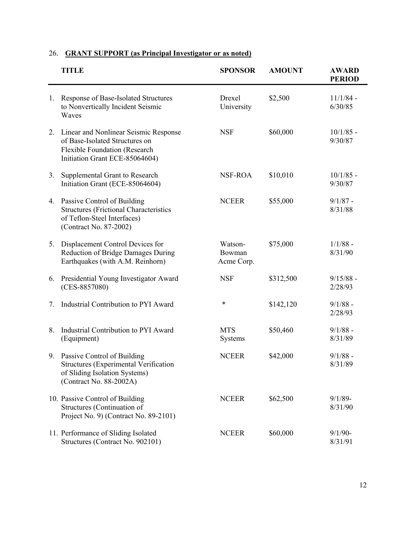|    | <b>TITLE</b>                                                                                                                               | <b>SPONSOR</b>                  | <b>AMOUNT</b> | <b>AWARD</b><br><b>PERIOD</b> |
|----|--------------------------------------------------------------------------------------------------------------------------------------------|---------------------------------|---------------|-------------------------------|
| 1. | Response of Base-Isolated Structures<br>to Nonvertically Incident Seismic<br>Waves                                                         | Drexel<br>University            | \$2,500       | $11/1/84$ -<br>6/30/85        |
| 2. | Linear and Nonlinear Seismic Response<br>of Base-Isolated Structures on<br>Flexible Foundation (Research<br>Initiation Grant ECE-85064604) | <b>NSF</b>                      | \$60,000      | $10/1/85 -$<br>9/30/87        |
| 3. | Supplemental Grant to Research<br>Initiation Grant (ECE-85064604)                                                                          | NSF-ROA                         | \$10,010      | $10/1/85$ -<br>9/30/87        |
| 4. | Passive Control of Building<br><b>Structures (Frictional Characteristics</b><br>of Teflon-Steel Interfaces)<br>(Contract No. 87-2002)      | <b>NCEER</b>                    | \$55,000      | $9/1/87 -$<br>8/31/88         |
| 5. | Displacement Control Devices for<br>Reduction of Bridge Damages During<br>Earthquakes (with A.M. Reinhorn)                                 | Watson-<br>Bowman<br>Acme Corp. | \$75,000      | $1/1/88$ -<br>8/31/90         |
| 6. | Presidential Young Investigator Award<br>$(CES-8857080)$                                                                                   | <b>NSF</b>                      | \$312,500     | $9/15/88$ -<br>2/28/93        |
| 7. | Industrial Contribution to PYI Award                                                                                                       | $\ast$                          | \$142,120     | $9/1/88$ -<br>2/28/93         |
| 8. | Industrial Contribution to PYI Award<br>(Equipment)                                                                                        | <b>MTS</b><br>Systems           | \$50,460      | $9/1/88$ -<br>8/31/89         |
| 9. | Passive Control of Building<br>Structures (Experimental Verification<br>of Sliding Isolation Systems)<br>(Contract No. 88-2002A)           | <b>NCEER</b>                    | \$42,000      | $9/1/88$ -<br>8/31/89         |
|    | 10. Passive Control of Building<br>Structures (Continuation of<br>Project No. 9) (Contract No. 89-2101)                                    | <b>NCEER</b>                    | \$62,500      | $9/1/89$ -<br>8/31/90         |
|    | 11. Performance of Sliding Isolated<br>Structures (Contract No. 902101)                                                                    | <b>NCEER</b>                    | \$60,000      | $9/1/90-$<br>8/31/91          |

# 26. **GRANT SUPPORT (as Principal Investigator or as noted)**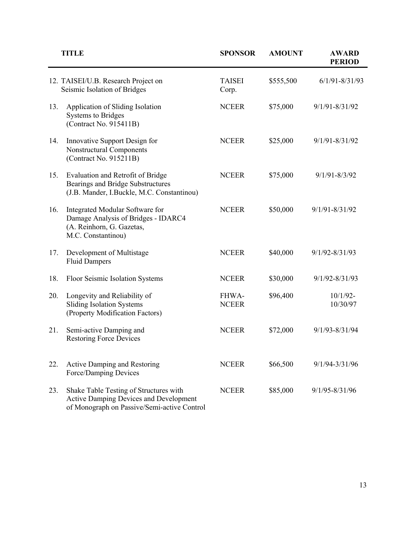|     | TITLE                                                                                                                           | <b>SPONSOR</b>         | <b>AMOUNT</b> | <b>AWARD</b><br><b>PERIOD</b> |
|-----|---------------------------------------------------------------------------------------------------------------------------------|------------------------|---------------|-------------------------------|
|     | 12. TAISEI/U.B. Research Project on<br>Seismic Isolation of Bridges                                                             | <b>TAISEI</b><br>Corp. | \$555,500     | $6/1/91 - 8/31/93$            |
| 13. | Application of Sliding Isolation<br><b>Systems to Bridges</b><br>(Contract No. 915411B)                                         | <b>NCEER</b>           | \$75,000      | 9/1/91-8/31/92                |
| 14. | Innovative Support Design for<br>Nonstructural Components<br>(Contract No. 915211B)                                             | <b>NCEER</b>           | \$25,000      | 9/1/91-8/31/92                |
| 15. | Evaluation and Retrofit of Bridge<br>Bearings and Bridge Substructures<br>(J.B. Mander, I.Buckle, M.C. Constantinou)            | <b>NCEER</b>           | \$75,000      | $9/1/91 - 8/3/92$             |
| 16. | Integrated Modular Software for<br>Damage Analysis of Bridges - IDARC4<br>(A. Reinhorn, G. Gazetas,<br>M.C. Constantinou)       | <b>NCEER</b>           | \$50,000      | $9/1/91 - 8/31/92$            |
| 17. | Development of Multistage<br><b>Fluid Dampers</b>                                                                               | <b>NCEER</b>           | \$40,000      | 9/1/92-8/31/93                |
| 18. | Floor Seismic Isolation Systems                                                                                                 | <b>NCEER</b>           | \$30,000      | 9/1/92-8/31/93                |
| 20. | Longevity and Reliability of<br><b>Sliding Isolation Systems</b><br>(Property Modification Factors)                             | FHWA-<br><b>NCEER</b>  | \$96,400      | $10/1/92 -$<br>10/30/97       |
| 21. | Semi-active Damping and<br><b>Restoring Force Devices</b>                                                                       | <b>NCEER</b>           | \$72,000      | $9/1/93 - 8/31/94$            |
| 22. | Active Damping and Restoring<br>Force/Damping Devices                                                                           | <b>NCEER</b>           | \$66,500      | 9/1/94-3/31/96                |
| 23. | Shake Table Testing of Structures with<br>Active Damping Devices and Development<br>of Monograph on Passive/Semi-active Control | <b>NCEER</b>           | \$85,000      | 9/1/95-8/31/96                |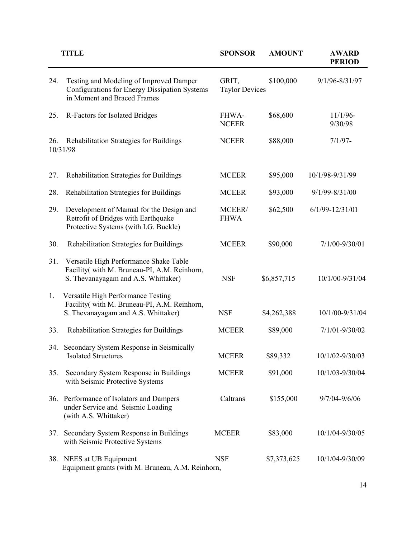| <b>AWARD</b><br><b>PERIOD</b> |
|-------------------------------|
| 9/1/96-8/31/97                |
| $11/1/96-$<br>9/30/98         |
| $7/1/97 -$                    |
| 10/1/98-9/31/99               |
| $9/1/99 - 8/31/00$            |
| $6/1/99 - 12/31/01$           |
| 7/1/00-9/30/01                |
| 10/1/00-9/31/04               |
| 10/1/00-9/31/04               |
| $7/1/01 - 9/30/02$            |
| 10/1/02-9/30/03               |
| 10/1/03-9/30/04               |
| 9/7/04-9/6/06                 |
| 10/1/04-9/30/05               |
| 10/1/04-9/30/09               |
|                               |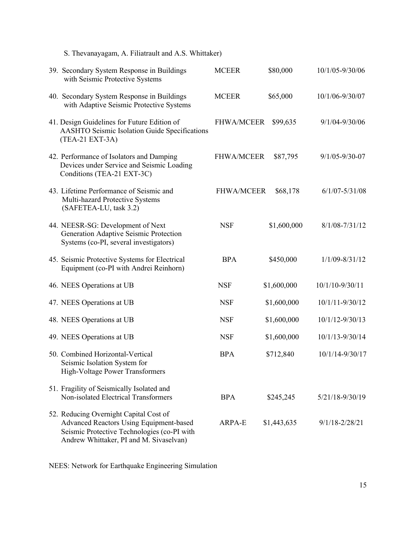| S. Thevanayagam, A. Filiatrault and A.S. Whittaker)                                                                                                                                |                   |             |                      |
|------------------------------------------------------------------------------------------------------------------------------------------------------------------------------------|-------------------|-------------|----------------------|
| 39. Secondary System Response in Buildings<br>with Seismic Protective Systems                                                                                                      | <b>MCEER</b>      | \$80,000    | 10/1/05-9/30/06      |
| 40. Secondary System Response in Buildings<br>with Adaptive Seismic Protective Systems                                                                                             | <b>MCEER</b>      | \$65,000    | 10/1/06-9/30/07      |
| 41. Design Guidelines for Future Edition of<br>AASHTO Seismic Isolation Guide Specifications<br>(TEA-21 EXT-3A)                                                                    | <b>FHWA/MCEER</b> | \$99,635    | 9/1/04-9/30/06       |
| 42. Performance of Isolators and Damping<br>Devices under Service and Seismic Loading<br>Conditions (TEA-21 EXT-3C)                                                                | <b>FHWA/MCEER</b> | \$87,795    | $9/1/05 - 9/30 - 07$ |
| 43. Lifetime Performance of Seismic and<br>Multi-hazard Protective Systems<br>(SAFETEA-LU, task 3.2)                                                                               | <b>FHWA/MCEER</b> | \$68,178    | $6/1/07 - 5/31/08$   |
| 44. NEESR-SG: Development of Next<br>Generation Adaptive Seismic Protection<br>Systems (co-PI, several investigators)                                                              | <b>NSF</b>        | \$1,600,000 | $8/1/08 - 7/31/12$   |
| 45. Seismic Protective Systems for Electrical<br>Equipment (co-PI with Andrei Reinhorn)                                                                                            | <b>BPA</b>        | \$450,000   | 1/1/09-8/31/12       |
| 46. NEES Operations at UB                                                                                                                                                          | <b>NSF</b>        | \$1,600,000 | 10/1/10-9/30/11      |
| 47. NEES Operations at UB                                                                                                                                                          | <b>NSF</b>        | \$1,600,000 | 10/1/11-9/30/12      |
| 48. NEES Operations at UB                                                                                                                                                          | <b>NSF</b>        | \$1,600,000 | 10/1/12-9/30/13      |
| 49. NEES Operations at UB                                                                                                                                                          | <b>NSF</b>        | \$1,600,000 | 10/1/13-9/30/14      |
| 50. Combined Horizontal-Vertical<br>Seismic Isolation System for<br>High-Voltage Power Transformers                                                                                | <b>BPA</b>        | \$712,840   | 10/1/14-9/30/17      |
| 51. Fragility of Seismically Isolated and<br>Non-isolated Electrical Transformers                                                                                                  | <b>BPA</b>        | \$245,245   | 5/21/18-9/30/19      |
| 52. Reducing Overnight Capital Cost of<br><b>Advanced Reactors Using Equipment-based</b><br>Seismic Protective Technologies (co-PI with<br>Andrew Whittaker, PI and M. Sivaselvan) | ARPA-E            | \$1,443,635 | $9/1/18 - 2/28/21$   |

NEES: Network for Earthquake Engineering Simulation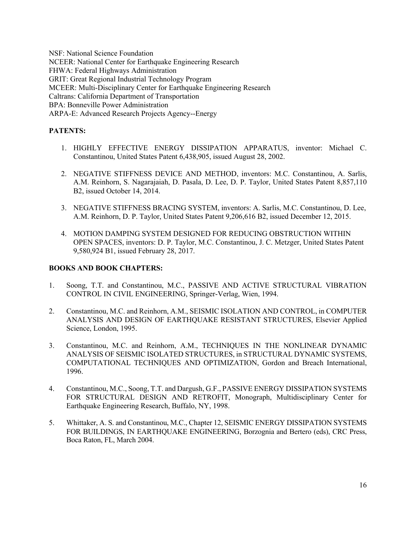NSF: National Science Foundation NCEER: National Center for Earthquake Engineering Research FHWA: Federal Highways Administration GRIT: Great Regional Industrial Technology Program MCEER: Multi-Disciplinary Center for Earthquake Engineering Research Caltrans: California Department of Transportation BPA: Bonneville Power Administration ARPA-E: Advanced Research Projects Agency--Energy

# **PATENTS:**

- 1. HIGHLY EFFECTIVE ENERGY DISSIPATION APPARATUS, inventor: Michael C. Constantinou, United States Patent 6,438,905, issued August 28, 2002.
- 2. NEGATIVE STIFFNESS DEVICE AND METHOD, inventors: M.C. Constantinou, A. Sarlis, A.M. Reinhorn, S. Nagarajaiah, D. Pasala, D. Lee, D. P. Taylor, United States Patent 8,857,110 B2, issued October 14, 2014.
- 3. NEGATIVE STIFFNESS BRACING SYSTEM, inventors: A. Sarlis, M.C. Constantinou, D. Lee, A.M. Reinhorn, D. P. Taylor, United States Patent 9,206,616 B2, issued December 12, 2015.
- 4. MOTION DAMPING SYSTEM DESIGNED FOR REDUCING OBSTRUCTION WITHIN OPEN SPACES, inventors: D. P. Taylor, M.C. Constantinou, J. C. Metzger, United States Patent 9,580,924 B1, issued February 28, 2017.

# **BOOKS AND BOOK CHAPTERS:**

- 1. Soong, T.T. and Constantinou, M.C., PASSIVE AND ACTIVE STRUCTURAL VIBRATION CONTROL IN CIVIL ENGINEERING, Springer-Verlag, Wien, 1994.
- 2. Constantinou, M.C. and Reinhorn, A.M., SEISMIC ISOLATION AND CONTROL, in COMPUTER ANALYSIS AND DESIGN OF EARTHQUAKE RESISTANT STRUCTURES, Elsevier Applied Science, London, 1995.
- 3. Constantinou, M.C. and Reinhorn, A.M., TECHNIQUES IN THE NONLINEAR DYNAMIC ANALYSIS OF SEISMIC ISOLATED STRUCTURES, in STRUCTURAL DYNAMIC SYSTEMS, COMPUTATIONAL TECHNIQUES AND OPTIMIZATION, Gordon and Breach International, 1996.
- 4. Constantinou, M.C., Soong, T.T. and Dargush, G.F., PASSIVE ENERGY DISSIPATION SYSTEMS FOR STRUCTURAL DESIGN AND RETROFIT, Monograph, Multidisciplinary Center for Earthquake Engineering Research, Buffalo, NY, 1998.
- 5. Whittaker, A. S. and Constantinou, M.C., Chapter 12, SEISMIC ENERGY DISSIPATION SYSTEMS FOR BUILDINGS, IN EARTHQUAKE ENGINEERING, Borzognia and Bertero (eds), CRC Press, Boca Raton, FL, March 2004.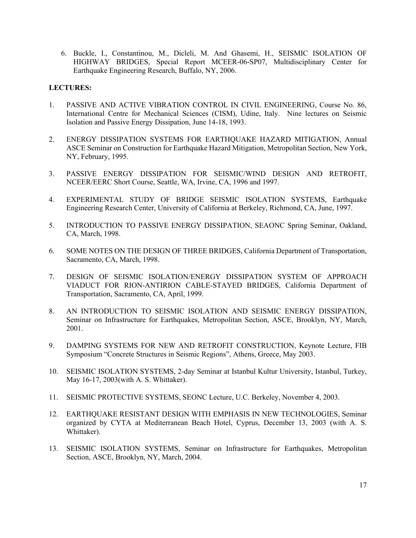6. Buckle, I., Constantinou, M., Dicleli, M. And Ghasemi, H., SEISMIC ISOLATION OF HIGHWAY BRIDGES, Special Report MCEER-06-SP07, Multidisciplinary Center for Earthquake Engineering Research, Buffalo, NY, 2006.

# **LECTURES:**

- 1. PASSIVE AND ACTIVE VIBRATION CONTROL IN CIVIL ENGINEERING, Course No. 86, International Centre for Mechanical Sciences (CISM), Udine, Italy. Nine lectures on Seismic Isolation and Passive Energy Dissipation, June 14-18, 1993.
- 2. ENERGY DISSIPATION SYSTEMS FOR EARTHQUAKE HAZARD MITIGATION, Annual ASCE Seminar on Construction for Earthquake Hazard Mitigation, Metropolitan Section, New York, NY, February, 1995.
- 3. PASSIVE ENERGY DISSIPATION FOR SEISMIC/WIND DESIGN AND RETROFIT, NCEER/EERC Short Course, Seattle, WA, Irvine, CA, 1996 and 1997.
- 4. EXPERIMENTAL STUDY OF BRIDGE SEISMIC ISOLATION SYSTEMS, Earthquake Engineering Research Center, University of California at Berkeley, Richmond, CA, June, 1997.
- 5. INTRODUCTION TO PASSIVE ENERGY DISSIPATION, SEAONC Spring Seminar, Oakland, CA, March, 1998.
- 6. SOME NOTES ON THE DESIGN OF THREE BRIDGES, California Department of Transportation, Sacramento, CA, March, 1998.
- 7. DESIGN OF SEISMIC ISOLATION/ENERGY DISSIPATION SYSTEM OF APPROACH VIADUCT FOR RION-ANTIRION CABLE-STAYED BRIDGES, California Department of Transportation, Sacramento, CA, April, 1999.
- 8. AN INTRODUCTION TO SEISMIC ISOLATION AND SEISMIC ENERGY DISSIPATION, Seminar on Infrastructure for Earthquakes, Metropolitan Section, ASCE, Brooklyn, NY, March, 2001.
- 9. DAMPING SYSTEMS FOR NEW AND RETROFIT CONSTRUCTION, Keynote Lecture, FIB Symposium "Concrete Structures in Seismic Regions", Athens, Greece, May 2003.
- 10. SEISMIC ISOLATION SYSTEMS, 2-day Seminar at Istanbul Kultur University, Istanbul, Turkey, May 16-17, 2003(with A. S. Whittaker).
- 11. SEISMIC PROTECTIVE SYSTEMS, SEONC Lecture, U.C. Berkeley, November 4, 2003.
- 12. EARTHQUAKE RESISTANT DESIGN WITH EMPHASIS IN NEW TECHNOLOGIES, Seminar organized by CYTA at Mediterranean Beach Hotel, Cyprus, December 13, 2003 (with A. S. Whittaker).
- 13. SEISMIC ISOLATION SYSTEMS, Seminar on Infrastructure for Earthquakes, Metropolitan Section, ASCE, Brooklyn, NY, March, 2004.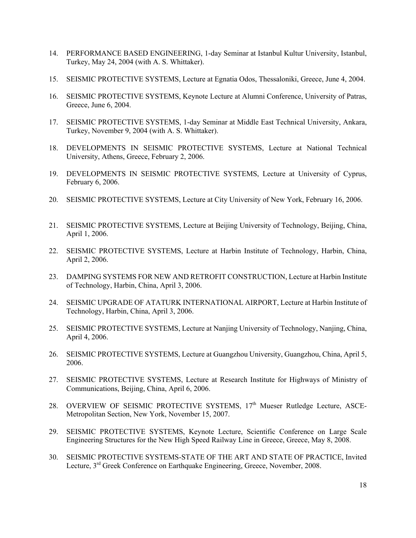- 14. PERFORMANCE BASED ENGINEERING, 1-day Seminar at Istanbul Kultur University, Istanbul, Turkey, May 24, 2004 (with A. S. Whittaker).
- 15. SEISMIC PROTECTIVE SYSTEMS, Lecture at Egnatia Odos, Thessaloniki, Greece, June 4, 2004.
- 16. SEISMIC PROTECTIVE SYSTEMS, Keynote Lecture at Alumni Conference, University of Patras, Greece, June 6, 2004.
- 17. SEISMIC PROTECTIVE SYSTEMS, 1-day Seminar at Middle East Technical University, Ankara, Turkey, November 9, 2004 (with A. S. Whittaker).
- 18. DEVELOPMENTS IN SEISMIC PROTECTIVE SYSTEMS, Lecture at National Technical University, Athens, Greece, February 2, 2006.
- 19. DEVELOPMENTS IN SEISMIC PROTECTIVE SYSTEMS, Lecture at University of Cyprus, February 6, 2006.
- 20. SEISMIC PROTECTIVE SYSTEMS, Lecture at City University of New York, February 16, 2006.
- 21. SEISMIC PROTECTIVE SYSTEMS, Lecture at Beijing University of Technology, Beijing, China, April 1, 2006.
- 22. SEISMIC PROTECTIVE SYSTEMS, Lecture at Harbin Institute of Technology, Harbin, China, April 2, 2006.
- 23. DAMPING SYSTEMS FOR NEW AND RETROFIT CONSTRUCTION, Lecture at Harbin Institute of Technology, Harbin, China, April 3, 2006.
- 24. SEISMIC UPGRADE OF ATATURK INTERNATIONAL AIRPORT, Lecture at Harbin Institute of Technology, Harbin, China, April 3, 2006.
- 25. SEISMIC PROTECTIVE SYSTEMS, Lecture at Nanjing University of Technology, Nanjing, China, April 4, 2006.
- 26. SEISMIC PROTECTIVE SYSTEMS, Lecture at Guangzhou University, Guangzhou, China, April 5, 2006.
- 27. SEISMIC PROTECTIVE SYSTEMS, Lecture at Research Institute for Highways of Ministry of Communications, Beijing, China, April 6, 2006.
- 28. OVERVIEW OF SEISMIC PROTECTIVE SYSTEMS, 17<sup>th</sup> Mueser Rutledge Lecture, ASCE-Metropolitan Section, New York, November 15, 2007.
- 29. SEISMIC PROTECTIVE SYSTEMS, Keynote Lecture, Scientific Conference on Large Scale Engineering Structures for the New High Speed Railway Line in Greece, Greece, May 8, 2008.
- 30. SEISMIC PROTECTIVE SYSTEMS-STATE OF THE ART AND STATE OF PRACTICE, Invited Lecture, 3<sup>rd</sup> Greek Conference on Earthquake Engineering, Greece, November, 2008.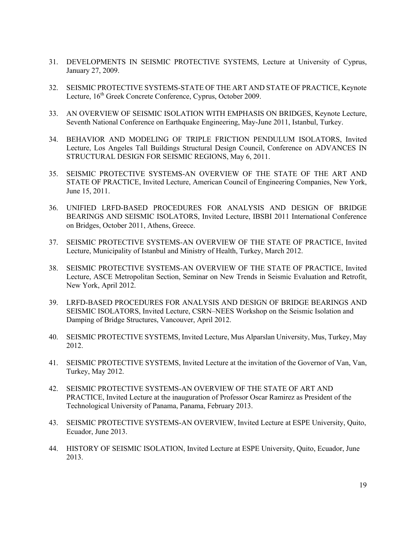- 31. DEVELOPMENTS IN SEISMIC PROTECTIVE SYSTEMS, Lecture at University of Cyprus, January 27, 2009.
- 32. SEISMIC PROTECTIVE SYSTEMS-STATE OF THE ART AND STATE OF PRACTICE, Keynote Lecture, 16<sup>th</sup> Greek Concrete Conference, Cyprus, October 2009.
- 33. AN OVERVIEW OF SEISMIC ISOLATION WITH EMPHASIS ON BRIDGES, Keynote Lecture, Seventh National Conference on Earthquake Engineering, May-June 2011, Istanbul, Turkey.
- 34. BEHAVIOR AND MODELING OF TRIPLE FRICTION PENDULUM ISOLATORS, Invited Lecture, Los Angeles Tall Buildings Structural Design Council, Conference on ADVANCES IN STRUCTURAL DESIGN FOR SEISMIC REGIONS, May 6, 2011.
- 35. SEISMIC PROTECTIVE SYSTEMS-AN OVERVIEW OF THE STATE OF THE ART AND STATE OF PRACTICE, Invited Lecture, American Council of Engineering Companies, New York, June 15, 2011.
- 36. UNIFIED LRFD-BASED PROCEDURES FOR ANALYSIS AND DESIGN OF BRIDGE BEARINGS AND SEISMIC ISOLATORS, Invited Lecture, IBSBI 2011 International Conference on Bridges, October 2011, Athens, Greece.
- 37. SEISMIC PROTECTIVE SYSTEMS-AN OVERVIEW OF THE STATE OF PRACTICE, Invited Lecture, Municipality of Istanbul and Ministry of Health, Turkey, March 2012.
- 38. SEISMIC PROTECTIVE SYSTEMS-AN OVERVIEW OF THE STATE OF PRACTICE, Invited Lecture, ASCE Metropolitan Section, Seminar on New Trends in Seismic Evaluation and Retrofit, New York, April 2012.
- 39. LRFD-BASED PROCEDURES FOR ANALYSIS AND DESIGN OF BRIDGE BEARINGS AND SEISMIC ISOLATORS, Invited Lecture, CSRN–NEES Workshop on the Seismic Isolation and Damping of Bridge Structures, Vancouver, April 2012.
- 40. SEISMIC PROTECTIVE SYSTEMS, Invited Lecture, Mus Alparslan University, Mus, Turkey, May 2012.
- 41. SEISMIC PROTECTIVE SYSTEMS, Invited Lecture at the invitation of the Governor of Van, Van, Turkey, May 2012.
- 42. SEISMIC PROTECTIVE SYSTEMS-AN OVERVIEW OF THE STATE OF ART AND PRACTICE, Invited Lecture at the inauguration of Professor Oscar Ramirez as President of the Technological University of Panama, Panama, February 2013.
- 43. SEISMIC PROTECTIVE SYSTEMS-AN OVERVIEW, Invited Lecture at ESPE University, Quito, Ecuador, June 2013.
- 44. HISTORY OF SEISMIC ISOLATION, Invited Lecture at ESPE University, Quito, Ecuador, June 2013.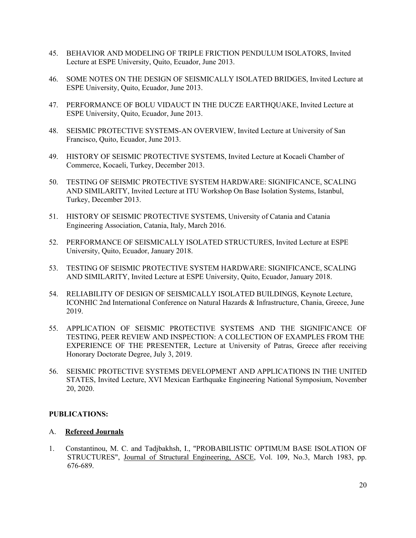- 45. BEHAVIOR AND MODELING OF TRIPLE FRICTION PENDULUM ISOLATORS, Invited Lecture at ESPE University, Quito, Ecuador, June 2013.
- 46. SOME NOTES ON THE DESIGN OF SEISMICALLY ISOLATED BRIDGES, Invited Lecture at ESPE University, Quito, Ecuador, June 2013.
- 47. PERFORMANCE OF BOLU VIDAUCT IN THE DUCZE EARTHQUAKE, Invited Lecture at ESPE University, Quito, Ecuador, June 2013.
- 48. SEISMIC PROTECTIVE SYSTEMS-AN OVERVIEW, Invited Lecture at University of San Francisco, Quito, Ecuador, June 2013.
- 49. HISTORY OF SEISMIC PROTECTIVE SYSTEMS, Invited Lecture at Kocaeli Chamber of Commerce, Kocaeli, Turkey, December 2013.
- 50. TESTING OF SEISMIC PROTECTIVE SYSTEM HARDWARE: SIGNIFICANCE, SCALING AND SIMILARITY, Invited Lecture at ITU Workshop On Base Isolation Systems, Istanbul, Turkey, December 2013.
- 51. HISTORY OF SEISMIC PROTECTIVE SYSTEMS, University of Catania and Catania Engineering Association, Catania, Italy, March 2016.
- 52. PERFORMANCE OF SEISMICALLY ISOLATED STRUCTURES, Invited Lecture at ESPE University, Quito, Ecuador, January 2018.
- 53. TESTING OF SEISMIC PROTECTIVE SYSTEM HARDWARE: SIGNIFICANCE, SCALING AND SIMILARITY, Invited Lecture at ESPE University, Quito, Ecuador, January 2018.
- 54. RELIABILITY OF DESIGN OF SEISMICALLY ISOLATED BUILDINGS, Keynote Lecture, ICONHIC 2nd International Conference on Natural Hazards & Infrastructure, Chania, Greece, June 2019.
- 55. APPLICATION OF SEISMIC PROTECTIVE SYSTEMS AND THE SIGNIFICANCE OF TESTING, PEER REVIEW AND INSPECTION: A COLLECTION OF EXAMPLES FROM THE EXPERIENCE OF THE PRESENTER, Lecture at University of Patras, Greece after receiving Honorary Doctorate Degree, July 3, 2019.
- 56. SEISMIC PROTECTIVE SYSTEMS DEVELOPMENT AND APPLICATIONS IN THE UNITED STATES, Invited Lecture, XVI Mexican Earthquake Engineering National Symposium, November 20, 2020.

# **PUBLICATIONS:**

# A. **Refereed Journals**

1. Constantinou, M. C. and Tadjbakhsh, I., "PROBABILISTIC OPTIMUM BASE ISOLATION OF STRUCTURES", Journal of Structural Engineering, ASCE, Vol. 109, No.3, March 1983, pp. 676-689.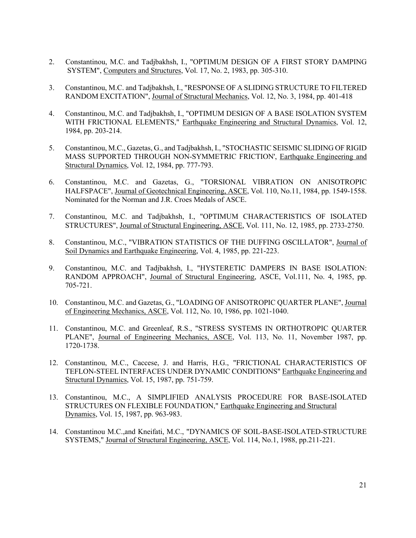- 2. Constantinou, M.C. and Tadjbakhsh, I., "OPTIMUM DESIGN OF A FIRST STORY DAMPING SYSTEM", Computers and Structures, Vol. 17, No. 2, 1983, pp. 305-310.
- 3. Constantinou, M.C. and Tadjbakhsh, I., "RESPONSE OF A SLIDING STRUCTURE TO FILTERED RANDOM EXCITATION", Journal of Structural Mechanics, Vol. 12, No. 3, 1984, pp. 401-418
- 4. Constantinou, M.C. and Tadjbakhsh, I., "OPTIMUM DESIGN OF A BASE ISOLATION SYSTEM WITH FRICTIONAL ELEMENTS," Earthquake Engineering and Structural Dynamics, Vol. 12, 1984, pp. 203-214.
- 5. Constantinou, M.C., Gazetas, G., and Tadjbakhsh, I., "STOCHASTIC SEISMIC SLIDING OF RIGID MASS SUPPORTED THROUGH NON-SYMMETRIC FRICTION', Earthquake Engineering and Structural Dynamics, Vol. 12, 1984, pp. 777-793.
- 6. Constantinou, M.C. and Gazetas, G., "TORSIONAL VIBRATION ON ANISOTROPIC HALFSPACE", Journal of Geotechnical Engineering, ASCE, Vol. 110, No.11, 1984, pp. 1549-1558. Nominated for the Norman and J.R. Croes Medals of ASCE.
- 7. Constantinou, M.C. and Tadjbakhsh, I., "OPTIMUM CHARACTERISTICS OF ISOLATED STRUCTURES", Journal of Structural Engineering, ASCE, Vol. 111, No. 12, 1985, pp. 2733-2750.
- 8. Constantinou, M.C., "VIBRATION STATISTICS OF THE DUFFING OSCILLATOR", Journal of Soil Dynamics and Earthquake Engineering, Vol. 4, 1985, pp. 221-223.
- 9. Constantinou, M.C. and Tadjbakhsh, I., "HYSTERETIC DAMPERS IN BASE ISOLATION: RANDOM APPROACH", Journal of Structural Engineering, ASCE, Vol.111, No. 4, 1985, pp. 705-721.
- 10. Constantinou, M.C. and Gazetas, G., "LOADING OF ANISOTROPIC QUARTER PLANE", Journal of Engineering Mechanics, ASCE, Vol. 112, No. 10, 1986, pp. 1021-1040.
- 11. Constantinou, M.C. and Greenleaf, R.S., "STRESS SYSTEMS IN ORTHOTROPIC QUARTER PLANE", Journal of Engineering Mechanics, ASCE, Vol. 113, No. 11, November 1987, pp. 1720-1738.
- 12. Constantinou, M.C., Caccese, J. and Harris, H.G., "FRICTIONAL CHARACTERISTICS OF TEFLON-STEEL INTERFACES UNDER DYNAMIC CONDITIONS" Earthquake Engineering and Structural Dynamics, Vol. 15, 1987, pp. 751-759.
- 13. Constantinou, M.C., A SIMPLIFIED ANALYSIS PROCEDURE FOR BASE-ISOLATED STRUCTURES ON FLEXIBLE FOUNDATION," Earthquake Engineering and Structural Dynamics, Vol. 15, 1987, pp. 963-983.
- 14. Constantinou M.C.,and Kneifati, M.C., "DYNAMICS OF SOIL-BASE-ISOLATED-STRUCTURE SYSTEMS," Journal of Structural Engineering, ASCE, Vol. 114, No.1, 1988, pp.211-221.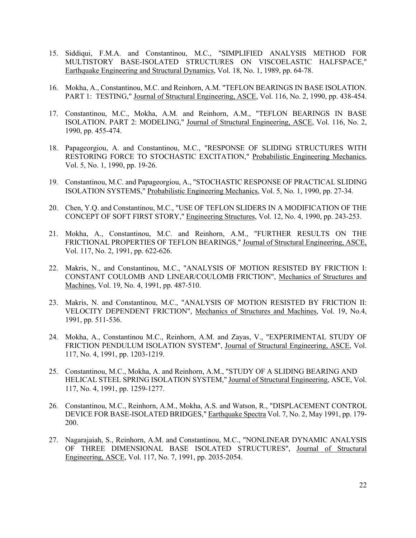- 15. Siddiqui, F.M.A. and Constantinou, M.C., "SIMPLIFIED ANALYSIS METHOD FOR MULTISTORY BASE-ISOLATED STRUCTURES ON VISCOELASTIC HALFSPACE," Earthquake Engineering and Structural Dynamics, Vol. 18, No. 1, 1989, pp. 64-78.
- 16. Mokha, A., Constantinou, M.C. and Reinhorn, A.M. "TEFLON BEARINGS IN BASE ISOLATION. PART 1: TESTING," Journal of Structural Engineering, ASCE, Vol. 116, No. 2, 1990, pp. 438-454.
- 17. Constantinou, M.C., Mokha, A.M. and Reinhorn, A.M., "TEFLON BEARINGS IN BASE ISOLATION. PART 2: MODELING," Journal of Structural Engineering, ASCE, Vol. 116, No. 2, 1990, pp. 455-474.
- 18. Papageorgiou, A. and Constantinou, M.C., "RESPONSE OF SLIDING STRUCTURES WITH RESTORING FORCE TO STOCHASTIC EXCITATION," Probabilistic Engineering Mechanics, Vol. 5, No. 1, 1990, pp. 19-26.
- 19. Constantinou, M.C. and Papageorgiou, A., "STOCHASTIC RESPONSE OF PRACTICAL SLIDING ISOLATION SYSTEMS," Probabilistic Engineering Mechanics, Vol. 5, No. 1, 1990, pp. 27-34.
- 20. Chen, Y.Q. and Constantinou, M.C., "USE OF TEFLON SLIDERS IN A MODIFICATION OF THE CONCEPT OF SOFT FIRST STORY," Engineering Structures, Vol. 12, No. 4, 1990, pp. 243-253.
- 21. Mokha, A., Constantinou, M.C. and Reinhorn, A.M., "FURTHER RESULTS ON THE FRICTIONAL PROPERTIES OF TEFLON BEARINGS," Journal of Structural Engineering, ASCE, Vol. 117, No. 2, 1991, pp. 622-626.
- 22. Makris, N., and Constantinou, M.C., "ANALYSIS OF MOTION RESISTED BY FRICTION I: CONSTANT COULOMB AND LINEAR/COULOMB FRICTION", Mechanics of Structures and Machines, Vol. 19, No. 4, 1991, pp. 487-510.
- 23. Makris, N. and Constantinou, M.C., "ANALYSIS OF MOTION RESISTED BY FRICTION II: VELOCITY DEPENDENT FRICTION", Mechanics of Structures and Machines, Vol. 19, No.4, 1991, pp. 511-536.
- 24. Mokha, A., Constantinou M.C., Reinhorn, A.M. and Zayas, V., "EXPERIMENTAL STUDY OF FRICTION PENDULUM ISOLATION SYSTEM", Journal of Structural Engineering, ASCE, Vol. 117, No. 4, 1991, pp. 1203-1219.
- 25. Constantinou, M.C., Mokha, A. and Reinhorn, A.M., "STUDY OF A SLIDING BEARING AND HELICAL STEEL SPRING ISOLATION SYSTEM," Journal of Structural Engineering, ASCE, Vol. 117, No. 4, 1991, pp. 1259-1277.
- 26. Constantinou, M.C., Reinhorn, A.M., Mokha, A.S. and Watson, R., "DISPLACEMENT CONTROL DEVICE FOR BASE-ISOLATED BRIDGES," Earthquake Spectra Vol. 7, No. 2, May 1991, pp. 179- 200.
- 27. Nagarajaiah, S., Reinhorn, A.M. and Constantinou, M.C., "NONLINEAR DYNAMIC ANALYSIS OF THREE DIMENSIONAL BASE ISOLATED STRUCTURES", Journal of Structural Engineering, ASCE, Vol. 117, No. 7, 1991, pp. 2035-2054.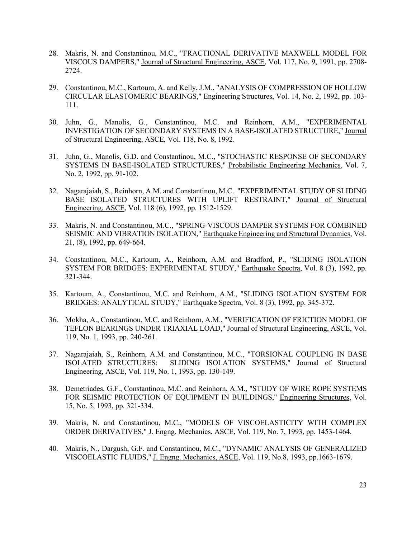- 28. Makris, N. and Constantinou, M.C., "FRACTIONAL DERIVATIVE MAXWELL MODEL FOR VISCOUS DAMPERS," Journal of Structural Engineering, ASCE, Vol. 117, No. 9, 1991, pp. 2708- 2724.
- 29. Constantinou, M.C., Kartoum, A. and Kelly, J.M., "ANALYSIS OF COMPRESSION OF HOLLOW CIRCULAR ELASTOMERIC BEARINGS," Engineering Structures, Vol. 14, No. 2, 1992, pp. 103- 111.
- 30. Juhn, G., Manolis, G., Constantinou, M.C. and Reinhorn, A.M., "EXPERIMENTAL INVESTIGATION OF SECONDARY SYSTEMS IN A BASE-ISOLATED STRUCTURE," Journal of Structural Engineering, ASCE, Vol. 118, No. 8, 1992.
- 31. Juhn, G., Manolis, G.D. and Constantinou, M.C., "STOCHASTIC RESPONSE OF SECONDARY SYSTEMS IN BASE-ISOLATED STRUCTURES," Probabilistic Engineering Mechanics, Vol. 7, No. 2, 1992, pp. 91-102.
- 32. Nagarajaiah, S., Reinhorn, A.M. and Constantinou, M.C. "EXPERIMENTAL STUDY OF SLIDING BASE ISOLATED STRUCTURES WITH UPLIFT RESTRAINT," Journal of Structural Engineering, ASCE, Vol. 118 (6), 1992, pp. 1512-1529.
- 33. Makris, N. and Constantinou, M.C., "SPRING-VISCOUS DAMPER SYSTEMS FOR COMBINED SEISMIC AND VIBRATION ISOLATION," Earthquake Engineering and Structural Dynamics, Vol. 21, (8), 1992, pp. 649-664.
- 34. Constantinou, M.C., Kartoum, A., Reinhorn, A.M. and Bradford, P., "SLIDING ISOLATION SYSTEM FOR BRIDGES: EXPERIMENTAL STUDY," Earthquake Spectra, Vol. 8 (3), 1992, pp. 321-344.
- 35. Kartoum, A., Constantinou, M.C. and Reinhorn, A.M., "SLIDING ISOLATION SYSTEM FOR BRIDGES: ANALYTICAL STUDY," Earthquake Spectra, Vol. 8 (3), 1992, pp. 345-372.
- 36. Mokha, A., Constantinou, M.C. and Reinhorn, A.M., "VERIFICATION OF FRICTION MODEL OF TEFLON BEARINGS UNDER TRIAXIAL LOAD," Journal of Structural Engineering, ASCE, Vol. 119, No. 1, 1993, pp. 240-261.
- 37. Nagarajaiah, S., Reinhorn, A.M. and Constantinou, M.C., "TORSIONAL COUPLING IN BASE ISOLATED STRUCTURES: SLIDING ISOLATION SYSTEMS," Journal of Structural Engineering, ASCE, Vol. 119, No. 1, 1993, pp. 130-149.
- 38. Demetriades, G.F., Constantinou, M.C. and Reinhorn, A.M., "STUDY OF WIRE ROPE SYSTEMS FOR SEISMIC PROTECTION OF EQUIPMENT IN BUILDINGS," Engineering Structures, Vol. 15, No. 5, 1993, pp. 321-334.
- 39. Makris, N. and Constantinou, M.C., "MODELS OF VISCOELASTICITY WITH COMPLEX ORDER DERIVATIVES," J. Engng. Mechanics, ASCE, Vol. 119, No. 7, 1993, pp. 1453-1464.
- 40. Makris, N., Dargush, G.F. and Constantinou, M.C., "DYNAMIC ANALYSIS OF GENERALIZED VISCOELASTIC FLUIDS," J. Engng. Mechanics, ASCE, Vol. 119, No.8, 1993, pp.1663-1679.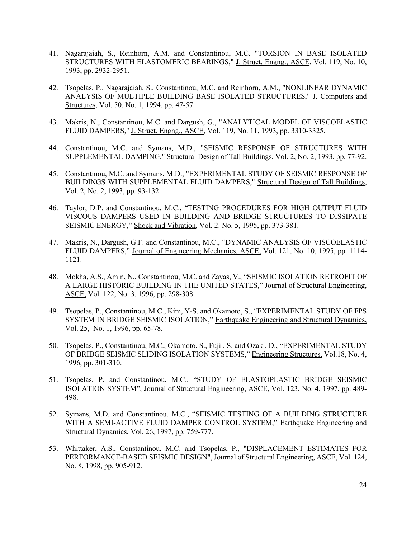- 41. Nagarajaiah, S., Reinhorn, A.M. and Constantinou, M.C. "TORSION IN BASE ISOLATED STRUCTURES WITH ELASTOMERIC BEARINGS," J. Struct. Engng., ASCE, Vol. 119, No. 10, 1993, pp. 2932-2951.
- 42. Tsopelas, P., Nagarajaiah, S., Constantinou, M.C. and Reinhorn, A.M., "NONLINEAR DYNAMIC ANALYSIS OF MULTIPLE BUILDING BASE ISOLATED STRUCTURES," J. Computers and Structures, Vol. 50, No. 1, 1994, pp. 47-57.
- 43. Makris, N., Constantinou, M.C. and Dargush, G., "ANALYTICAL MODEL OF VISCOELASTIC FLUID DAMPERS," J. Struct. Engng., ASCE, Vol. 119, No. 11, 1993, pp. 3310-3325.
- 44. Constantinou, M.C. and Symans, M.D., "SEISMIC RESPONSE OF STRUCTURES WITH SUPPLEMENTAL DAMPING," Structural Design of Tall Buildings, Vol. 2, No. 2, 1993, pp. 77-92.
- 45. Constantinou, M.C. and Symans, M.D., "EXPERIMENTAL STUDY OF SEISMIC RESPONSE OF BUILDINGS WITH SUPPLEMENTAL FLUID DAMPERS," Structural Design of Tall Buildings, Vol. 2, No. 2, 1993, pp. 93-132.
- 46. Taylor, D.P. and Constantinou, M.C., "TESTING PROCEDURES FOR HIGH OUTPUT FLUID VISCOUS DAMPERS USED IN BUILDING AND BRIDGE STRUCTURES TO DISSIPATE SEISMIC ENERGY," Shock and Vibration, Vol. 2. No. 5, 1995, pp. 373-381.
- 47. Makris, N., Dargush, G.F. and Constantinou, M.C., "DYNAMIC ANALYSIS OF VISCOELASTIC FLUID DAMPERS," Journal of Engineering Mechanics, ASCE, Vol. 121, No. 10, 1995, pp. 1114- 1121.
- 48. Mokha, A.S., Amin, N., Constantinou, M.C. and Zayas, V., "SEISMIC ISOLATION RETROFIT OF A LARGE HISTORIC BUILDING IN THE UNITED STATES," Journal of Structural Engineering, ASCE, Vol. 122, No. 3, 1996, pp. 298-308.
- 49. Tsopelas, P., Constantinou, M.C., Kim, Y-S. and Okamoto, S., "EXPERIMENTAL STUDY OF FPS SYSTEM IN BRIDGE SEISMIC ISOLATION," Earthquake Engineering and Structural Dynamics, Vol. 25, No. 1, 1996, pp. 65-78.
- 50. Tsopelas, P., Constantinou, M.C., Okamoto, S., Fujii, S. and Ozaki, D., "EXPERIMENTAL STUDY OF BRIDGE SEISMIC SLIDING ISOLATION SYSTEMS," Engineering Structures, Vol.18, No. 4, 1996, pp. 301-310.
- 51. Tsopelas, P. and Constantinou, M.C., "STUDY OF ELASTOPLASTIC BRIDGE SEISMIC ISOLATION SYSTEM", Journal of Structural Engineering, ASCE, Vol. 123, No. 4, 1997, pp. 489- 498.
- 52. Symans, M.D. and Constantinou, M.C., "SEISMIC TESTING OF A BUILDING STRUCTURE WITH A SEMI-ACTIVE FLUID DAMPER CONTROL SYSTEM," Earthquake Engineering and Structural Dynamics, Vol. 26, 1997, pp. 759-777.
- 53. Whittaker, A.S., Constantinou, M.C. and Tsopelas, P., "DISPLACEMENT ESTIMATES FOR PERFORMANCE-BASED SEISMIC DESIGN", Journal of Structural Engineering, ASCE, Vol. 124, No. 8, 1998, pp. 905-912.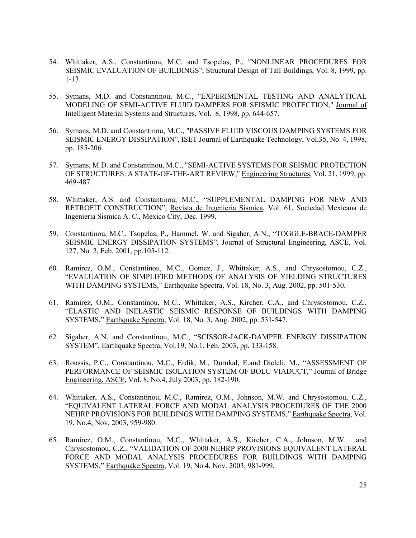- 54. Whittaker, A.S., Constantinou, M.C. and Tsopelas, P., "NONLINEAR PROCEDURES FOR SEISMIC EVALUATION OF BUILDINGS", Structural Design of Tall Buildings, Vol. 8, 1999, pp. 1-13.
- 55. Symans, M.D. and Constantinou, M.C., "EXPERIMENTAL TESTING AND ANALYTICAL MODELING OF SEMI-ACTIVE FLUID DAMPERS FOR SEISMIC PROTECTION," Journal of Intelligent Material Systems and Structures, Vol. 8, 1998, pp. 644-657.
- 56. Symans, M.D. and Constantinou, M.C., "PASSIVE FLUID VISCOUS DAMPING SYSTEMS FOR SEISMIC ENERGY DISSIPATION", ISET Journal of Earthquake Technology, Vol.35, No. 4, 1998, pp. 185-206.
- 57. Symans, M.D. and Constantinou, M.C., "SEMI-ACTIVE SYSTEMS FOR SEISMIC PROTECTION OF STRUCTURES: A STATE-OF-THE-ART REVIEW," Engineering Structures, Vol. 21, 1999, pp. 469-487.
- 58. Whittaker, A.S. and Constantinou, M.C., "SUPPLEMENTAL DAMPING FOR NEW AND RETROFIT CONSTRUCTION", Revista de Ingenieria Sismica, Vol. 61, Sociedad Mexicana de Ingenieria Sismica A. C., Mexico City, Dec. 1999.
- 59. Constantinou, M.C., Tsopelas, P., Hammel, W. and Sigaher, A.N., "TOGGLE-BRACE-DAMPER SEISMIC ENERGY DISSIPATION SYSTEMS", Journal of Structural Engineering, ASCE, Vol. 127, No. 2, Feb. 2001, pp.105-112.
- 60. Ramirez, O.M., Constantinou, M.C., Gomez, J., Whittaker, A.S., and Chrysostomou, C.Z., "EVALUATION OF SIMPLIFIED METHODS OF ANALYSIS OF YIELDING STRUCTURES WITH DAMPING SYSTEMS," Earthquake Spectra, Vol. 18, No. 3, Aug. 2002, pp. 501-530.
- 61. Ramirez, O.M., Constantinou, M.C., Whittaker, A.S., Kircher, C.A., and Chrysostomou, C.Z., "ELASTIC AND INELASTIC SEISMIC RESPONSE OF BUILDINGS WITH DAMPING SYSTEMS," Earthquake Spectra, Vol. 18, No. 3, Aug. 2002, pp. 531-547.
- 62. Sigaher, A.N. and Constantinou, M.C., "SCISSOR-JACK-DAMPER ENERGY DISSIPATION SYSTEM", Earthquake Spectra, Vol.19, No.1, Feb. 2003, pp. 133-158.
- 63. Roussis, P.C., Constantinou, M.C., Erdik, M., Durukal, E.and Dicleli, M., "ASSESSMENT OF PERFORMANCE OF SEISMIC ISOLATION SYSTEM OF BOLU VIADUCT," Journal of Bridge Engineering, ASCE, Vol. 8, No.4, July 2003, pp. 182-190.
- 64. Whittaker, A.S., Constantinou, M.C., Ramirez, O.M., Johnson, M.W. and Chrysostomou, C.Z., "EQUIVALENT LATERAL FORCE AND MODAL ANALYSIS PROCEDURES OF THE 2000 NEHRP PROVISIONS FOR BUILDINGS WITH DAMPING SYSTEMS," Earthquake Spectra, Vol. 19, No.4, Nov. 2003, 959-980.
- 65. Ramirez, O.M., Constantinou, M.C., Whittaker, A.S., Kircher, C.A., Johnson, M.W. and Chrysostomou, C.Z., "VALIDATION OF 2000 NEHRP PROVISIONS EQUIVALENT LATERAL FORCE AND MODAL ANALYSIS PROCEDURES FOR BUILDINGS WITH DAMPING SYSTEMS," Earthquake Spectra, Vol. 19, No.4, Nov. 2003, 981-999.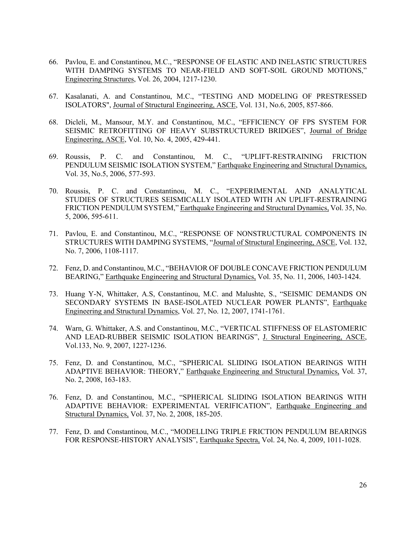- 66. Pavlou, E. and Constantinou, M.C., "RESPONSE OF ELASTIC AND INELASTIC STRUCTURES WITH DAMPING SYSTEMS TO NEAR-FIELD AND SOFT-SOIL GROUND MOTIONS," Engineering Structures, Vol. 26, 2004, 1217-1230.
- 67. Kasalanati, A. and Constantinou, M.C., "TESTING AND MODELING OF PRESTRESSED ISOLATORS", Journal of Structural Engineering, ASCE, Vol. 131, No.6, 2005, 857-866.
- 68. Dicleli, M., Mansour, M.Y. and Constantinou, M.C., "EFFICIENCY OF FPS SYSTEM FOR SEISMIC RETROFITTING OF HEAVY SUBSTRUCTURED BRIDGES", Journal of Bridge Engineering, ASCE, Vol. 10, No. 4, 2005, 429-441.
- 69. Roussis, P. C. and Constantinou, M. C., "UPLIFT-RESTRAINING FRICTION PENDULUM SEISMIC ISOLATION SYSTEM," Earthquake Engineering and Structural Dynamics, Vol. 35, No.5, 2006, 577-593.
- 70. Roussis, P. C. and Constantinou, M. C., "EXPERIMENTAL AND ANALYTICAL STUDIES OF STRUCTURES SEISMICALLY ISOLATED WITH AN UPLIFT-RESTRAINING FRICTION PENDULUM SYSTEM," Earthquake Engineering and Structural Dynamics, Vol. 35, No. 5, 2006, 595-611.
- 71. Pavlou, E. and Constantinou, M.C., "RESPONSE OF NONSTRUCTURAL COMPONENTS IN STRUCTURES WITH DAMPING SYSTEMS, "Journal of Structural Engineering, ASCE, Vol. 132, No. 7, 2006, 1108-1117.
- 72. Fenz, D. and Constantinou, M.C., "BEHAVIOR OF DOUBLE CONCAVE FRICTION PENDULUM BEARING," Earthquake Engineering and Structural Dynamics, Vol. 35, No. 11, 2006, 1403-1424.
- 73. Huang Y-N, Whittaker, A.S, Constantinou, M.C. and Malushte, S., "SEISMIC DEMANDS ON SECONDARY SYSTEMS IN BASE-ISOLATED NUCLEAR POWER PLANTS", Earthquake Engineering and Structural Dynamics, Vol. 27, No. 12, 2007, 1741-1761.
- 74. Warn, G. Whittaker, A.S. and Constantinou, M.C., "VERTICAL STIFFNESS OF ELASTOMERIC AND LEAD-RUBBER SEISMIC ISOLATION BEARINGS", J. Structural Engineering, ASCE, Vol.133, No. 9, 2007, 1227-1236.
- 75. Fenz, D. and Constantinou, M.C., "SPHERICAL SLIDING ISOLATION BEARINGS WITH ADAPTIVE BEHAVIOR: THEORY," Earthquake Engineering and Structural Dynamics, Vol. 37, No. 2, 2008, 163-183.
- 76. Fenz, D. and Constantinou, M.C., "SPHERICAL SLIDING ISOLATION BEARINGS WITH ADAPTIVE BEHAVIOR: EXPERIMENTAL VERIFICATION", Earthquake Engineering and Structural Dynamics, Vol. 37, No. 2, 2008, 185-205.
- 77. Fenz, D. and Constantinou, M.C., "MODELLING TRIPLE FRICTION PENDULUM BEARINGS FOR RESPONSE-HISTORY ANALYSIS", Earthquake Spectra, Vol. 24, No. 4, 2009, 1011-1028.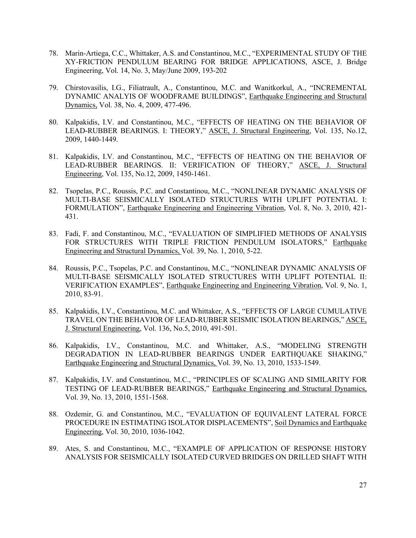- 78. Marin-Artiega, C.C., Whittaker, A.S. and Constantinou, M.C., "EXPERIMENTAL STUDY OF THE XY-FRICTION PENDULUM BEARING FOR BRIDGE APPLICATIONS, ASCE, J. Bridge Engineering, Vol. 14, No. 3, May/June 2009, 193-202
- 79. Chirstovasilis, I.G., Filiatrault, A., Constantinou, M.C. and Wanitkorkul, A., "INCREMENTAL DYNAMIC ANALYIS OF WOODFRAME BUILDINGS", Earthquake Engineering and Structural Dynamics, Vol. 38, No. 4, 2009, 477-496.
- 80. Kalpakidis, I.V. and Constantinou, M.C., "EFFECTS OF HEATING ON THE BEHAVIOR OF LEAD-RUBBER BEARINGS. I: THEORY," ASCE, J. Structural Engineering, Vol. 135, No.12, 2009, 1440-1449.
- 81. Kalpakidis, I.V. and Constantinou, M.C., "EFFECTS OF HEATING ON THE BEHAVIOR OF LEAD-RUBBER BEARINGS. II: VERIFICATION OF THEORY," ASCE, J. Structural Engineering, Vol. 135, No.12, 2009, 1450-1461.
- 82. Tsopelas, P.C., Roussis, P.C. and Constantinou, M.C., "NONLINEAR DYNAMIC ANALYSIS OF MULTI-BASE SEISMICALLY ISOLATED STRUCTURES WITH UPLIFT POTENTIAL I: FORMULATION", Earthquake Engineering and Engineering Vibration, Vol. 8, No. 3, 2010, 421- 431.
- 83. Fadi, F. and Constantinou, M.C., "EVALUATION OF SIMPLIFIED METHODS OF ANALYSIS FOR STRUCTURES WITH TRIPLE FRICTION PENDULUM ISOLATORS," Earthquake Engineering and Structural Dynamics, Vol. 39, No. 1, 2010, 5-22.
- 84. Roussis, P.C., Tsopelas, P.C. and Constantinou, M.C., "NONLINEAR DYNAMIC ANALYSIS OF MULTI-BASE SEISMICALLY ISOLATED STRUCTURES WITH UPLIFT POTENTIAL II: VERIFICATION EXAMPLES", Earthquake Engineering and Engineering Vibration, Vol. 9, No. 1, 2010, 83-91.
- 85. Kalpakidis, I.V., Constantinou, M.C. and Whittaker, A.S., "EFFECTS OF LARGE CUMULATIVE TRAVEL ON THE BEHAVIOR OF LEAD-RUBBER SEISMIC ISOLATION BEARINGS," ASCE, J. Structural Engineering, Vol. 136, No.5, 2010, 491-501.
- 86. Kalpakidis, I.V., Constantinou, M.C. and Whittaker, A.S., "MODELING STRENGTH DEGRADATION IN LEAD-RUBBER BEARINGS UNDER EARTHQUAKE SHAKING," Earthquake Engineering and Structural Dynamics, Vol. 39, No. 13, 2010, 1533-1549.
- 87. Kalpakidis, I.V. and Constantinou, M.C., "PRINCIPLES OF SCALING AND SIMILARITY FOR TESTING OF LEAD-RUBBER BEARINGS," Earthquake Engineering and Structural Dynamics, Vol. 39, No. 13, 2010, 1551-1568.
- 88. Ozdemir, G. and Constantinou, M.C., "EVALUATION OF EQUIVALENT LATERAL FORCE PROCEDURE IN ESTIMATING ISOLATOR DISPLACEMENTS", Soil Dynamics and Earthquake Engineering, Vol. 30, 2010, 1036-1042.
- 89. Ates, S. and Constantinou, M.C., "EXAMPLE OF APPLICATION OF RESPONSE HISTORY ANALYSIS FOR SEISMICALLY ISOLATED CURVED BRIDGES ON DRILLED SHAFT WITH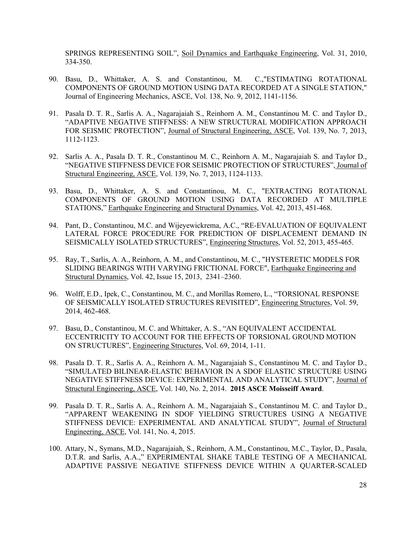SPRINGS REPRESENTING SOIL", Soil Dynamics and Earthquake Engineering, Vol. 31, 2010, 334-350.

- 90. Basu, D., Whittaker, A. S. and Constantinou, M. C.,"ESTIMATING ROTATIONAL COMPONENTS OF GROUND MOTION USING DATA RECORDED AT A SINGLE STATION," Journal of Engineering Mechanics, ASCE, Vol. 138, No. 9, 2012, 1141-1156.
- 91. Pasala D. T. R., Sarlis A. A., Nagarajaiah S., Reinhorn A. M., Constantinou M. C. and Taylor D., "ADAPTIVE NEGATIVE STIFFNESS: A NEW STRUCTURAL MODIFICATION APPROACH FOR SEISMIC PROTECTION", Journal of Structural Engineering, ASCE, Vol. 139, No. 7, 2013, 1112-1123.
- 92. Sarlis A. A., Pasala D. T. R., Constantinou M. C., Reinhorn A. M., Nagarajaiah S. and Taylor D., "NEGATIVE STIFFNESS DEVICE FOR SEISMIC PROTECTION OF STRUCTURES", Journal of Structural Engineering, ASCE, Vol. 139, No. 7, 2013, 1124-1133.
- 93. Basu, D., Whittaker, A. S. and Constantinou, M. C., "EXTRACTING ROTATIONAL COMPONENTS OF GROUND MOTION USING DATA RECORDED AT MULTIPLE STATIONS," Earthquake Engineering and Structural Dynamics, Vol. 42, 2013, 451-468.
- 94. Pant, D., Constantinou, M.C. and Wijeyewickrema, A.C., "RE-EVALUATION OF EQUIVALENT LATERAL FORCE PROCEDURE FOR PREDICTION OF DISPLACEMENT DEMAND IN SEISMICALLY ISOLATED STRUCTURES", Engineering Structures, Vol. 52, 2013, 455-465.
- 95. Ray, T., Sarlis, A. A., Reinhorn, A. M., and Constantinou, M. C., "HYSTERETIC MODELS FOR SLIDING BEARINGS WITH VARYING FRICTIONAL FORCE", Earthquake Engineering and Structural Dynamics, Vol. 42, Issue 15, 2013, 2341–2360.
- 96. Wolff, E.D., Ipek, C., Constantinou, M. C., and Morillas Romero, L., "TORSIONAL RESPONSE OF SEISMICALLY ISOLATED STRUCTURES REVISITED", Engineering Structures, Vol. 59, 2014, 462-468.
- 97. Basu, D., Constantinou, M. C. and Whittaker, A. S., "AN EQUIVALENT ACCIDENTAL ECCENTRICITY TO ACCOUNT FOR THE EFFECTS OF TORSIONAL GROUND MOTION ON STRUCTURES", Engineering Structures, Vol. 69, 2014, 1-11.
- 98. Pasala D. T. R., Sarlis A. A., Reinhorn A. M., Nagarajaiah S., Constantinou M. C. and Taylor D., "SIMULATED BILINEAR-ELASTIC BEHAVIOR IN A SDOF ELASTIC STRUCTURE USING NEGATIVE STIFFNESS DEVICE: EXPERIMENTAL AND ANALYTICAL STUDY", Journal of Structural Engineering, ASCE, Vol. 140, No. 2, 2014. **2015 ASCE Moisseiff Award**.
- 99. Pasala D. T. R., Sarlis A. A., Reinhorn A. M., Nagarajaiah S., Constantinou M. C. and Taylor D., "APPARENT WEAKENING IN SDOF YIELDING STRUCTURES USING A NEGATIVE STIFFNESS DEVICE: EXPERIMENTAL AND ANALYTICAL STUDY", Journal of Structural Engineering, ASCE, Vol. 141, No. 4, 2015.
- 100. Attary, N., Symans, M.D., Nagarajaiah, S., Reinhorn, A.M., Constantinou, M.C., Taylor, D., Pasala, D.T.R. and Sarlis, A.A.," EXPERIMENTAL SHAKE TABLE TESTING OF A MECHANICAL ADAPTIVE PASSIVE NEGATIVE STIFFNESS DEVICE WITHIN A QUARTER-SCALED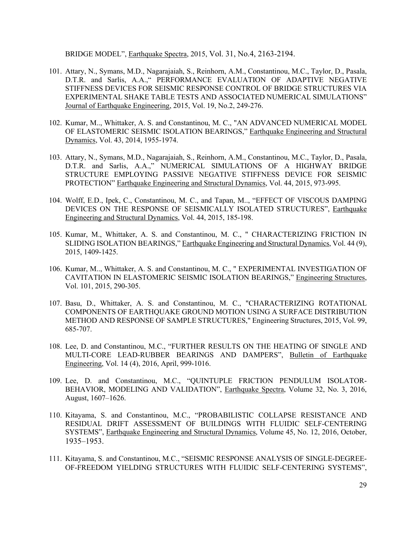BRIDGE MODEL", Earthquake Spectra, 2015, Vol. 31, No.4, 2163-2194.

- 101. Attary, N., Symans, M.D., Nagarajaiah, S., Reinhorn, A.M., Constantinou, M.C., Taylor, D., Pasala, D.T.R. and Sarlis, A.A.," PERFORMANCE EVALUATION OF ADAPTIVE NEGATIVE STIFFNESS DEVICES FOR SEISMIC RESPONSE CONTROL OF BRIDGE STRUCTURES VIA EXPERIMENTAL SHAKE TABLE TESTS AND ASSOCIATED NUMERICAL SIMULATIONS" Journal of Earthquake Engineering, 2015, Vol. 19, No.2, 249-276.
- 102. Kumar, M.., Whittaker, A. S. and Constantinou, M. C., "AN ADVANCED NUMERICAL MODEL OF ELASTOMERIC SEISMIC ISOLATION BEARINGS," Earthquake Engineering and Structural Dynamics, Vol. 43, 2014, 1955-1974.
- 103. Attary, N., Symans, M.D., Nagarajaiah, S., Reinhorn, A.M., Constantinou, M.C., Taylor, D., Pasala, D.T.R. and Sarlis, A.A.," NUMERICAL SIMULATIONS OF A HIGHWAY BRIDGE STRUCTURE EMPLOYING PASSIVE NEGATIVE STIFFNESS DEVICE FOR SEISMIC PROTECTION" Earthquake Engineering and Structural Dynamics, Vol. 44, 2015, 973-995.
- 104. Wolff, E.D., Ipek, C., Constantinou, M. C., and Tapan, M.., "EFFECT OF VISCOUS DAMPING DEVICES ON THE RESPONSE OF SEISMICALLY ISOLATED STRUCTURES", Earthquake Engineering and Structural Dynamics, Vol. 44, 2015, 185-198.
- 105. Kumar, M., Whittaker, A. S. and Constantinou, M. C., " CHARACTERIZING FRICTION IN SLIDING ISOLATION BEARINGS," Earthquake Engineering and Structural Dynamics, Vol. 44 (9), 2015, 1409-1425.
- 106. Kumar, M.., Whittaker, A. S. and Constantinou, M. C., " EXPERIMENTAL INVESTIGATION OF CAVITATION IN ELASTOMERIC SEISMIC ISOLATION BEARINGS," Engineering Structures, Vol. 101, 2015, 290-305.
- 107. Basu, D., Whittaker, A. S. and Constantinou, M. C., "CHARACTERIZING ROTATIONAL COMPONENTS OF EARTHQUAKE GROUND MOTION USING A SURFACE DISTRIBUTION METHOD AND RESPONSE OF SAMPLE STRUCTURES," Engineering Structures, 2015, Vol. 99, 685-707.
- 108. Lee, D. and Constantinou, M.C., "FURTHER RESULTS ON THE HEATING OF SINGLE AND MULTI-CORE LEAD-RUBBER BEARINGS AND DAMPERS", Bulletin of Earthquake Engineering, Vol. 14 (4), 2016, April, 999-1016.
- 109. Lee, D. and Constantinou, M.C., "QUINTUPLE FRICTION PENDULUM ISOLATOR-BEHAVIOR, MODELING AND VALIDATION", Earthquake Spectra, Volume 32, No. 3, 2016, August, 1607–1626.
- 110. Kitayama, S. and Constantinou, M.C., "PROBABILISTIC COLLAPSE RESISTANCE AND RESIDUAL DRIFT ASSESSMENT OF BUILDINGS WITH FLUIDIC SELF-CENTERING SYSTEMS", Earthquake Engineering and Structural Dynamics, Volume 45, No. 12, 2016, October, 1935–1953.
- 111. Kitayama, S. and Constantinou, M.C., "SEISMIC RESPONSE ANALYSIS OF SINGLE-DEGREE-OF-FREEDOM YIELDING STRUCTURES WITH FLUIDIC SELF-CENTERING SYSTEMS",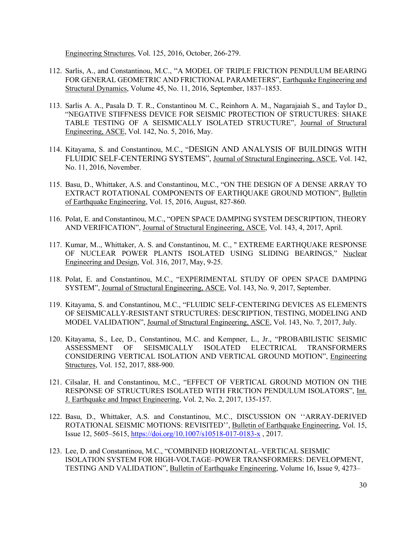Engineering Structures, Vol. 125, 2016, October, 266-279.

- 112. Sarlis, A., and Constantinou, M.C., "A MODEL OF TRIPLE FRICTION PENDULUM BEARING FOR GENERAL GEOMETRIC AND FRICTIONAL PARAMETERS", Earthquake Engineering and Structural Dynamics, Volume 45, No. 11, 2016, September, 1837–1853.
- 113. Sarlis A. A., Pasala D. T. R., Constantinou M. C., Reinhorn A. M., Nagarajaiah S., and Taylor D., "NEGATIVE STIFFNESS DEVICE FOR SEISMIC PROTECTION OF STRUCTURES: SHAKE TABLE TESTING OF A SEISMICALLY ISOLATED STRUCTURE", Journal of Structural Engineering, ASCE, Vol. 142, No. 5, 2016, May.
- 114. Kitayama, S. and Constantinou, M.C., "DESIGN AND ANALYSIS OF BUILDINGS WITH FLUIDIC SELF-CENTERING SYSTEMS", Journal of Structural Engineering, ASCE, Vol. 142, No. 11, 2016, November.
- 115. Basu, D., Whittaker, A.S. and Constantinou, M.C., "ON THE DESIGN OF A DENSE ARRAY TO EXTRACT ROTATIONAL COMPONENTS OF EARTHQUAKE GROUND MOTION", Bulletin of Earthquake Engineering, Vol. 15, 2016, August, 827-860.
- 116. Polat, E. and Constantinou, M.C., "OPEN SPACE DAMPING SYSTEM DESCRIPTION, THEORY AND VERIFICATION", Journal of Structural Engineering, ASCE, Vol. 143, 4, 2017, April.
- 117. Kumar, M.., Whittaker, A. S. and Constantinou, M. C., " EXTREME EARTHQUAKE RESPONSE OF NUCLEAR POWER PLANTS ISOLATED USING SLIDING BEARINGS," Nuclear Engineering and Design, Vol. 316, 2017, May, 9-25.
- 118. Polat, E. and Constantinou, M.C., "EXPERIMENTAL STUDY OF OPEN SPACE DAMPING SYSTEM", Journal of Structural Engineering, ASCE, Vol. 143, No. 9, 2017, September.
- 119. Kitayama, S. and Constantinou, M.C., "FLUIDIC SELF-CENTERING DEVICES AS ELEMENTS OF SEISMICALLY-RESISTANT STRUCTURES: DESCRIPTION, TESTING, MODELING AND MODEL VALIDATION", Journal of Structural Engineering, ASCE, Vol. 143, No. 7, 2017, July.
- 120. Kitayama, S., Lee, D., Constantinou, M.C. and Kempner, L., Jr., "PROBABILISTIC SEISMIC ASSESSMENT OF SEISMICALLY ISOLATED ELECTRICAL TRANSFORMERS CONSIDERING VERTICAL ISOLATION AND VERTICAL GROUND MOTION", Engineering Structures, Vol. 152, 2017, 888-900.
- 121. Cilsalar, H. and Constantinou, M.C., "EFFECT OF VERTICAL GROUND MOTION ON THE RESPONSE OF STRUCTURES ISOLATED WITH FRICTION PENDULUM ISOLATORS", Int. J. Earthquake and Impact Engineering, Vol. 2, No. 2, 2017, 135-157.
- 122. Basu, D., Whittaker, A.S. and Constantinou, M.C., DISCUSSION ON ''ARRAY-DERIVED ROTATIONAL SEISMIC MOTIONS: REVISITED'', Bulletin of Earthquake Engineering, Vol. 15, Issue 12, 5605–5615, https://doi.org/10.1007/s10518-017-0183-x , 2017.
- 123. Lee, D. and Constantinou, M.C., "COMBINED HORIZONTAL–VERTICAL SEISMIC ISOLATION SYSTEM FOR HIGH-VOLTAGE–POWER TRANSFORMERS: DEVELOPMENT, TESTING AND VALIDATION", Bulletin of Earthquake Engineering, Volume 16, Issue 9, 4273–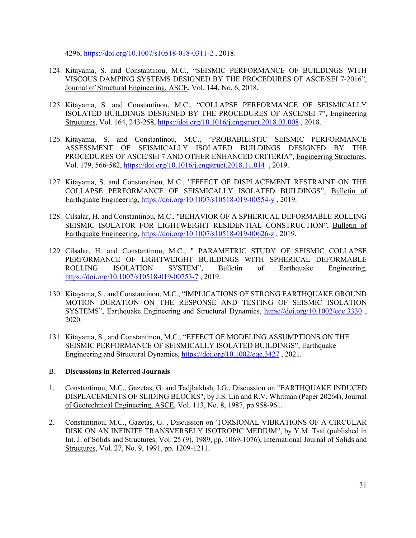4296, https://doi.org/10.1007/s10518-018-0311-2 , 2018.

- 124. Kitayama, S. and Constantinou, M.C., "SEISMIC PERFORMANCE OF BUILDINGS WITH VISCOUS DAMPING SYSTEMS DESIGNED BY THE PROCEDURES OF ASCE/SEI 7-2016", Journal of Structural Engineering, ASCE, Vol. 144, No. 6, 2018.
- 125. Kitayama, S. and Constantinou, M.C., "COLLAPSE PERFORMANCE OF SEISMICALLY ISOLATED BUILDINGS DESIGNED BY THE PROCEDURES OF ASCE/SEI 7", Engineering Structures, Vol. 164, 243-258, https://doi.org/10.1016/j.engstruct.2018.03.008 , 2018.
- 126. Kitayama, S. and Constantinou, M.C., "PROBABILISTIC SEISMIC PERFORMANCE ASSESSMENT OF SEISMICALLY ISOLATED BUILDINGS DESIGNED BY THE PROCEDURES OF ASCE/SEI 7 AND OTHER ENHANCED CRITERIA", Engineering Structures, Vol. 179, 566-582, https://doi.org/10.1016/j.engstruct.2018.11.014 , 2019.
- 127. Kitayama, S. and Constantinou, M.C., "EFFECT OF DISPLACEMENT RESTRAINT ON THE COLLAPSE PERFORMANCE OF SEISMICALLY ISOLATED BUILDINGS", Bulletin of Earthquake Engineering, https://doi.org/10.1007/s10518-019-00554-y , 2019.
- 128. Cilsalar, H. and Constantinou, M.C., "BEHAVIOR OF A SPHERICAL DEFORMABLE ROLLING SEISMIC ISOLATOR FOR LIGHTWEIGHT RESIDENTIAL CONSTRUCTION", Bulletin of Earthquake Engineering, https://doi.org/10.1007/s10518-019-00626-z , 2019.
- 129. Cilsalar, H. and Constantinou, M.C., " PARAMETRIC STUDY OF SEISMIC COLLAPSE PERFORMANCE OF LIGHTWEIGHT BUILDINGS WITH SPHERICAL DEFORMABLE ROLLING ISOLATION SYSTEM", Bulletin of Earthquake Engineering, https://doi.org/10.1007/s10518-019-00753-7, 2019.
- 130. Kitayama, S., and Constantinou, M.C., "IMPLICATIONS OF STRONG EARTHQUAKE GROUND MOTION DURATION ON THE RESPONSE AND TESTING OF SEISMIC ISOLATION SYSTEMS", Earthquake Engineering and Structural Dynamics, https://doi.org/10.1002/eqe.3330 , 2020.
- 131. Kitayama, S., and Constantinou, M.C., "EFFECT OF MODELING ASSUMPTIONS ON THE SEISMIC PERFORMANCE OF SEISMICALLY ISOLATED BUILDINGS", Earthquake Engineering and Structural Dynamics, https://doi.org/10.1002/eqe.3427 , 2021.

# B. **Discussions in Referred Journals**

- 1. Constantinou, M.C., Gazetas, G. and Tadjbakhsh, I.G., Discussion on "EARTHQUAKE INDUCED DISPLACEMENTS OF SLIDING BLOCKS", by J.S. Lin and R.V. Whitman (Paper 20264), Journal of Geotechnical Engineering, ASCE, Vol. 113, No. 8, 1987, pp.958-961.
- 2. Constantinou, M.C., Gazetas, G. , Discussion on 'TORSIONAL VIBRATIONS OF A CIRCULAR DISK ON AN INFINITE TRANSVERSELY ISOTROPIC MEDIUM", by Y.M. Tsai (published in Int. J. of Solids and Structures, Vol. 25 (9), 1989, pp. 1069-1076), International Journal of Solids and Structures, Vol. 27, No. 9, 1991, pp. 1209-1211.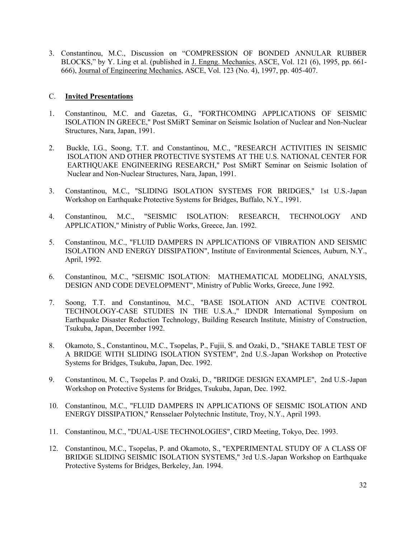3. Constantinou, M.C., Discussion on "COMPRESSION OF BONDED ANNULAR RUBBER BLOCKS," by Y. Ling et al. (published in J. Engng. Mechanics, ASCE, Vol. 121 (6), 1995, pp. 661- 666), Journal of Engineering Mechanics, ASCE, Vol. 123 (No. 4), 1997, pp. 405-407.

### C. **Invited Presentations**

- 1. Constantinou, M.C. and Gazetas, G., "FORTHCOMING APPLICATIONS OF SEISMIC ISOLATION IN GREECE," Post SMiRT Seminar on Seismic Isolation of Nuclear and Non-Nuclear Structures, Nara, Japan, 1991.
- 2. Buckle, I.G., Soong, T.T. and Constantinou, M.C., "RESEARCH ACTIVITIES IN SEISMIC ISOLATION AND OTHER PROTECTIVE SYSTEMS AT THE U.S. NATIONAL CENTER FOR EARTHQUAKE ENGINEERING RESEARCH," Post SMiRT Seminar on Seismic Isolation of Nuclear and Non-Nuclear Structures, Nara, Japan, 1991.
- 3. Constantinou, M.C., "SLIDING ISOLATION SYSTEMS FOR BRIDGES," 1st U.S.-Japan Workshop on Earthquake Protective Systems for Bridges, Buffalo, N.Y., 1991.
- 4. Constantinou, M.C., "SEISMIC ISOLATION: RESEARCH, TECHNOLOGY AND APPLICATION," Ministry of Public Works, Greece, Jan. 1992.
- 5. Constantinou, M.C., "FLUID DAMPERS IN APPLICATIONS OF VIBRATION AND SEISMIC ISOLATION AND ENERGY DISSIPATION", Institute of Environmental Sciences, Auburn, N.Y., April, 1992.
- 6. Constantinou, M.C., "SEISMIC ISOLATION: MATHEMATICAL MODELING, ANALYSIS, DESIGN AND CODE DEVELOPMENT", Ministry of Public Works, Greece, June 1992.
- 7. Soong, T.T. and Constantinou, M.C., "BASE ISOLATION AND ACTIVE CONTROL TECHNOLOGY-CASE STUDIES IN THE U.S.A.," IDNDR International Symposium on Earthquake Disaster Reduction Technology, Building Research Institute, Ministry of Construction, Tsukuba, Japan, December 1992.
- 8. Okamoto, S., Constantinou, M.C., Tsopelas, P., Fujii, S. and Ozaki, D., "SHAKE TABLE TEST OF A BRIDGE WITH SLIDING ISOLATION SYSTEM", 2nd U.S.-Japan Workshop on Protective Systems for Bridges, Tsukuba, Japan, Dec. 1992.
- 9. Constantinou, M. C., Tsopelas P. and Ozaki, D., "BRIDGE DESIGN EXAMPLE", 2nd U.S.-Japan Workshop on Protective Systems for Bridges, Tsukuba, Japan, Dec. 1992.
- 10. Constantinou, M.C., "FLUID DAMPERS IN APPLICATIONS OF SEISMIC ISOLATION AND ENERGY DISSIPATION," Rensselaer Polytechnic Institute, Troy, N.Y., April 1993.
- 11. Constantinou, M.C., "DUAL-USE TECHNOLOGIES", CIRD Meeting, Tokyo, Dec. 1993.
- 12. Constantinou, M.C., Tsopelas, P. and Okamoto, S., "EXPERIMENTAL STUDY OF A CLASS OF BRIDGE SLIDING SEISMIC ISOLATION SYSTEMS," 3rd U.S.-Japan Workshop on Earthquake Protective Systems for Bridges, Berkeley, Jan. 1994.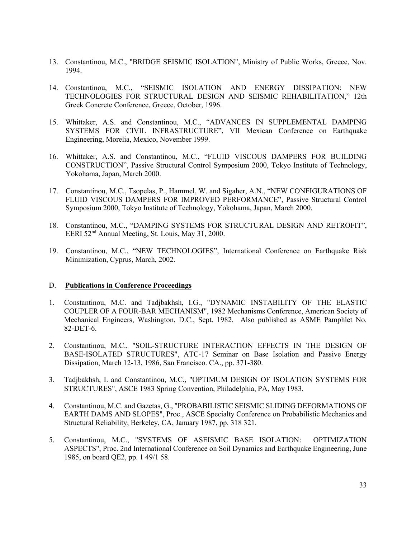- 13. Constantinou, M.C., "BRIDGE SEISMIC ISOLATION", Ministry of Public Works, Greece, Nov. 1994.
- 14. Constantinou, M.C., "SEISMIC ISOLATION AND ENERGY DISSIPATION: NEW TECHNOLOGIES FOR STRUCTURAL DESIGN AND SEISMIC REHABILITATION," 12th Greek Concrete Conference, Greece, October, 1996.
- 15. Whittaker, A.S. and Constantinou, M.C., "ADVANCES IN SUPPLEMENTAL DAMPING SYSTEMS FOR CIVIL INFRASTRUCTURE", VII Mexican Conference on Earthquake Engineering, Morelia, Mexico, November 1999.
- 16. Whittaker, A.S. and Constantinou, M.C., "FLUID VISCOUS DAMPERS FOR BUILDING CONSTRUCTION", Passive Structural Control Symposium 2000, Tokyo Institute of Technology, Yokohama, Japan, March 2000.
- 17. Constantinou, M.C., Tsopelas, P., Hammel, W. and Sigaher, A.N., "NEW CONFIGURATIONS OF FLUID VISCOUS DAMPERS FOR IMPROVED PERFORMANCE", Passive Structural Control Symposium 2000, Tokyo Institute of Technology, Yokohama, Japan, March 2000.
- 18. Constantinou, M.C., "DAMPING SYSTEMS FOR STRUCTURAL DESIGN AND RETROFIT", EERI 52nd Annual Meeting, St. Louis, May 31, 2000.
- 19. Constantinou, M.C., "NEW TECHNOLOGIES", International Conference on Earthquake Risk Minimization, Cyprus, March, 2002.

# D. **Publications in Conference Proceedings**

- 1. Constantinou, M.C. and Tadjbakhsh, I.G., "DYNAMIC INSTABILITY OF THE ELASTIC COUPLER OF A FOUR-BAR MECHANISM", 1982 Mechanisms Conference, American Society of Mechanical Engineers, Washington, D.C., Sept. 1982. Also published as ASME Pamphlet No. 82-DET-6.
- 2. Constantinou, M.C., "SOIL-STRUCTURE INTERACTION EFFECTS IN THE DESIGN OF BASE-ISOLATED STRUCTURES", ATC-17 Seminar on Base Isolation and Passive Energy Dissipation, March 12-13, 1986, San Francisco. CA., pp. 371-380.
- 3. Tadjbakhsh, I. and Constantinou, M.C., "OPTIMUM DESIGN OF ISOLATION SYSTEMS FOR STRUCTURES", ASCE 1983 Spring Convention, Philadelphia, PA, May 1983.
- 4. Constantinou, M.C. and Gazetas, G., "PROBABILISTIC SEISMIC SLIDING DEFORMATIONS OF EARTH DAMS AND SLOPES", Proc., ASCE Specialty Conference on Probabilistic Mechanics and Structural Reliability, Berkeley, CA, January 1987, pp. 318 321.
- 5. Constantinou, M.C., "SYSTEMS OF ASEISMIC BASE ISOLATION: OPTIMIZATION ASPECTS", Proc. 2nd International Conference on Soil Dynamics and Earthquake Engineering, June 1985, on board QE2, pp. 1 49/1 58.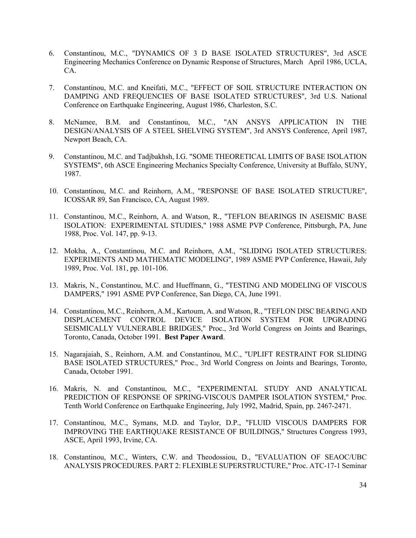- 6. Constantinou, M.C., "DYNAMICS OF 3 D BASE ISOLATED STRUCTURES", 3rd ASCE Engineering Mechanics Conference on Dynamic Response of Structures, March April 1986, UCLA, CA.
- 7. Constantinou, M.C. and Kneifati, M.C., "EFFECT OF SOIL STRUCTURE INTERACTION ON DAMPING AND FREQUENCIES OF BASE ISOLATED STRUCTURES", 3rd U.S. National Conference on Earthquake Engineering, August 1986, Charleston, S.C.
- 8. McNamee, B.M. and Constantinou, M.C., "AN ANSYS APPLICATION IN THE DESIGN/ANALYSIS OF A STEEL SHELVING SYSTEM", 3rd ANSYS Conference, April 1987, Newport Beach, CA.
- 9. Constantinou, M.C. and Tadjbakhsh, I.G. "SOME THEORETICAL LIMITS OF BASE ISOLATION SYSTEMS", 6th ASCE Engineering Mechanics Specialty Conference, University at Buffalo, SUNY, 1987.
- 10. Constantinou, M.C. and Reinhorn, A.M., "RESPONSE OF BASE ISOLATED STRUCTURE", ICOSSAR 89, San Francisco, CA, August 1989.
- 11. Constantinou, M.C., Reinhorn, A. and Watson, R., "TEFLON BEARINGS IN ASEISMIC BASE ISOLATION: EXPERIMENTAL STUDIES," 1988 ASME PVP Conference, Pittsburgh, PA, June 1988, Proc. Vol. 147, pp. 9-13.
- 12. Mokha, A., Constantinou, M.C. and Reinhorn, A.M., "SLIDING ISOLATED STRUCTURES: EXPERIMENTS AND MATHEMATIC MODELING", 1989 ASME PVP Conference, Hawaii, July 1989, Proc. Vol. 181, pp. 101-106.
- 13. Makris, N., Constantinou, M.C. and Hueffmann, G., "TESTING AND MODELING OF VISCOUS DAMPERS," 1991 ASME PVP Conference, San Diego, CA, June 1991.
- 14. Constantinou, M.C., Reinhorn, A.M., Kartoum, A. and Watson, R., "TEFLON DISC BEARING AND DISPLACEMENT CONTROL DEVICE ISOLATION SYSTEM FOR UPGRADING SEISMICALLY VULNERABLE BRIDGES," Proc., 3rd World Congress on Joints and Bearings, Toronto, Canada, October 1991. **Best Paper Award**.
- 15. Nagarajaiah, S., Reinhorn, A.M. and Constantinou, M.C., "UPLIFT RESTRAINT FOR SLIDING BASE ISOLATED STRUCTURES," Proc., 3rd World Congress on Joints and Bearings, Toronto, Canada, October 1991.
- 16. Makris, N. and Constantinou, M.C., "EXPERIMENTAL STUDY AND ANALYTICAL PREDICTION OF RESPONSE OF SPRING-VISCOUS DAMPER ISOLATION SYSTEM," Proc. Tenth World Conference on Earthquake Engineering, July 1992, Madrid, Spain, pp. 2467-2471.
- 17. Constantinou, M.C., Symans, M.D. and Taylor, D.P., "FLUID VISCOUS DAMPERS FOR IMPROVING THE EARTHQUAKE RESISTANCE OF BUILDINGS," Structures Congress 1993, ASCE, April 1993, Irvine, CA.
- 18. Constantinou, M.C., Winters, C.W. and Theodossiou, D., "EVALUATION OF SEAOC/UBC ANALYSIS PROCEDURES. PART 2: FLEXIBLE SUPERSTRUCTURE," Proc. ATC-17-1 Seminar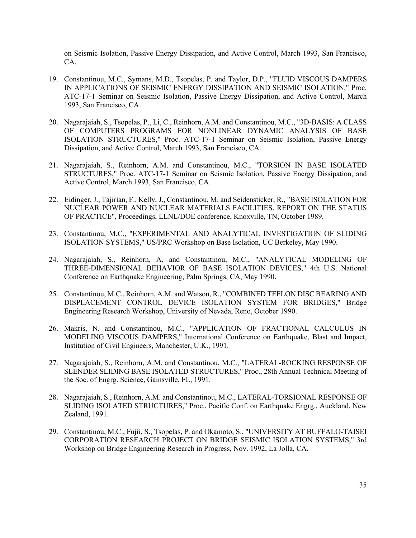on Seismic Isolation, Passive Energy Dissipation, and Active Control, March 1993, San Francisco, CA.

- 19. Constantinou, M.C., Symans, M.D., Tsopelas, P. and Taylor, D.P., "FLUID VISCOUS DAMPERS IN APPLICATIONS OF SEISMIC ENERGY DISSIPATION AND SEISMIC ISOLATION," Proc. ATC-17-1 Seminar on Seismic Isolation, Passive Energy Dissipation, and Active Control, March 1993, San Francisco, CA.
- 20. Nagarajaiah, S., Tsopelas, P., Li, C., Reinhorn, A.M. and Constantinou, M.C., "3D-BASIS: A CLASS OF COMPUTERS PROGRAMS FOR NONLINEAR DYNAMIC ANALYSIS OF BASE ISOLATION STRUCTURES," Proc. ATC-17-1 Seminar on Seismic Isolation, Passive Energy Dissipation, and Active Control, March 1993, San Francisco, CA.
- 21. Nagarajaiah, S., Reinhorn, A.M. and Constantinou, M.C., "TORSION IN BASE ISOLATED STRUCTURES," Proc. ATC-17-1 Seminar on Seismic Isolation, Passive Energy Dissipation, and Active Control, March 1993, San Francisco, CA.
- 22. Eidinger, J., Tajirian, F., Kelly, J., Constantinou, M. and Seidensticker, R., "BASE ISOLATION FOR NUCLEAR POWER AND NUCLEAR MATERIALS FACILITIES, REPORT ON THE STATUS OF PRACTICE", Proceedings, LLNL/DOE conference, Knoxville, TN, October 1989.
- 23. Constantinou, M.C., "EXPERIMENTAL AND ANALYTICAL INVESTIGATION OF SLIDING ISOLATION SYSTEMS," US/PRC Workshop on Base Isolation, UC Berkeley, May 1990.
- 24. Nagarajaiah, S., Reinhorn, A. and Constantinou, M.C., "ANALYTICAL MODELING OF THREE-DIMENSIONAL BEHAVIOR OF BASE ISOLATION DEVICES," 4th U.S. National Conference on Earthquake Engineering, Palm Springs, CA, May 1990.
- 25. Constantinou, M.C., Reinhorn, A.M. and Watson, R., "COMBINED TEFLON DISC BEARING AND DISPLACEMENT CONTROL DEVICE ISOLATION SYSTEM FOR BRIDGES," Bridge Engineering Research Workshop, University of Nevada, Reno, October 1990.
- 26. Makris, N. and Constantinou, M.C., "APPLICATION OF FRACTIONAL CALCULUS IN MODELING VISCOUS DAMPERS," International Conference on Earthquake, Blast and Impact, Institution of Civil Engineers, Manchester, U.K., 1991.
- 27. Nagarajaiah, S., Reinhorn, A.M. and Constantinou, M.C., "LATERAL-ROCKING RESPONSE OF SLENDER SLIDING BASE ISOLATED STRUCTURES," Proc., 28th Annual Technical Meeting of the Soc. of Engrg. Science, Gainsville, FL, 1991.
- 28. Nagarajaiah, S., Reinhorn, A.M. and Constantinou, M.C., LATERAL-TORSIONAL RESPONSE OF SLIDING ISOLATED STRUCTURES," Proc., Pacific Conf. on Earthquake Engrg., Auckland, New Zealand, 1991.
- 29. Constantinou, M.C., Fujii, S., Tsopelas, P. and Okamoto, S., "UNIVERSITY AT BUFFALO-TAISEI CORPORATION RESEARCH PROJECT ON BRIDGE SEISMIC ISOLATION SYSTEMS," 3rd Workshop on Bridge Engineering Research in Progress, Nov. 1992, La Jolla, CA.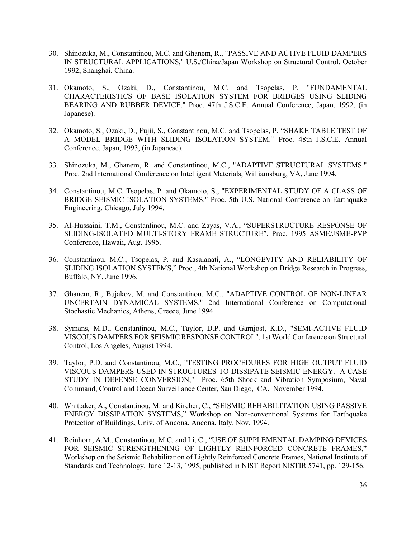- 30. Shinozuka, M., Constantinou, M.C. and Ghanem, R., "PASSIVE AND ACTIVE FLUID DAMPERS IN STRUCTURAL APPLICATIONS," U.S./China/Japan Workshop on Structural Control, October 1992, Shanghai, China.
- 31. Okamoto, S., Ozaki, D., Constantinou, M.C. and Tsopelas, P. "FUNDAMENTAL CHARACTERISTICS OF BASE ISOLATION SYSTEM FOR BRIDGES USING SLIDING BEARING AND RUBBER DEVICE." Proc. 47th J.S.C.E. Annual Conference, Japan, 1992, (in Japanese).
- 32. Okamoto, S., Ozaki, D., Fujii, S., Constantinou, M.C. and Tsopelas, P. "SHAKE TABLE TEST OF A MODEL BRIDGE WITH SLIDING ISOLATION SYSTEM." Proc. 48th J.S.C.E. Annual Conference, Japan, 1993, (in Japanese).
- 33. Shinozuka, M., Ghanem, R. and Constantinou, M.C., "ADAPTIVE STRUCTURAL SYSTEMS." Proc. 2nd International Conference on Intelligent Materials, Williamsburg, VA, June 1994.
- 34. Constantinou, M.C. Tsopelas, P. and Okamoto, S., "EXPERIMENTAL STUDY OF A CLASS OF BRIDGE SEISMIC ISOLATION SYSTEMS." Proc. 5th U.S. National Conference on Earthquake Engineering, Chicago, July 1994.
- 35. Al-Hussaini, T.M., Constantinou, M.C. and Zayas, V.A., "SUPERSTRUCTURE RESPONSE OF SLIDING-ISOLATED MULTI-STORY FRAME STRUCTURE", Proc. 1995 ASME/JSME-PVP Conference, Hawaii, Aug. 1995.
- 36. Constantinou, M.C., Tsopelas, P. and Kasalanati, A., "LONGEVITY AND RELIABILITY OF SLIDING ISOLATION SYSTEMS," Proc., 4th National Workshop on Bridge Research in Progress, Buffalo, NY, June 1996.
- 37. Ghanem, R., Bujakov, M. and Constantinou, M.C., "ADAPTIVE CONTROL OF NON-LINEAR UNCERTAIN DYNAMICAL SYSTEMS." 2nd International Conference on Computational Stochastic Mechanics, Athens, Greece, June 1994.
- 38. Symans, M.D., Constantinou, M.C., Taylor, D.P. and Garnjost, K.D., "SEMI-ACTIVE FLUID VISCOUS DAMPERS FOR SEISMIC RESPONSE CONTROL", 1st World Conference on Structural Control, Los Angeles, August 1994.
- 39. Taylor, P.D. and Constantinou, M.C., "TESTING PROCEDURES FOR HIGH OUTPUT FLUID VISCOUS DAMPERS USED IN STRUCTURES TO DISSIPATE SEISMIC ENERGY. A CASE STUDY IN DEFENSE CONVERSION," Proc. 65th Shock and Vibration Symposium, Naval Command, Control and Ocean Surveillance Center, San Diego, CA, November 1994.
- 40. Whittaker, A., Constantinou, M. and Kircher, C., "SEISMIC REHABILITATION USING PASSIVE ENERGY DISSIPATION SYSTEMS," Workshop on Non-conventional Systems for Earthquake Protection of Buildings, Univ. of Ancona, Ancona, Italy, Nov. 1994.
- 41. Reinhorn, A.M., Constantinou, M.C. and Li, C., "USE OF SUPPLEMENTAL DAMPING DEVICES FOR SEISMIC STRENGTHENING OF LIGHTLY REINFORCED CONCRETE FRAMES," Workshop on the Seismic Rehabilitation of Lightly Reinforced Concrete Frames, National Institute of Standards and Technology, June 12-13, 1995, published in NIST Report NISTIR 5741, pp. 129-156.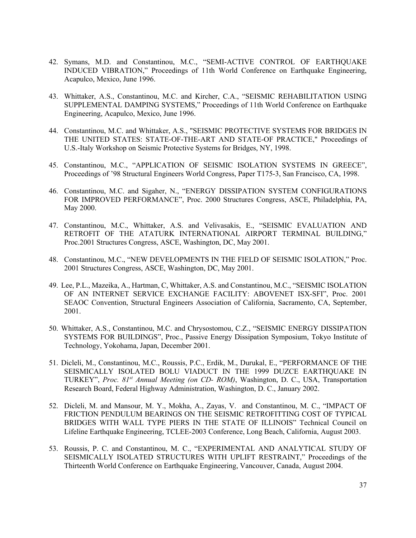- 42. Symans, M.D. and Constantinou, M.C., "SEMI-ACTIVE CONTROL OF EARTHQUAKE INDUCED VIBRATION," Proceedings of 11th World Conference on Earthquake Engineering, Acapulco, Mexico, June 1996.
- 43. Whittaker, A.S., Constantinou, M.C. and Kircher, C.A., "SEISMIC REHABILITATION USING SUPPLEMENTAL DAMPING SYSTEMS," Proceedings of 11th World Conference on Earthquake Engineering, Acapulco, Mexico, June 1996.
- 44. Constantinou, M.C. and Whittaker, A.S., "SEISMIC PROTECTIVE SYSTEMS FOR BRIDGES IN THE UNITED STATES: STATE-OF-THE-ART AND STATE-OF PRACTICE," Proceedings of U.S.-Italy Workshop on Seismic Protective Systems for Bridges, NY, 1998.
- 45. Constantinou, M.C., "APPLICATION OF SEISMIC ISOLATION SYSTEMS IN GREECE", Proceedings of '98 Structural Engineers World Congress, Paper T175-3, San Francisco, CA, 1998.
- 46. Constantinou, M.C. and Sigaher, N., "ENERGY DISSIPATION SYSTEM CONFIGURATIONS FOR IMPROVED PERFORMANCE", Proc. 2000 Structures Congress, ASCE, Philadelphia, PA, May 2000.
- 47. Constantinou, M.C., Whittaker, A.S. and Velivasakis, E., "SEISMIC EVALUATION AND RETROFIT OF THE ATATURK INTERNATIONAL AIRPORT TERMINAL BUILDING," Proc.2001 Structures Congress, ASCE, Washington, DC, May 2001.
- 48. Constantinou, M.C., "NEW DEVELOPMENTS IN THE FIELD OF SEISMIC ISOLATION," Proc. 2001 Structures Congress, ASCE, Washington, DC, May 2001.
- 49. Lee, P.L., Mazeika, A., Hartman, C, Whittaker, A.S. and Constantinou, M.C., "SEISMIC ISOLATION OF AN INTERNET SERVICE EXCHANGE FACILITY: ABOVENET ISX-SFI", Proc. 2001 SEAOC Convention, Structural Engineers Association of California, Sacramento, CA, September, 2001.
- 50. Whittaker, A.S., Constantinou, M.C. and Chrysostomou, C.Z., "SEISMIC ENERGY DISSIPATION SYSTEMS FOR BUILDINGS", Proc., Passive Energy Dissipation Symposium, Tokyo Institute of Technology, Yokohama, Japan, December 2001.
- 51. Dicleli, M., Constantinou, M.C., Roussis, P.C., Erdik, M., Durukal, E., "PERFORMANCE OF THE SEISMICALLY ISOLATED BOLU VIADUCT IN THE 1999 DUZCE EARTHQUAKE IN TURKEY", *Proc. 81st Annual Meeting (on CD- ROM)*, Washington, D. C., USA, Transportation Research Board, Federal Highway Administration, Washington, D. C., January 2002.
- 52. Dicleli, M. and Mansour, M. Y., Mokha, A., Zayas, V. and Constantinou, M. C., "IMPACT OF FRICTION PENDULUM BEARINGS ON THE SEISMIC RETROFITTING COST OF TYPICAL BRIDGES WITH WALL TYPE PIERS IN THE STATE OF ILLINOIS" Technical Council on Lifeline Earthquake Engineering, TCLEE-2003 Conference, Long Beach, California, August 2003.
- 53. Roussis, P. C. and Constantinou, M. C., "EXPERIMENTAL AND ANALYTICAL STUDY OF SEISMICALLY ISOLATED STRUCTURES WITH UPLIFT RESTRAINT," Proceedings of the Thirteenth World Conference on Earthquake Engineering, Vancouver, Canada, August 2004.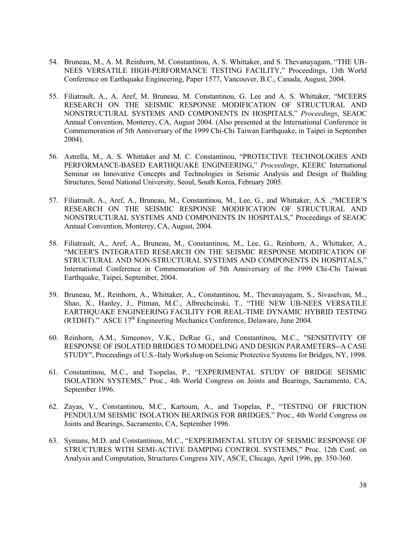- 54. Bruneau, M., A. M. Reinhorn, M. Constantinou, A. S. Whittaker, and S. Thevanayagam, "THE UB-NEES VERSATILE HIGH-PERFORMANCE TESTING FACILITY," Proceedings, 13th World Conference on Earthquake Engineering, Paper 1577, Vancouver, B.C., Canada, August, 2004.
- 55. Filiatrault, A., A. Aref, M. Bruneau, M. Constantinou, G. Lee and A. S. Whittaker, "MCEERS RESEARCH ON THE SEISMIC RESPONSE MODIFICATION OF STRUCTURAL AND NONSTRUCTURAL SYSTEMS AND COMPONENTS IN HOSPITALS," *Proceedings*, SEAOC Annual Convention, Monterey, CA, August 2004. (Also presented at the International Conference in Commemoration of 5th Anniversary of the 1999 Chi-Chi Taiwan Earthquake, in Taipei in September 2004).
- 56. Astrella, M., A. S. Whittaker and M. C. Constantinou, "PROTECTIVE TECHNOLOGIES AND PERFORMANCE-BASED EARTHQUAKE ENGINEERING," *Proceedings*, KEERC International Seminar on Innovative Concepts and Technologies in Seismic Analysis and Design of Building Structures, Seoul National University, Seoul, South Korea, February 2005.
- 57. Filiatrault, A., Aref, A., Bruneau, M., Constantinou, M., Lee, G., and Whittaker, A.S. ,"MCEER'S RESEARCH ON THE SEISMIC RESPONSE MODIFICATION OF STRUCTURAL AND NONSTRUCTURAL SYSTEMS AND COMPONENTS IN HOSPITALS," Proceedings of SEAOC Annual Convention, Monterey, CA, August, 2004.
- 58. Filiatrault, A., Aref, A., Bruneau, M., Constantinou, M., Lee, G., Reinhorn, A., Whittaker, A., "MCEER'S INTEGRATED RESEARCH ON THE SEISMIC RESPONSE MODIFICATION OF STRUCTURAL AND NON-STRUCTURAL SYSTEMS AND COMPONENTS IN HOSPITALS," International Conference in Commemoration of 5th Anniversary of the 1999 Chi-Chi Taiwan Earthquake, Taipei, September, 2004.
- 59. Bruneau, M., Reinhorn, A., Whittaker, A., Constantinou, M., Thevanayagam, S., Sivaselvan, M.., Shao, X., Hanley, J., Pitman, M.C., Albrechcinski, T., "THE NEW UB-NEES VERSATILE EARTHQUAKE ENGINEERING FACILITY FOR REAL-TIME DYNAMIC HYBRID TESTING (RTDHT)." ASCE  $17<sup>th</sup>$  Engineering Mechanics Conference, Delaware, June 2004.
- 60. Reinhorn, A.M., Simeonov, V.K., DeRue G., and Constantinou, M.C., "SENSITIVITY OF RESPONSE OF ISOLATED BRIDGES TO MODELING AND DESIGN PARAMETERS--A CASE STUDY", Proceedings of U.S.-Italy Workshop on Seismic Protective Systems for Bridges, NY, 1998.
- 61. Constantinou, M.C., and Tsopelas, P., "EXPERIMENTAL STUDY OF BRIDGE SEISMIC ISOLATION SYSTEMS," Proc., 4th World Congress on Joints and Bearings, Sacramento, CA, September 1996.
- 62. Zayas, V., Constantinou, M.C., Kartoum, A., and Tsopelas, P., "TESTING OF FRICTION PENDULUM SEISMIC ISOLATION BEARINGS FOR BRIDGES," Proc., 4th World Congress on Joints and Bearings, Sacramento, CA, September 1996.
- 63. Symans, M.D. and Constantinou, M.C., "EXPERIMENTAL STUDY OF SEISMIC RESPONSE OF STRUCTURES WITH SEMI-ACTIVE DAMPING CONTROL SYSTEMS," Proc. 12th Conf. on Analysis and Computation, Structures Congress XIV, ASCE, Chicago, April 1996, pp. 350-360.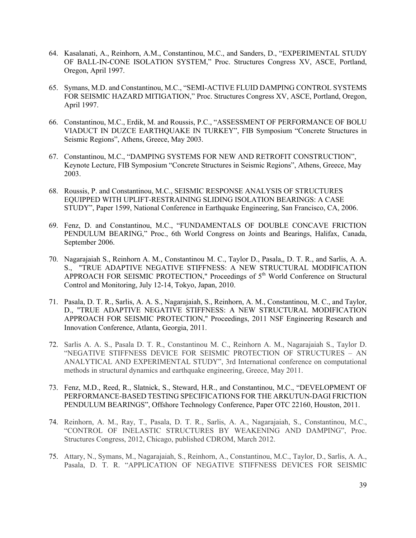- 64. Kasalanati, A., Reinhorn, A.M., Constantinou, M.C., and Sanders, D., "EXPERIMENTAL STUDY OF BALL-IN-CONE ISOLATION SYSTEM," Proc. Structures Congress XV, ASCE, Portland, Oregon, April 1997.
- 65. Symans, M.D. and Constantinou, M.C., "SEMI-ACTIVE FLUID DAMPING CONTROL SYSTEMS FOR SEISMIC HAZARD MITIGATION," Proc. Structures Congress XV, ASCE, Portland, Oregon, April 1997.
- 66. Constantinou, M.C., Erdik, M. and Roussis, P.C., "ASSESSMENT OF PERFORMANCE OF BOLU VIADUCT IN DUZCE EARTHQUAKE IN TURKEY", FIB Symposium "Concrete Structures in Seismic Regions", Athens, Greece, May 2003.
- 67. Constantinou, M.C., "DAMPING SYSTEMS FOR NEW AND RETROFIT CONSTRUCTION", Keynote Lecture, FIB Symposium "Concrete Structures in Seismic Regions", Athens, Greece, May 2003.
- 68. Roussis, P. and Constantinou, M.C., SEISMIC RESPONSE ANALYSIS OF STRUCTURES EQUIPPED WITH UPLIFT-RESTRAINING SLIDING ISOLATION BEARINGS: A CASE STUDY", Paper 1599, National Conference in Earthquake Engineering, San Francisco, CA, 2006.
- 69. Fenz, D. and Constantinou, M.C., "FUNDAMENTALS OF DOUBLE CONCAVE FRICTION PENDULUM BEARING," Proc., 6th World Congress on Joints and Bearings, Halifax, Canada, September 2006.
- 70. Nagarajaiah S., Reinhorn A. M., Constantinou M. C., Taylor D., Pasala,, D. T. R., and Sarlis, A. A. S., "TRUE ADAPTIVE NEGATIVE STIFFNESS: A NEW STRUCTURAL MODIFICATION APPROACH FOR SEISMIC PROTECTION," Proceedings of 5<sup>th</sup> World Conference on Structural Control and Monitoring, July 12-14, Tokyo, Japan, 2010.
- 71. Pasala, D. T. R., Sarlis, A. A. S., Nagarajaiah, S., Reinhorn, A. M., Constantinou, M. C., and Taylor, D., "TRUE ADAPTIVE NEGATIVE STIFFNESS: A NEW STRUCTURAL MODIFICATION APPROACH FOR SEISMIC PROTECTION," Proceedings, 2011 NSF Engineering Research and Innovation Conference, Atlanta, Georgia, 2011.
- 72. Sarlis A. A. S., Pasala D. T. R., Constantinou M. C., Reinhorn A. M., Nagarajaiah S., Taylor D. "NEGATIVE STIFFNESS DEVICE FOR SEISMIC PROTECTION OF STRUCTURES – AN ANALYTICAL AND EXPERIMENTAL STUDY", 3rd International conference on computational methods in structural dynamics and earthquake engineering, Greece, May 2011.
- 73. Fenz, M.D., Reed, R., Slatnick, S., Steward, H.R., and Constantinou, M.C., "DEVELOPMENT OF PERFORMANCE-BASED TESTING SPECIFICATIONS FOR THE ARKUTUN-DAGI FRICTION PENDULUM BEARINGS", Offshore Technology Conference, Paper OTC 22160, Houston, 2011.
- 74. Reinhorn, A. M., Ray, T., Pasala, D. T. R., Sarlis, A. A., Nagarajaiah, S., Constantinou, M.C., "CONTROL OF INELASTIC STRUCTURES BY WEAKENING AND DAMPING", Proc. Structures Congress, 2012, Chicago, published CDROM, March 2012.
- 75. Attary, N., Symans, M., Nagarajaiah, S., Reinhorn, A., Constantinou, M.C., Taylor, D., Sarlis, A. A., Pasala, D. T. R. "APPLICATION OF NEGATIVE STIFFNESS DEVICES FOR SEISMIC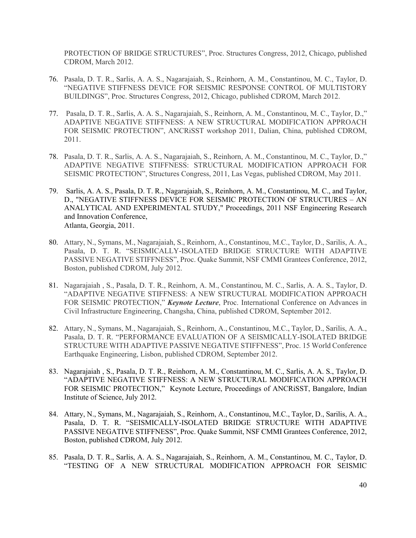PROTECTION OF BRIDGE STRUCTURES", Proc. Structures Congress, 2012, Chicago, published CDROM, March 2012.

- 76. Pasala, D. T. R., Sarlis, A. A. S., Nagarajaiah, S., Reinhorn, A. M., Constantinou, M. C., Taylor, D. "NEGATIVE STIFFNESS DEVICE FOR SEISMIC RESPONSE CONTROL OF MULTISTORY BUILDINGS", Proc. Structures Congress, 2012, Chicago, published CDROM, March 2012.
- 77. Pasala, D. T. R., Sarlis, A. A. S., Nagarajaiah, S., Reinhorn, A. M., Constantinou, M. C., Taylor, D.," ADAPTIVE NEGATIVE STIFFNESS: A NEW STRUCTURAL MODIFICATION APPROACH FOR SEISMIC PROTECTION", ANCRiSST workshop 2011, Dalian, China, published CDROM, 2011.
- 78. Pasala, D. T. R., Sarlis, A. A. S., Nagarajaiah, S., Reinhorn, A. M., Constantinou, M. C., Taylor, D.," ADAPTIVE NEGATIVE STIFFNESS: STRUCTURAL MODIFICATION APPROACH FOR SEISMIC PROTECTION", Structures Congress, 2011, Las Vegas, published CDROM, May 2011.
- 79. Sarlis, A. A. S., Pasala, D. T. R., Nagarajaiah, S., Reinhorn, A. M., Constantinou, M. C., and Taylor, D., "NEGATIVE STIFFNESS DEVICE FOR SEISMIC PROTECTION OF STRUCTURES – AN ANALYTICAL AND EXPERIMENTAL STUDY," Proceedings, 2011 NSF Engineering Research and Innovation Conference, Atlanta, Georgia, 2011.
- 80. Attary, N., Symans, M., Nagarajaiah, S., Reinhorn, A., Constantinou, M.C., Taylor, D., Sarilis, A. A., Pasala, D. T. R. "SEISMICALLY-ISOLATED BRIDGE STRUCTURE WITH ADAPTIVE PASSIVE NEGATIVE STIFFNESS", Proc. Quake Summit, NSF CMMI Grantees Conference, 2012, Boston, published CDROM, July 2012.
- 81. Nagarajaiah , S., Pasala, D. T. R., Reinhorn, A. M., Constantinou, M. C., Sarlis, A. A. S., Taylor, D. "ADAPTIVE NEGATIVE STIFFNESS: A NEW STRUCTURAL MODIFICATION APPROACH FOR SEISMIC PROTECTION," *Keynote Lecture*, Proc. International Conference on Advances in Civil Infrastructure Engineering, Changsha, China, published CDROM, September 2012.
- 82. Attary, N., Symans, M., Nagarajaiah, S., Reinhorn, A., Constantinou, M.C., Taylor, D., Sarilis, A. A., Pasala, D. T. R. "PERFORMANCE EVALUATION OF A SEISMICALLY-ISOLATED BRIDGE STRUCTURE WITH ADAPTIVE PASSIVE NEGATIVE STIFFNESS", Proc. 15 World Conference Earthquake Engineering, Lisbon, published CDROM, September 2012.
- 83. Nagarajaiah , S., Pasala, D. T. R., Reinhorn, A. M., Constantinou, M. C., Sarlis, A. A. S., Taylor, D. "ADAPTIVE NEGATIVE STIFFNESS: A NEW STRUCTURAL MODIFICATION APPROACH FOR SEISMIC PROTECTION," Keynote Lecture, Proceedings of ANCRiSST, Bangalore, Indian Institute of Science, July 2012.
- 84. Attary, N., Symans, M., Nagarajaiah, S., Reinhorn, A., Constantinou, M.C., Taylor, D., Sarilis, A. A., Pasala, D. T. R. "SEISMICALLY-ISOLATED BRIDGE STRUCTURE WITH ADAPTIVE PASSIVE NEGATIVE STIFFNESS", Proc. Quake Summit, NSF CMMI Grantees Conference, 2012, Boston, published CDROM, July 2012.
- 85. Pasala, D. T. R., Sarlis, A. A. S., Nagarajaiah, S., Reinhorn, A. M., Constantinou, M. C., Taylor, D. "TESTING OF A NEW STRUCTURAL MODIFICATION APPROACH FOR SEISMIC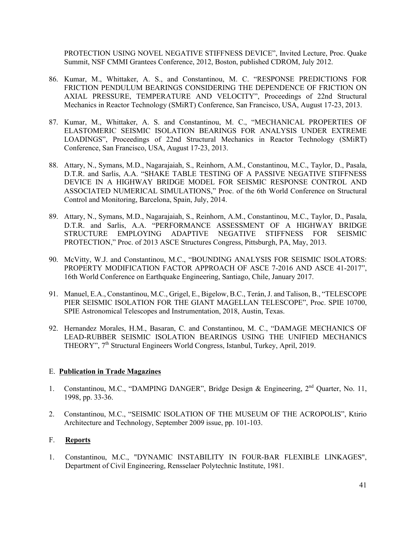PROTECTION USING NOVEL NEGATIVE STIFFNESS DEVICE", Invited Lecture, Proc. Quake Summit, NSF CMMI Grantees Conference, 2012, Boston, published CDROM, July 2012.

- 86. Kumar, M., Whittaker, A. S., and Constantinou, M. C. "RESPONSE PREDICTIONS FOR FRICTION PENDULUM BEARINGS CONSIDERING THE DEPENDENCE OF FRICTION ON AXIAL PRESSURE, TEMPERATURE AND VELOCITY", Proceedings of 22nd Structural Mechanics in Reactor Technology (SMiRT) Conference, San Francisco, USA, August 17-23, 2013.
- 87. Kumar, M., Whittaker, A. S. and Constantinou, M. C., "MECHANICAL PROPERTIES OF ELASTOMERIC SEISMIC ISOLATION BEARINGS FOR ANALYSIS UNDER EXTREME LOADINGS", Proceedings of 22nd Structural Mechanics in Reactor Technology (SMiRT) Conference, San Francisco, USA, August 17-23, 2013.
- 88. Attary, N., Symans, M.D., Nagarajaiah, S., Reinhorn, A.M., Constantinou, M.C., Taylor, D., Pasala, D.T.R. and Sarlis, A.A. "SHAKE TABLE TESTING OF A PASSIVE NEGATIVE STIFFNESS DEVICE IN A HIGHWAY BRIDGE MODEL FOR SEISMIC RESPONSE CONTROL AND ASSOCIATED NUMERICAL SIMULATIONS," Proc. of the 6th World Conference on Structural Control and Monitoring, Barcelona, Spain, July, 2014.
- 89. Attary, N., Symans, M.D., Nagarajaiah, S., Reinhorn, A.M., Constantinou, M.C., Taylor, D., Pasala, D.T.R. and Sarlis, A.A. "PERFORMANCE ASSESSMENT OF A HIGHWAY BRIDGE STRUCTURE EMPLOYING ADAPTIVE NEGATIVE STIFFNESS FOR SEISMIC PROTECTION," Proc. of 2013 ASCE Structures Congress, Pittsburgh, PA, May, 2013.
- 90. McVitty, W.J. and Constantinou, M.C., "BOUNDING ANALYSIS FOR SEISMIC ISOLATORS: PROPERTY MODIFICATION FACTOR APPROACH OF ASCE 7-2016 AND ASCE 41-2017", 16th World Conference on Earthquake Engineering, Santiago, Chile, January 2017.
- 91. Manuel, E.A., Constantinou, M.C., Grigel, E., Bigelow, B.C., Terán, J. and Talison, B., "TELESCOPE PIER SEISMIC ISOLATION FOR THE GIANT MAGELLAN TELESCOPE", Proc. SPIE 10700, SPIE Astronomical Telescopes and Instrumentation, 2018, Austin, Texas.
- 92. Hernandez Morales, H.M., Basaran, C. and Constantinou, M. C., "DAMAGE MECHANICS OF LEAD-RUBBER SEISMIC ISOLATION BEARINGS USING THE UNIFIED MECHANICS THEORY", 7th Structural Engineers World Congress, Istanbul, Turkey, April, 2019.

# E. **Publication in Trade Magazines**

- 1. Constantinou, M.C., "DAMPING DANGER", Bridge Design & Engineering, 2<sup>nd</sup> Quarter, No. 11, 1998, pp. 33-36.
- 2. Constantinou, M.C., "SEISMIC ISOLATION OF THE MUSEUM OF THE ACROPOLIS", Ktirio Architecture and Technology, September 2009 issue, pp. 101-103.

# F. **Reports**

1. Constantinou, M.C., "DYNAMIC INSTABILITY IN FOUR-BAR FLEXIBLE LINKAGES", Department of Civil Engineering, Rensselaer Polytechnic Institute, 1981.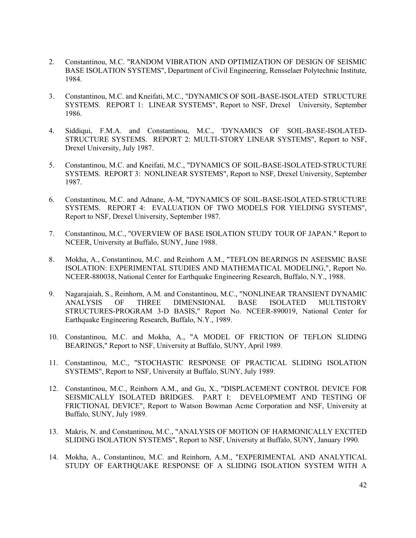- 2. Constantinou, M.C. "RANDOM VIBRATION AND OPTIMIZATION OF DESIGN OF SEISMIC BASE ISOLATION SYSTEMS", Department of Civil Engineering, Rensselaer Polytechnic Institute, 1984.
- 3. Constantinou, M.C. and Kneifati, M.C., "DYNAMICS OF SOIL-BASE-ISOLATED STRUCTURE SYSTEMS. REPORT 1: LINEAR SYSTEMS", Report to NSF, Drexel University, September 1986.
- 4. Siddiqui, F.M.A. and Constantinou, M.C., 'DYNAMICS OF SOIL-BASE-ISOLATED-STRUCTURE SYSTEMS. REPORT 2: MULTI-STORY LINEAR SYSTEMS", Report to NSF, Drexel University, July 1987.
- 5. Constantinou, M.C. and Kneifati, M.C., "DYNAMICS OF SOIL-BASE-ISOLATED-STRUCTURE SYSTEMS. REPORT 3: NONLINEAR SYSTEMS", Report to NSF, Drexel University, September 1987.
- 6. Constantinou, M.C. and Adnane, A-M, "DYNAMICS OF SOIL-BASE-ISOLATED-STRUCTURE SYSTEMS. REPORT 4: EVALUATION OF TWO MODELS FOR YIELDING SYSTEMS", Report to NSF, Drexel University, September 1987.
- 7. Constantinou, M.C., "OVERVIEW OF BASE ISOLATION STUDY TOUR OF JAPAN." Report to NCEER, University at Buffalo, SUNY, June 1988.
- 8. Mokha, A., Constantinou, M.C. and Reinhorn A.M., "TEFLON BEARINGS IN ASEISMIC BASE ISOLATION: EXPERIMENTAL STUDIES AND MATHEMATICAL MODELING,", Report No. NCEER-880038, National Center for Earthquake Engineering Research, Buffalo, N.Y., 1988.
- 9. Nagarajaiah, S., Reinhorn, A.M. and Constantinou, M.C., "NONLINEAR TRANSIENT DYNAMIC ANALYSIS OF THREE DIMENSIONAL BASE ISOLATED MULTISTORY STRUCTURES-PROGRAM 3-D BASIS," Report No. NCEER-890019, National Center for Earthquake Engineering Research, Buffalo, N.Y., 1989.
- 10. Constantinou, M.C. and Mokha, A., "A MODEL OF FRICTION OF TEFLON SLIDING BEARINGS," Report to NSF, University at Buffalo, SUNY, April 1989.
- 11. Constantinou, M.C., "STOCHASTIC RESPONSE OF PRACTICAL SLIDING ISOLATION SYSTEMS", Report to NSF, University at Buffalo, SUNY, July 1989.
- 12. Constantinou, M.C., Reinhorn A.M., and Gu, X., "DISPLACEMENT CONTROL DEVICE FOR SEISMICALLY ISOLATED BRIDGES. PART I: DEVELOPMEMT AND TESTING OF FRICTIONAL DEVICE", Report to Watson Bowman Acme Corporation and NSF, University at Buffalo, SUNY, July 1989.
- 13. Makris, N. and Constantinou, M.C., "ANALYSIS OF MOTION OF HARMONICALLY EXCITED SLIDING ISOLATION SYSTEMS", Report to NSF, University at Buffalo, SUNY, January 1990.
- 14. Mokha, A., Constantinou, M.C. and Reinhorn, A.M., "EXPERIMENTAL AND ANALYTICAL STUDY OF EARTHQUAKE RESPONSE OF A SLIDING ISOLATION SYSTEM WITH A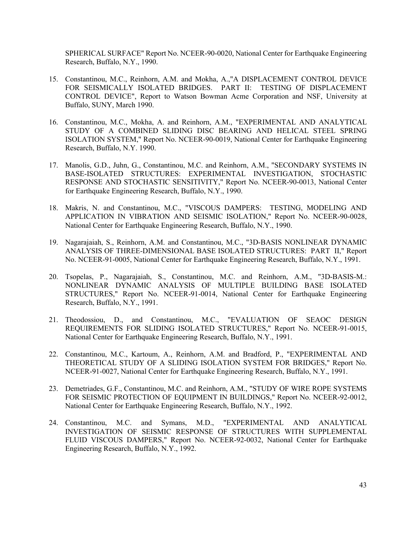SPHERICAL SURFACE" Report No. NCEER-90-0020, National Center for Earthquake Engineering Research, Buffalo, N.Y., 1990.

- 15. Constantinou, M.C., Reinhorn, A.M. and Mokha, A.,"A DISPLACEMENT CONTROL DEVICE FOR SEISMICALLY ISOLATED BRIDGES. PART II: TESTING OF DISPLACEMENT CONTROL DEVICE", Report to Watson Bowman Acme Corporation and NSF, University at Buffalo, SUNY, March 1990.
- 16. Constantinou, M.C., Mokha, A. and Reinhorn, A.M., "EXPERIMENTAL AND ANALYTICAL STUDY OF A COMBINED SLIDING DISC BEARING AND HELICAL STEEL SPRING ISOLATION SYSTEM," Report No. NCEER-90-0019, National Center for Earthquake Engineering Research, Buffalo, N.Y. 1990.
- 17. Manolis, G.D., Juhn, G., Constantinou, M.C. and Reinhorn, A.M., "SECONDARY SYSTEMS IN BASE-ISOLATED STRUCTURES: EXPERIMENTAL INVESTIGATION, STOCHASTIC RESPONSE AND STOCHASTIC SENSITIVITY," Report No. NCEER-90-0013, National Center for Earthquake Engineering Research, Buffalo, N.Y., 1990.
- 18. Makris, N. and Constantinou, M.C., "VISCOUS DAMPERS: TESTING, MODELING AND APPLICATION IN VIBRATION AND SEISMIC ISOLATION," Report No. NCEER-90-0028, National Center for Earthquake Engineering Research, Buffalo, N.Y., 1990.
- 19. Nagarajaiah, S., Reinhorn, A.M. and Constantinou, M.C., "3D-BASIS NONLINEAR DYNAMIC ANALYSIS OF THREE-DIMENSIONAL BASE ISOLATED STRUCTURES: PART II," Report No. NCEER-91-0005, National Center for Earthquake Engineering Research, Buffalo, N.Y., 1991.
- 20. Tsopelas, P., Nagarajaiah, S., Constantinou, M.C. and Reinhorn, A.M., "3D-BASIS-M.: NONLINEAR DYNAMIC ANALYSIS OF MULTIPLE BUILDING BASE ISOLATED STRUCTURES," Report No. NCEER-91-0014, National Center for Earthquake Engineering Research, Buffalo, N.Y., 1991.
- 21. Theodossiou, D., and Constantinou, M.C., "EVALUATION OF SEAOC DESIGN REQUIREMENTS FOR SLIDING ISOLATED STRUCTURES," Report No. NCEER-91-0015, National Center for Earthquake Engineering Research, Buffalo, N.Y., 1991.
- 22. Constantinou, M.C., Kartoum, A., Reinhorn, A.M. and Bradford, P., "EXPERIMENTAL AND THEORETICAL STUDY OF A SLIDING ISOLATION SYSTEM FOR BRIDGES," Report No. NCEER-91-0027, National Center for Earthquake Engineering Research, Buffalo, N.Y., 1991.
- 23. Demetriades, G.F., Constantinou, M.C. and Reinhorn, A.M., "STUDY OF WIRE ROPE SYSTEMS FOR SEISMIC PROTECTION OF EQUIPMENT IN BUILDINGS," Report No. NCEER-92-0012, National Center for Earthquake Engineering Research, Buffalo, N.Y., 1992.
- 24. Constantinou, M.C. and Symans, M.D., "EXPERIMENTAL AND ANALYTICAL INVESTIGATION OF SEISMIC RESPONSE OF STRUCTURES WITH SUPPLEMENTAL FLUID VISCOUS DAMPERS," Report No. NCEER-92-0032, National Center for Earthquake Engineering Research, Buffalo, N.Y., 1992.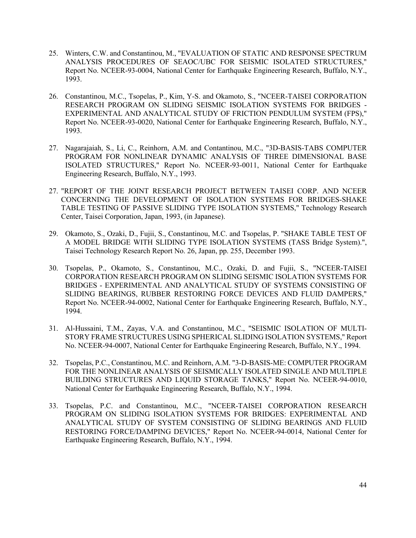- 25. Winters, C.W. and Constantinou, M., "EVALUATION OF STATIC AND RESPONSE SPECTRUM ANALYSIS PROCEDURES OF SEAOC/UBC FOR SEISMIC ISOLATED STRUCTURES," Report No. NCEER-93-0004, National Center for Earthquake Engineering Research, Buffalo, N.Y., 1993.
- 26. Constantinou, M.C., Tsopelas, P., Kim, Y-S. and Okamoto, S., "NCEER-TAISEI CORPORATION RESEARCH PROGRAM ON SLIDING SEISMIC ISOLATION SYSTEMS FOR BRIDGES - EXPERIMENTAL AND ANALYTICAL STUDY OF FRICTION PENDULUM SYSTEM (FPS)," Report No. NCEER-93-0020, National Center for Earthquake Engineering Research, Buffalo, N.Y., 1993.
- 27. Nagarajaiah, S., Li, C., Reinhorn, A.M. and Contantinou, M.C., "3D-BASIS-TABS COMPUTER PROGRAM FOR NONLINEAR DYNAMIC ANALYSIS OF THREE DIMENSIONAL BASE ISOLATED STRUCTURES," Report No. NCEER-93-0011, National Center for Earthquake Engineering Research, Buffalo, N.Y., 1993.
- 27. "REPORT OF THE JOINT RESEARCH PROJECT BETWEEN TAISEI CORP. AND NCEER CONCERNING THE DEVELOPMENT OF ISOLATION SYSTEMS FOR BRIDGES-SHAKE TABLE TESTING OF PASSIVE SLIDING TYPE ISOLATION SYSTEMS," Technology Research Center, Taisei Corporation, Japan, 1993, (in Japanese).
- 29. Okamoto, S., Ozaki, D., Fujii, S., Constantinou, M.C. and Tsopelas, P. "SHAKE TABLE TEST OF A MODEL BRIDGE WITH SLIDING TYPE ISOLATION SYSTEMS (TASS Bridge System).", Taisei Technology Research Report No. 26, Japan, pp. 255, December 1993.
- 30. Tsopelas, P., Okamoto, S., Constantinou, M.C., Ozaki, D. and Fujii, S., "NCEER-TAISEI CORPORATION RESEARCH PROGRAM ON SLIDING SEISMIC ISOLATION SYSTEMS FOR BRIDGES - EXPERIMENTAL AND ANALYTICAL STUDY OF SYSTEMS CONSISTING OF SLIDING BEARINGS, RUBBER RESTORING FORCE DEVICES AND FLUID DAMPERS," Report No. NCEER-94-0002, National Center for Earthquake Engineering Research, Buffalo, N.Y., 1994.
- 31. Al-Hussaini, T.M., Zayas, V.A. and Constantinou, M.C., "SEISMIC ISOLATION OF MULTI-STORY FRAME STRUCTURES USING SPHERICAL SLIDING ISOLATION SYSTEMS," Report No. NCEER-94-0007, National Center for Earthquake Engineering Research, Buffalo, N.Y., 1994.
- 32. Tsopelas, P.C., Constantinou, M.C. and Reinhorn, A.M. "3-D-BASIS-ME: COMPUTER PROGRAM FOR THE NONLINEAR ANALYSIS OF SEISMICALLY ISOLATED SINGLE AND MULTIPLE BUILDING STRUCTURES AND LIQUID STORAGE TANKS," Report No. NCEER-94-0010, National Center for Earthquake Engineering Research, Buffalo, N.Y., 1994.
- 33. Tsopelas, P.C. and Constantinou, M.C., "NCEER-TAISEI CORPORATION RESEARCH PROGRAM ON SLIDING ISOLATION SYSTEMS FOR BRIDGES: EXPERIMENTAL AND ANALYTICAL STUDY OF SYSTEM CONSISTING OF SLIDING BEARINGS AND FLUID RESTORING FORCE/DAMPING DEVICES," Report No. NCEER-94-0014, National Center for Earthquake Engineering Research, Buffalo, N.Y., 1994.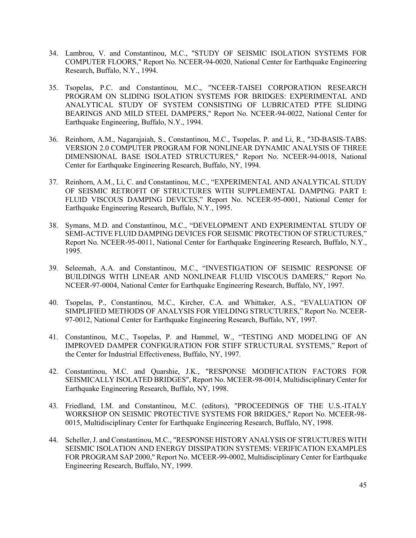- 34. Lambrou, V. and Constantinou, M.C., "STUDY OF SEISMIC ISOLATION SYSTEMS FOR COMPUTER FLOORS," Report No. NCEER-94-0020, National Center for Earthquake Engineering Research, Buffalo, N.Y., 1994.
- 35. Tsopelas, P.C. and Constantinou, M.C., "NCEER-TAISEI CORPORATION RESEARCH PROGRAM ON SLIDING ISOLATION SYSTEMS FOR BRIDGES: EXPERIMENTAL AND ANALYTICAL STUDY OF SYSTEM CONSISTING OF LUBRICATED PTFE SLIDING BEARINGS AND MILD STEEL DAMPERS," Report No. NCEER-94-0022, National Center for Earthquake Engineering, Buffalo, N.Y., 1994.
- 36. Reinhorn, A.M., Nagarajaiah, S., Constantinou, M.C., Tsopelas, P. and Li, R., "3D-BASIS-TABS: VERSION 2.0 COMPUTER PROGRAM FOR NONLINEAR DYNAMIC ANALYSIS OF THREE DIMENSIONAL BASE ISOLATED STRUCTURES," Report No. NCEER-94-0018, National Center for Earthquake Engineering Research, Buffalo, NY, 1994.
- 37. Reinhorn, A.M., Li, C. and Constantinou, M.C., "EXPERIMENTAL AND ANALYTICAL STUDY OF SEISMIC RETROFIT OF STRUCTURES WITH SUPPLEMENTAL DAMPING. PART I: FLUID VISCOUS DAMPING DEVICES," Report No. NCEER-95-0001, National Center for Earthquake Engineering Research, Buffalo, N.Y., 1995.
- 38. Symans, M.D. and Constantinou, M.C., "DEVELOPMENT AND EXPERIMENTAL STUDY OF SEMI-ACTIVE FLUID DAMPING DEVICES FOR SEISMIC PROTECTION OF STRUCTURES," Report No. NCEER-95-0011, National Center for Earthquake Engineering Research, Buffalo, N.Y., 1995.
- 39. Seleemah, A.A. and Constantinou, M.C., "INVESTIGATION OF SEISMIC RESPONSE OF BUILDINGS WITH LINEAR AND NONLINEAR FLUID VISCOUS DAMERS," Report No. NCEER-97-0004, National Center for Earthquake Engineering Research, Buffalo, NY, 1997.
- 40. Tsopelas, P., Constantinou, M.C., Kircher, C.A. and Whittaker, A.S., "EVALUATION OF SIMPLIFIED METHODS OF ANALYSIS FOR YIELDING STRUCTURES," Report No. NCEER-97-0012, National Center for Earthquake Engineering Research, Buffalo, NY, 1997.
- 41. Constantinou, M.C., Tsopelas, P. and Hammel, W., "TESTING AND MODELING OF AN IMPROVED DAMPER CONFIGURATION FOR STIFF STRUCTURAL SYSTEMS," Report of the Center for Industrial Effectiveness, Buffalo, NY, 1997.
- 42. Constantinou, M.C. and Quarshie, J.K., "RESPONSE MODIFICATION FACTORS FOR SEISMICALLY ISOLATED BRIDGES", Report No. MCEER-98-0014, Multidisciplinary Center for Earthquake Engineering Research, Buffalo, NY, 1998.
- 43. Friedland, I.M. and Constantinou, M.C. (editors), "PROCEEDINGS OF THE U.S.-ITALY WORKSHOP ON SEISMIC PROTECTIVE SYSTEMS FOR BRIDGES," Report No. MCEER-98- 0015, Multidisciplinary Center for Earthquake Engineering Research, Buffalo, NY, 1998.
- 44. Scheller, J. and Constantinou, M.C., "RESPONSE HISTORY ANALYSIS OF STRUCTURES WITH SEISMIC ISOLATION AND ENERGY DISSIPATION SYSTEMS: VERIFICATION EXAMPLES FOR PROGRAM SAP 2000," Report No. MCEER-99-0002, Multidisciplinary Center for Earthquake Engineering Research, Buffalo, NY, 1999.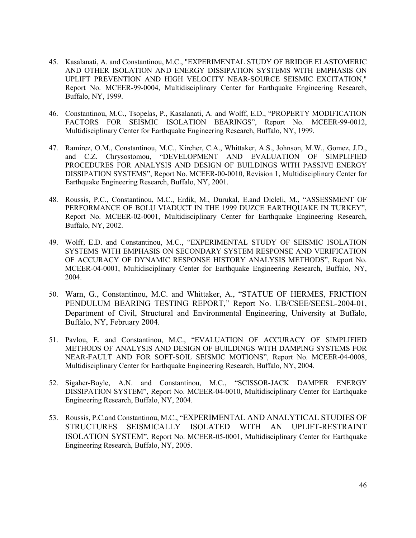- 45. Kasalanati, A. and Constantinou, M.C., "EXPERIMENTAL STUDY OF BRIDGE ELASTOMERIC AND OTHER ISOLATION AND ENERGY DISSIPATION SYSTEMS WITH EMPHASIS ON UPLIFT PREVENTION AND HIGH VELOCITY NEAR-SOURCE SEISMIC EXCITATION," Report No. MCEER-99-0004, Multidisciplinary Center for Earthquake Engineering Research, Buffalo, NY, 1999.
- 46. Constantinou, M.C., Tsopelas, P., Kasalanati, A. and Wolff, E.D., "PROPERTY MODIFICATION FACTORS FOR SEISMIC ISOLATION BEARINGS", Report No. MCEER-99-0012, Multidisciplinary Center for Earthquake Engineering Research, Buffalo, NY, 1999.
- 47. Ramirez, O.M., Constantinou, M.C., Kircher, C.A., Whittaker, A.S., Johnson, M.W., Gomez, J.D., and C.Z. Chrysostomou, "DEVELOPMENT AND EVALUATION OF SIMPLIFIED PROCEDURES FOR ANALYSIS AND DESIGN OF BUILDINGS WITH PASSIVE ENERGY DISSIPATION SYSTEMS", Report No. MCEER-00-0010, Revision 1, Multidisciplinary Center for Earthquake Engineering Research, Buffalo, NY, 2001.
- 48. Roussis, P.C., Constantinou, M.C., Erdik, M., Durukal, E.and Dicleli, M., "ASSESSMENT OF PERFORMANCE OF BOLU VIADUCT IN THE 1999 DUZCE EARTHQUAKE IN TURKEY", Report No. MCEER-02-0001, Multidisciplinary Center for Earthquake Engineering Research, Buffalo, NY, 2002.
- 49. Wolff, E.D. and Constantinou, M.C., "EXPERIMENTAL STUDY OF SEISMIC ISOLATION SYSTEMS WITH EMPHASIS ON SECONDARY SYSTEM RESPONSE AND VERIFICATION OF ACCURACY OF DYNAMIC RESPONSE HISTORY ANALYSIS METHODS", Report No. MCEER-04-0001, Multidisciplinary Center for Earthquake Engineering Research, Buffalo, NY, 2004.
- 50. Warn, G., Constantinou, M.C. and Whittaker, A., "STATUE OF HERMES, FRICTION PENDULUM BEARING TESTING REPORT," Report No. UB/CSEE/SEESL-2004-01, Department of Civil, Structural and Environmental Engineering, University at Buffalo, Buffalo, NY, February 2004.
- 51. Pavlou, E. and Constantinou, M.C., "EVALUATION OF ACCURACY OF SIMPLIFIED METHODS OF ANALYSIS AND DESIGN OF BUILDINGS WITH DAMPING SYSTEMS FOR NEAR-FAULT AND FOR SOFT-SOIL SEISMIC MOTIONS", Report No. MCEER-04-0008, Multidisciplinary Center for Earthquake Engineering Research, Buffalo, NY, 2004.
- 52. Sigaher-Boyle, A.N. and Constantinou, M.C., "SCISSOR-JACK DAMPER ENERGY DISSIPATION SYSTEM", Report No. MCEER-04-0010, Multidisciplinary Center for Earthquake Engineering Research, Buffalo, NY, 2004.
- 53. Roussis, P.C.and Constantinou, M.C., "EXPERIMENTAL AND ANALYTICAL STUDIES OF STRUCTURES SEISMICALLY ISOLATED WITH AN UPLIFT-RESTRAINT ISOLATION SYSTEM", Report No. MCEER-05-0001, Multidisciplinary Center for Earthquake Engineering Research, Buffalo, NY, 2005.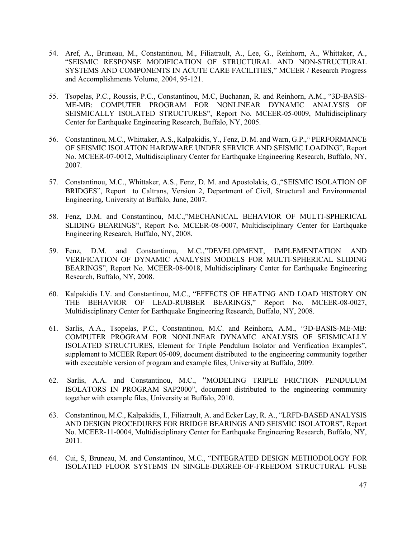- 54. Aref, A., Bruneau, M., Constantinou, M., Filiatrault, A., Lee, G., Reinhorn, A., Whittaker, A., "SEISMIC RESPONSE MODIFICATION OF STRUCTURAL AND NON-STRUCTURAL SYSTEMS AND COMPONENTS IN ACUTE CARE FACILITIES," MCEER / Research Progress and Accomplishments Volume, 2004, 95-121.
- 55. Tsopelas, P.C., Roussis, P.C., Constantinou, M.C, Buchanan, R. and Reinhorn, A.M., "3D-BASIS-ME-MB: COMPUTER PROGRAM FOR NONLINEAR DYNAMIC ANALYSIS OF SEISMICALLY ISOLATED STRUCTURES", Report No. MCEER-05-0009, Multidisciplinary Center for Earthquake Engineering Research, Buffalo, NY, 2005.
- 56. Constantinou, M.C., Whittaker, A.S., Kalpakidis, Y., Fenz, D. M. and Warn, G.P.," PERFORMANCE OF SEISMIC ISOLATION HARDWARE UNDER SERVICE AND SEISMIC LOADING", Report No. MCEER-07-0012, Multidisciplinary Center for Earthquake Engineering Research, Buffalo, NY, 2007.
- 57. Constantinou, M.C., Whittaker, A.S., Fenz, D. M. and Apostolakis, G.,"SEISMIC ISOLATION OF BRIDGES", Report to Caltrans, Version 2, Department of Civil, Structural and Environmental Engineering, University at Buffalo, June, 2007.
- 58. Fenz, D.M. and Constantinou, M.C.,"MECHANICAL BEHAVIOR OF MULTI-SPHERICAL SLIDING BEARINGS", Report No. MCEER-08-0007, Multidisciplinary Center for Earthquake Engineering Research, Buffalo, NY, 2008.
- 59. Fenz, D.M. and Constantinou, M.C.,"DEVELOPMENT, IMPLEMENTATION AND VERIFICATION OF DYNAMIC ANALYSIS MODELS FOR MULTI-SPHERICAL SLIDING BEARINGS", Report No. MCEER-08-0018, Multidisciplinary Center for Earthquake Engineering Research, Buffalo, NY, 2008.
- 60. Kalpakidis I.V. and Constantinou, M.C., "EFFECTS OF HEATING AND LOAD HISTORY ON THE BEHAVIOR OF LEAD-RUBBER BEARINGS," Report No. MCEER-08-0027, Multidisciplinary Center for Earthquake Engineering Research, Buffalo, NY, 2008.
- 61. Sarlis, A.A., Tsopelas, P.C., Constantinou, M.C. and Reinhorn, A.M., "3D-BASIS-ME-MB: COMPUTER PROGRAM FOR NONLINEAR DYNAMIC ANALYSIS OF SEISMICALLY ISOLATED STRUCTURES, Element for Triple Pendulum Isolator and Verification Examples", supplement to MCEER Report 05-009, document distributed to the engineering community together with executable version of program and example files, University at Buffalo, 2009.
- 62. Sarlis, A.A. and Constantinou, M.C., "MODELING TRIPLE FRICTION PENDULUM ISOLATORS IN PROGRAM SAP2000", document distributed to the engineering community together with example files, University at Buffalo, 2010.
- 63. Constantinou, M.C., Kalpakidis, I., Filiatrault, A. and Ecker Lay, R. A., "LRFD-BASED ANALYSIS AND DESIGN PROCEDURES FOR BRIDGE BEARINGS AND SEISMIC ISOLATORS", Report No. MCEER-11-0004, Multidisciplinary Center for Earthquake Engineering Research, Buffalo, NY, 2011.
- 64. Cui, S, Bruneau, M. and Constantinou, M.C., "INTEGRATED DESIGN METHODOLOGY FOR ISOLATED FLOOR SYSTEMS IN SINGLE-DEGREE-OF-FREEDOM STRUCTURAL FUSE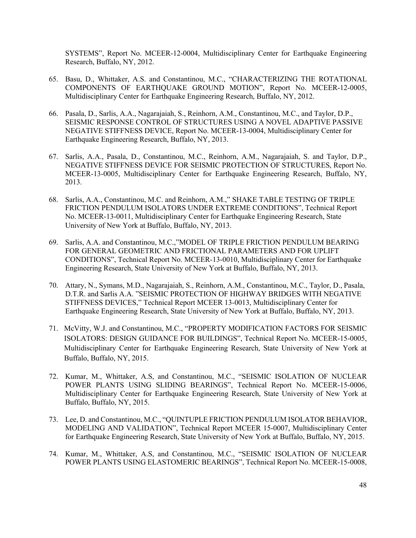SYSTEMS", Report No. MCEER-12-0004, Multidisciplinary Center for Earthquake Engineering Research, Buffalo, NY, 2012.

- 65. Basu, D., Whittaker, A.S. and Constantinou, M.C., "CHARACTERIZING THE ROTATIONAL COMPONENTS OF EARTHQUAKE GROUND MOTION", Report No. MCEER-12-0005, Multidisciplinary Center for Earthquake Engineering Research, Buffalo, NY, 2012.
- 66. Pasala, D., Sarlis, A.A., Nagarajaiah, S., Reinhorn, A.M., Constantinou, M.C., and Taylor, D.P., SEISMIC RESPONSE CONTROL OF STRUCTURES USING A NOVEL ADAPTIVE PASSIVE NEGATIVE STIFFNESS DEVICE, Report No. MCEER-13-0004, Multidisciplinary Center for Earthquake Engineering Research, Buffalo, NY, 2013.
- 67. Sarlis, A.A., Pasala, D., Constantinou, M.C., Reinhorn, A.M., Nagarajaiah, S. and Taylor, D.P., NEGATIVE STIFFNESS DEVICE FOR SEISMIC PROTECTION OF STRUCTURES, Report No. MCEER-13-0005, Multidisciplinary Center for Earthquake Engineering Research, Buffalo, NY, 2013.
- 68. Sarlis, A.A., Constantinou, M.C. and Reinhorn, A.M.," SHAKE TABLE TESTING OF TRIPLE FRICTION PENDULUM ISOLATORS UNDER EXTREME CONDITIONS", Technical Report No. MCEER-13-0011, Multidisciplinary Center for Earthquake Engineering Research, State University of New York at Buffalo, Buffalo, NY, 2013.
- 69. Sarlis, A.A. and Constantinou, M.C.,"MODEL OF TRIPLE FRICTION PENDULUM BEARING FOR GENERAL GEOMETRIC AND FRICTIONAL PARAMETERS AND FOR UPLIFT CONDITIONS", Technical Report No. MCEER-13-0010, Multidisciplinary Center for Earthquake Engineering Research, State University of New York at Buffalo, Buffalo, NY, 2013.
- 70. Attary, N., Symans, M.D., Nagarajaiah, S., Reinhorn, A.M., Constantinou, M.C., Taylor, D., Pasala, D.T.R. and Sarlis A.A. "SEISMIC PROTECTION OF HIGHWAY BRIDGES WITH NEGATIVE STIFFNESS DEVICES," Technical Report MCEER 13-0013, Multidisciplinary Center for Earthquake Engineering Research, State University of New York at Buffalo, Buffalo, NY, 2013.
- 71. McVitty, W.J. and Constantinou, M.C., "PROPERTY MODIFICATION FACTORS FOR SEISMIC ISOLATORS: DESIGN GUIDANCE FOR BUILDINGS", Technical Report No. MCEER-15-0005, Multidisciplinary Center for Earthquake Engineering Research, State University of New York at Buffalo, Buffalo, NY, 2015.
- 72. Kumar, M., Whittaker, A.S, and Constantinou, M.C., "SEISMIC ISOLATION OF NUCLEAR POWER PLANTS USING SLIDING BEARINGS", Technical Report No. MCEER-15-0006, Multidisciplinary Center for Earthquake Engineering Research, State University of New York at Buffalo, Buffalo, NY, 2015.
- 73. Lee, D. and Constantinou, M.C., "QUINTUPLE FRICTION PENDULUM ISOLATOR BEHAVIOR, MODELING AND VALIDATION", Technical Report MCEER 15-0007, Multidisciplinary Center for Earthquake Engineering Research, State University of New York at Buffalo, Buffalo, NY, 2015.
- 74. Kumar, M., Whittaker, A.S, and Constantinou, M.C., "SEISMIC ISOLATION OF NUCLEAR POWER PLANTS USING ELASTOMERIC BEARINGS", Technical Report No. MCEER-15-0008,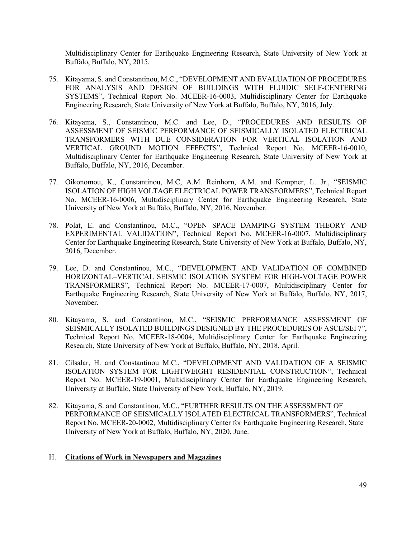Multidisciplinary Center for Earthquake Engineering Research, State University of New York at Buffalo, Buffalo, NY, 2015.

- 75. Kitayama, S. and Constantinou, M.C., "DEVELOPMENT AND EVALUATION OF PROCEDURES FOR ANALYSIS AND DESIGN OF BUILDINGS WITH FLUIDIC SELF-CENTERING SYSTEMS", Technical Report No. MCEER-16-0003, Multidisciplinary Center for Earthquake Engineering Research, State University of New York at Buffalo, Buffalo, NY, 2016, July.
- 76. Kitayama, S., Constantinou, M.C. and Lee, D., "PROCEDURES AND RESULTS OF ASSESSMENT OF SEISMIC PERFORMANCE OF SEISMICALLY ISOLATED ELECTRICAL TRANSFORMERS WITH DUE CONSIDERATION FOR VERTICAL ISOLATION AND VERTICAL GROUND MOTION EFFECTS", Technical Report No. MCEER-16-0010, Multidisciplinary Center for Earthquake Engineering Research, State University of New York at Buffalo, Buffalo, NY, 2016, December.
- 77. Oikonomou, K., Constantinou, M.C, A.M. Reinhorn, A.M. and Kempner, L. Jr., "SEISMIC ISOLATION OF HIGH VOLTAGE ELECTRICAL POWER TRANSFORMERS", Technical Report No. MCEER-16-0006, Multidisciplinary Center for Earthquake Engineering Research, State University of New York at Buffalo, Buffalo, NY, 2016, November.
- 78. Polat, E. and Constantinou, M.C., "OPEN SPACE DAMPING SYSTEM THEORY AND EXPERIMENTAL VALIDATION", Technical Report No. MCEER-16-0007, Multidisciplinary Center for Earthquake Engineering Research, State University of New York at Buffalo, Buffalo, NY, 2016, December.
- 79. Lee, D. and Constantinou, M.C., "DEVELOPMENT AND VALIDATION OF COMBINED HORIZONTAL–VERTICAL SEISMIC ISOLATION SYSTEM FOR HIGH-VOLTAGE POWER TRANSFORMERS", Technical Report No. MCEER-17-0007, Multidisciplinary Center for Earthquake Engineering Research, State University of New York at Buffalo, Buffalo, NY, 2017, November.
- 80. Kitayama, S. and Constantinou, M.C., "SEISMIC PERFORMANCE ASSESSMENT OF SEISMICALLY ISOLATED BUILDINGS DESIGNED BY THE PROCEDURES OF ASCE/SEI 7", Technical Report No. MCEER-18-0004, Multidisciplinary Center for Earthquake Engineering Research, State University of New York at Buffalo, Buffalo, NY, 2018, April.
- 81. Cilsalar, H. and Constantinou M.C., "DEVELOPMENT AND VALIDATION OF A SEISMIC ISOLATION SYSTEM FOR LIGHTWEIGHT RESIDENTIAL CONSTRUCTION", Technical Report No. MCEER-19-0001, Multidisciplinary Center for Earthquake Engineering Research, University at Buffalo, State University of New York, Buffalo, NY, 2019.
- 82. Kitayama, S. and Constantinou, M.C., "FURTHER RESULTS ON THE ASSESSMENT OF PERFORMANCE OF SEISMICALLY ISOLATED ELECTRICAL TRANSFORMERS", Technical Report No. MCEER-20-0002, Multidisciplinary Center for Earthquake Engineering Research, State University of New York at Buffalo, Buffalo, NY, 2020, June.

# H. **Citations of Work in Newspapers and Magazines**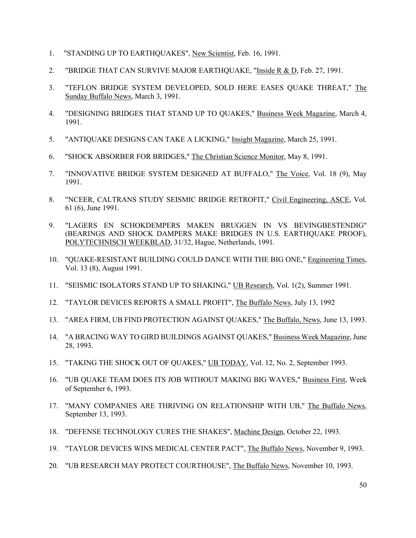- 1. "STANDING UP TO EARTHQUAKES", New Scientist, Feb. 16, 1991.
- 2. "BRIDGE THAT CAN SURVIVE MAJOR EARTHQUAKE, "Inside R & D, Feb. 27, 1991.
- 3. "TEFLON BRIDGE SYSTEM DEVELOPED, SOLD HERE EASES QUAKE THREAT," The Sunday Buffalo News, March 3, 1991.
- 4. "DESIGNING BRIDGES THAT STAND UP TO QUAKES," Business Week Magazine, March 4, 1991.
- 5. "ANTIQUAKE DESIGNS CAN TAKE A LICKING," Insight Magazine, March 25, 1991.
- 6. "SHOCK ABSORBER FOR BRIDGES," The Christian Science Monitor, May 8, 1991.
- 7. "INNOVATIVE BRIDGE SYSTEM DESIGNED AT BUFFALO," The Voice, Vol. 18 (9), May 1991.
- 8. "NCEER, CALTRANS STUDY SEISMIC BRIDGE RETROFIT," Civil Engineering, ASCE, Vol. 61 (6), June 1991.
- 9. "LAGERS EN SCHOKDEMPERS MAKEN BRUGGEN IN VS BEVINGBESTENDIG" (BEARINGS AND SHOCK DAMPERS MAKE BRIDGES IN U.S. EARTHQUAKE PROOF), POLYTECHNISCH WEEKBLAD, 31/32, Hague, Netherlands, 1991.
- 10. "QUAKE-RESISTANT BUILDING COULD DANCE WITH THE BIG ONE," Engineering Times, Vol. 13 (8), August 1991.
- 11. "SEISMIC ISOLATORS STAND UP TO SHAKING," UB Research, Vol. 1(2), Summer 1991.
- 12. "TAYLOR DEVICES REPORTS A SMALL PROFIT", The Buffalo News, July 13, 1992
- 13. "AREA FIRM, UB FIND PROTECTION AGAINST QUAKES," The Buffalo, News, June 13, 1993.
- 14. "A BRACING WAY TO GIRD BUILDINGS AGAINST QUAKES," Business Week Magazine, June 28, 1993.
- 15. "TAKING THE SHOCK OUT OF QUAKES," UB TODAY, Vol. 12, No. 2, September 1993.
- 16. "UB QUAKE TEAM DOES ITS JOB WITHOUT MAKING BIG WAVES," Business First, Week of September 6, 1993.
- 17. "MANY COMPANIES ARE THRIVING ON RELATIONSHIP WITH UB," The Buffalo News, September 13, 1993.
- 18. "DEFENSE TECHNOLOGY CURES THE SHAKES", Machine Design, October 22, 1993.
- 19. "TAYLOR DEVICES WINS MEDICAL CENTER PACT", The Buffalo News, November 9, 1993.
- 20. "UB RESEARCH MAY PROTECT COURTHOUSE", The Buffalo News, November 10, 1993.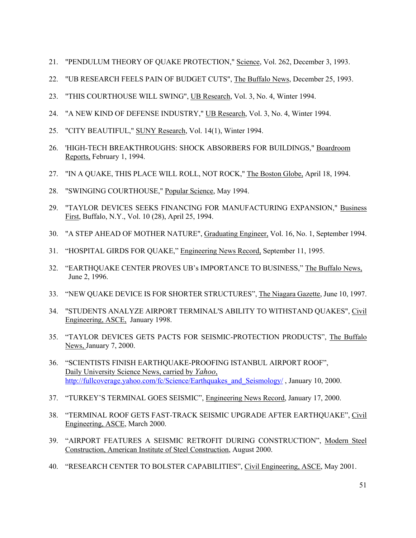- 21. "PENDULUM THEORY OF QUAKE PROTECTION," Science, Vol. 262, December 3, 1993.
- 22. "UB RESEARCH FEELS PAIN OF BUDGET CUTS", The Buffalo News, December 25, 1993.
- 23. "THIS COURTHOUSE WILL SWING", UB Research, Vol. 3, No. 4, Winter 1994.
- 24. "A NEW KIND OF DEFENSE INDUSTRY," UB Research, Vol. 3, No. 4, Winter 1994.
- 25. "CITY BEAUTIFUL," SUNY Research, Vol. 14(1), Winter 1994.
- 26. 'HIGH-TECH BREAKTHROUGHS: SHOCK ABSORBERS FOR BUILDINGS," Boardroom Reports, February 1, 1994.
- 27. "IN A QUAKE, THIS PLACE WILL ROLL, NOT ROCK," The Boston Globe, April 18, 1994.
- 28. "SWINGING COURTHOUSE," Popular Science, May 1994.
- 29. "TAYLOR DEVICES SEEKS FINANCING FOR MANUFACTURING EXPANSION," Business First, Buffalo, N.Y., Vol. 10 (28), April 25, 1994.
- 30. "A STEP AHEAD OF MOTHER NATURE", Graduating Engineer, Vol. 16, No. 1, September 1994.
- 31. "HOSPITAL GIRDS FOR QUAKE," Engineering News Record, September 11, 1995.
- 32. "EARTHQUAKE CENTER PROVES UB's IMPORTANCE TO BUSINESS," The Buffalo News, June 2, 1996.
- 33. "NEW QUAKE DEVICE IS FOR SHORTER STRUCTURES", The Niagara Gazette, June 10, 1997.
- 34. "STUDENTS ANALYZE AIRPORT TERMINAL'S ABILITY TO WITHSTAND QUAKES", Civil Engineering, ASCE, January 1998.
- 35. "TAYLOR DEVICES GETS PACTS FOR SEISMIC-PROTECTION PRODUCTS", The Buffalo News, January 7, 2000.
- 36. "SCIENTISTS FINISH EARTHQUAKE-PROOFING ISTANBUL AIRPORT ROOF", Daily University Science News, carried by *Yahoo*, http://fullcoverage.yahoo.com/fc/Science/Earthquakes\_and\_Seismology/, January 10, 2000.
- 37. "TURKEY'S TERMINAL GOES SEISMIC", Engineering News Record, January 17, 2000.
- 38. "TERMINAL ROOF GETS FAST-TRACK SEISMIC UPGRADE AFTER EARTHQUAKE", Civil Engineering, ASCE, March 2000.
- 39. "AIRPORT FEATURES A SEISMIC RETROFIT DURING CONSTRUCTION", Modern Steel Construction, American Institute of Steel Construction, August 2000.
- 40. "RESEARCH CENTER TO BOLSTER CAPABILITIES", Civil Engineering, ASCE, May 2001.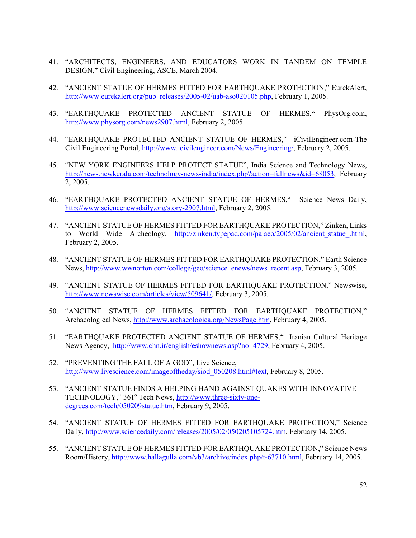- 41. "ARCHITECTS, ENGINEERS, AND EDUCATORS WORK IN TANDEM ON TEMPLE DESIGN," Civil Engineering, ASCE, March 2004.
- 42. "ANCIENT STATUE OF HERMES FITTED FOR EARTHQUAKE PROTECTION," EurekAlert, http://www.eurekalert.org/pub\_releases/2005-02/uab-aso020105.php, February 1, 2005.
- 43. "EARTHQUAKE PROTECTED ANCIENT STATUE OF HERMES," PhysOrg.com, http://www.physorg.com/news2907.html, February 2, 2005.
- 44. "EARTHQUAKE PROTECTED ANCIENT STATUE OF HERMES," iCivilEngineer.com-The Civil Engineering Portal, http://www.icivilengineer.com/News/Engineering/, February 2, 2005.
- 45. "NEW YORK ENGINEERS HELP PROTECT STATUE", India Science and Technology News, http://news.newkerala.com/technology-news-india/index.php?action=fullnews&id=68053, February 2, 2005.
- 46. "EARTHQUAKE PROTECTED ANCIENT STATUE OF HERMES," Science News Daily, http://www.sciencenewsdaily.org/story-2907.html, February 2, 2005.
- 47. "ANCIENT STATUE OF HERMES FITTED FOR EARTHQUAKE PROTECTION," Zinken, Links to World Wide Archeology, http://zinken.typepad.com/palaeo/2005/02/ancient statue.html, February 2, 2005.
- 48. "ANCIENT STATUE OF HERMES FITTED FOR EARTHQUAKE PROTECTION," Earth Science News, http://www.wwnorton.com/college/geo/science\_enews/news\_recent.asp, February 3, 2005.
- 49. "ANCIENT STATUE OF HERMES FITTED FOR EARTHQUAKE PROTECTION," Newswise, http://www.newswise.com/articles/view/509641/, February 3, 2005.
- 50. "ANCIENT STATUE OF HERMES FITTED FOR EARTHQUAKE PROTECTION," Archaeological News, http://www.archaeologica.org/NewsPage.htm, February 4, 2005.
- 51. "EARTHQUAKE PROTECTED ANCIENT STATUE OF HERMES," Iranian Cultural Heritage News Agency, http://www.chn.ir/english/eshownews.asp?no=4729, February 4, 2005.
- 52. "PREVENTING THE FALL OF A GOD", Live Science, http://www.livescience.com/imageoftheday/siod\_050208.html#text, February 8, 2005.
- 53. "ANCIENT STATUE FINDS A HELPING HAND AGAINST QUAKES WITH INNOVATIVE TECHNOLOGY," 361° Tech News, http://www.three-sixty-onedegrees.com/tech/050209statue.htm, February 9, 2005.
- 54. "ANCIENT STATUE OF HERMES FITTED FOR EARTHQUAKE PROTECTION," Science Daily, http://www.sciencedaily.com/releases/2005/02/050205105724.htm, February 14, 2005.
- 55. "ANCIENT STATUE OF HERMES FITTED FOR EARTHQUAKE PROTECTION," Science News Room/History, http://www.hallagulla.com/vb3/archive/index.php/t-63710.html, February 14, 2005.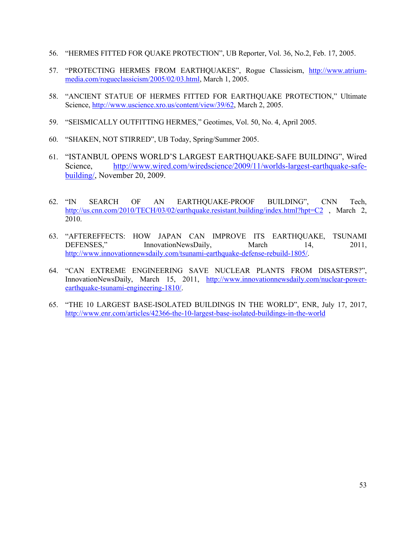- 56. "HERMES FITTED FOR QUAKE PROTECTION", UB Reporter, Vol. 36, No.2, Feb. 17, 2005.
- 57. "PROTECTING HERMES FROM EARTHQUAKES", Rogue Classicism, http://www.atriummedia.com/rogueclassicism/2005/02/03.html, March 1, 2005.
- 58. "ANCIENT STATUE OF HERMES FITTED FOR EARTHQUAKE PROTECTION," Ultimate Science, http://www.uscience.xro.us/content/view/39/62, March 2, 2005.
- 59. "SEISMICALLY OUTFITTING HERMES," Geotimes, Vol. 50, No. 4, April 2005.
- 60. "SHAKEN, NOT STIRRED", UB Today, Spring/Summer 2005.
- 61. "ISTANBUL OPENS WORLD'S LARGEST EARTHQUAKE-SAFE BUILDING", Wired Science, http://www.wired.com/wiredscience/2009/11/worlds-largest-earthquake-safebuilding/, November 20, 2009.
- 62. "IN SEARCH OF AN EARTHQUAKE-PROOF BUILDING", CNN Tech, http://us.cnn.com/2010/TECH/03/02/earthquake.resistant.building/index.html?hpt=C2, March 2, 2010.
- 63. "AFTEREFFECTS: HOW JAPAN CAN IMPROVE ITS EARTHQUAKE, TSUNAMI DEFENSES," InnovationNewsDaily, March 14, 2011, http://www.innovationnewsdaily.com/tsunami-earthquake-defense-rebuild-1805/.
- 64. "CAN EXTREME ENGINEERING SAVE NUCLEAR PLANTS FROM DISASTERS?", InnovationNewsDaily, March 15, 2011, http://www.innovationnewsdaily.com/nuclear-powerearthquake-tsunami-engineering-1810/.
- 65. "THE 10 LARGEST BASE-ISOLATED BUILDINGS IN THE WORLD", ENR, July 17, 2017, http://www.enr.com/articles/42366-the-10-largest-base-isolated-buildings-in-the-world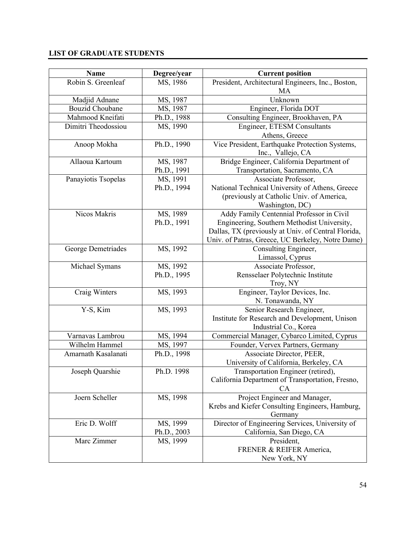# **LIST OF GRADUATE STUDENTS**

| <b>Name</b>            | Degree/year | <b>Current position</b>                             |
|------------------------|-------------|-----------------------------------------------------|
| Robin S. Greenleaf     | MS, 1986    | President, Architectural Engineers, Inc., Boston,   |
|                        |             | MA                                                  |
| Madjid Adnane          | MS, 1987    | Unknown                                             |
| <b>Bouzid Choubane</b> | MS, 1987    | Engineer, Florida DOT                               |
| Mahmood Kneifati       | Ph.D., 1988 | Consulting Engineer, Brookhaven, PA                 |
| Dimitri Theodossiou    | MS, 1990    | Engineer, ETESM Consultants                         |
|                        |             | Athens, Greece                                      |
| Anoop Mokha            | Ph.D., 1990 | Vice President, Earthquake Protection Systems,      |
|                        |             | Inc., Vallejo, CA                                   |
| Allaoua Kartoum        | MS, 1987    | Bridge Engineer, California Department of           |
|                        | Ph.D., 1991 | Transportation, Sacramento, CA                      |
| Panayiotis Tsopelas    | MS, 1991    | Associate Professor,                                |
|                        | Ph.D., 1994 | National Technical University of Athens, Greece     |
|                        |             | (previously at Catholic Univ. of America,           |
|                        |             | Washington, DC)                                     |
| Nicos Makris           | MS, 1989    | Addy Family Centennial Professor in Civil           |
|                        | Ph.D., 1991 | Engineering, Southern Methodist University,         |
|                        |             | Dallas, TX (previously at Univ. of Central Florida, |
|                        |             | Univ. of Patras, Greece, UC Berkeley, Notre Dame)   |
| George Demetriades     | MS, 1992    | Consulting Engineer,                                |
|                        |             | Limassol, Cyprus                                    |
| Michael Symans         | MS, 1992    | Associate Professor,                                |
|                        | Ph.D., 1995 | Rensselaer Polytechnic Institute                    |
|                        |             | Troy, NY                                            |
| Craig Winters          | MS, 1993    | Engineer, Taylor Devices, Inc.                      |
|                        |             | N. Tonawanda, NY                                    |
| Y-S, Kim               | MS, 1993    | Senior Research Engineer,                           |
|                        |             | Institute for Research and Development, Unison      |
|                        |             | Industrial Co., Korea                               |
| Varnavas Lambrou       | MS, 1994    | Commercial Manager, Cybarco Limited, Cyprus         |
| Wilhelm Hammel         | MS, 1997    | Founder, Vervex Partners, Germany                   |
| Amarnath Kasalanati    | Ph.D., 1998 | Associate Director, PEER,                           |
|                        |             | University of California, Berkeley, CA              |
| Joseph Quarshie        | Ph.D. 1998  | Transportation Engineer (retired),                  |
|                        |             | California Department of Transportation, Fresno,    |
|                        |             | CA                                                  |
| Joern Scheller         | MS, 1998    | Project Engineer and Manager,                       |
|                        |             | Krebs and Kiefer Consulting Engineers, Hamburg,     |
|                        |             | Germany                                             |
| Eric D. Wolff          | MS, 1999    | Director of Engineering Services, University of     |
|                        | Ph.D., 2003 | California, San Diego, CA                           |
| Marc Zimmer            | MS, 1999    | President,                                          |
|                        |             | FRENER & REIFER America,                            |
|                        |             | New York, NY                                        |